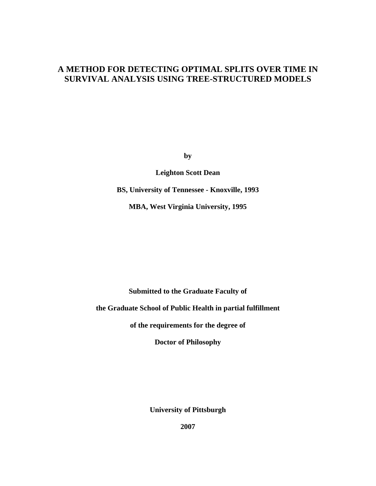# **A METHOD FOR DETECTING OPTIMAL SPLITS OVER TIME IN SURVIVAL ANALYSIS USING TREE-STRUCTURED MODELS**

**by** 

**Leighton Scott Dean** 

**BS, University of Tennessee - Knoxville, 1993** 

**MBA, West Virginia University, 1995**

**Submitted to the Graduate Faculty of** 

**the Graduate School of Public Health in partial fulfillment** 

**of the requirements for the degree of** 

**Doctor of Philosophy** 

**University of Pittsburgh** 

**2007**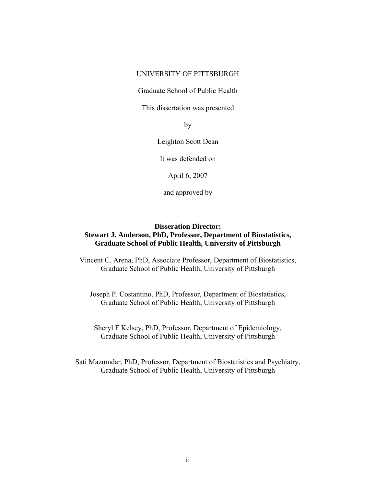## UNIVERSITY OF PITTSBURGH

Graduate School of Public Health

This dissertation was presented

by

Leighton Scott Dean

It was defended on

April 6, 2007

and approved by

## **Disseration Director: Stewart J. Anderson, PhD, Professor, Department of Biostatistics, Graduate School of Public Health, University of Pittsburgh**

Vincent C. Arena, PhD, Associate Professor, Department of Biostatistics, Graduate School of Public Health, University of Pittsburgh

Joseph P. Costantino, PhD, Professor, Department of Biostatistics, Graduate School of Public Health, University of Pittsburgh

Sheryl F Kelsey, PhD, Professor, Department of Epidemiology, Graduate School of Public Health, University of Pittsburgh

Sati Mazumdar, PhD, Professor, Department of Biostatistics and Psychiatry, Graduate School of Public Health, University of Pittsburgh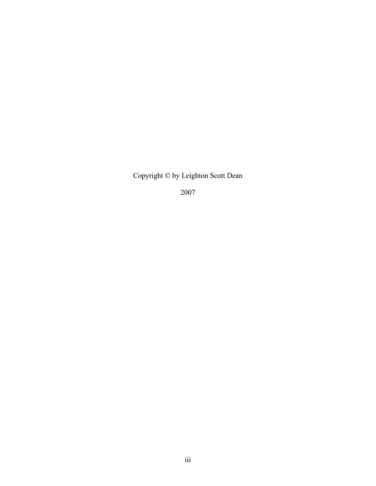Copyright © by Leighton Scott Dean

2007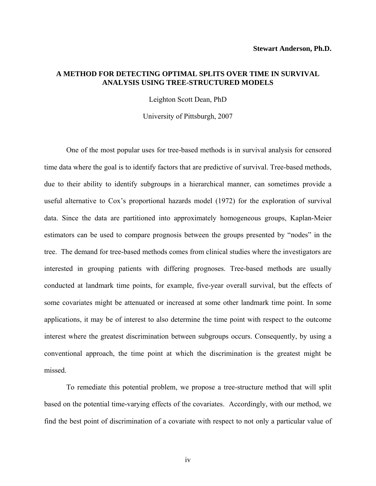## **A METHOD FOR DETECTING OPTIMAL SPLITS OVER TIME IN SURVIVAL ANALYSIS USING TREE-STRUCTURED MODELS**

Leighton Scott Dean, PhD

University of Pittsburgh, 2007

One of the most popular uses for tree-based methods is in survival analysis for censored time data where the goal is to identify factors that are predictive of survival. Tree-based methods, due to their ability to identify subgroups in a hierarchical manner, can sometimes provide a useful alternative to Cox's proportional hazards model (1972) for the exploration of survival data. Since the data are partitioned into approximately homogeneous groups, Kaplan-Meier estimators can be used to compare prognosis between the groups presented by "nodes" in the tree. The demand for tree-based methods comes from clinical studies where the investigators are interested in grouping patients with differing prognoses. Tree-based methods are usually conducted at landmark time points, for example, five-year overall survival, but the effects of some covariates might be attenuated or increased at some other landmark time point. In some applications, it may be of interest to also determine the time point with respect to the outcome interest where the greatest discrimination between subgroups occurs. Consequently, by using a conventional approach, the time point at which the discrimination is the greatest might be missed.

To remediate this potential problem, we propose a tree-structure method that will split based on the potential time-varying effects of the covariates. Accordingly, with our method, we find the best point of discrimination of a covariate with respect to not only a particular value of

iv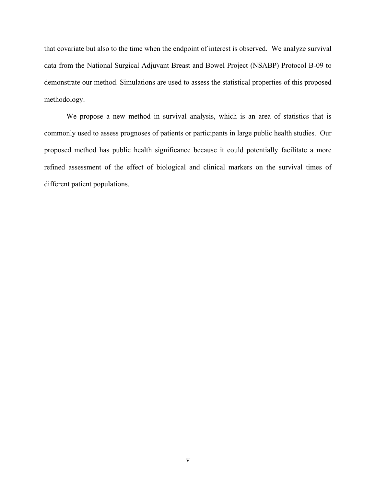that covariate but also to the time when the endpoint of interest is observed. We analyze survival data from the National Surgical Adjuvant Breast and Bowel Project (NSABP) Protocol B-09 to demonstrate our method. Simulations are used to assess the statistical properties of this proposed methodology.

We propose a new method in survival analysis, which is an area of statistics that is commonly used to assess prognoses of patients or participants in large public health studies. Our proposed method has public health significance because it could potentially facilitate a more refined assessment of the effect of biological and clinical markers on the survival times of different patient populations.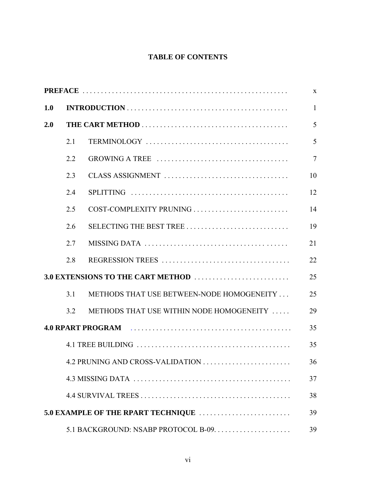# **TABLE OF CONTENTS**

|     |                                    |                                           | $\mathbf{X}$   |  |
|-----|------------------------------------|-------------------------------------------|----------------|--|
| 1.0 |                                    |                                           | $\mathbf{1}$   |  |
| 2.0 |                                    |                                           | 5              |  |
|     | 2.1                                |                                           | 5              |  |
|     | 2.2                                |                                           | $\overline{7}$ |  |
|     | 2.3                                |                                           | 10             |  |
|     | 2.4                                |                                           | 12             |  |
|     | 2.5                                | COST-COMPLEXITY PRUNING                   | 14             |  |
|     | 2.6                                |                                           | 19             |  |
|     | 2.7                                |                                           | 21             |  |
|     | 2.8                                |                                           | 22             |  |
|     |                                    |                                           |                |  |
|     | 3.1                                | METHODS THAT USE BETWEEN-NODE HOMOGENEITY | 25             |  |
|     | 3.2                                | METHODS THAT USE WITHIN NODE HOMOGENEITY  | 29             |  |
|     |                                    |                                           | 35             |  |
|     |                                    |                                           | 35             |  |
|     |                                    |                                           | 36             |  |
|     |                                    |                                           | 37             |  |
|     |                                    |                                           | 38             |  |
|     | 5.0 EXAMPLE OF THE RPART TECHNIQUE |                                           |                |  |
|     |                                    |                                           | 39             |  |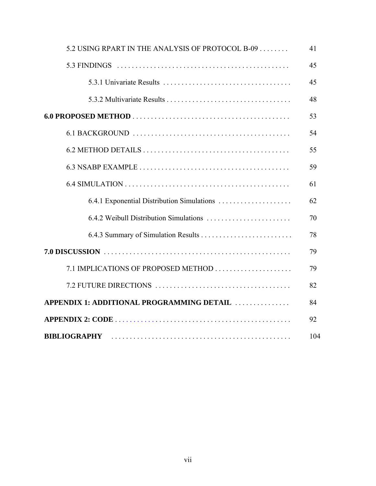| 5.2 USING RPART IN THE ANALYSIS OF PROTOCOL B-09 | 41  |  |
|--------------------------------------------------|-----|--|
|                                                  | 45  |  |
|                                                  | 45  |  |
|                                                  | 48  |  |
|                                                  |     |  |
|                                                  | 54  |  |
|                                                  | 55  |  |
|                                                  | 59  |  |
|                                                  | 61  |  |
| 6.4.1 Exponential Distribution Simulations       | 62  |  |
|                                                  | 70  |  |
|                                                  | 78  |  |
|                                                  | 79  |  |
|                                                  | 79  |  |
|                                                  | 82  |  |
| APPENDIX 1: ADDITIONAL PROGRAMMING DETAIL        | 84  |  |
|                                                  | 92  |  |
| <b>BIBLIOGRAPHY</b>                              | 104 |  |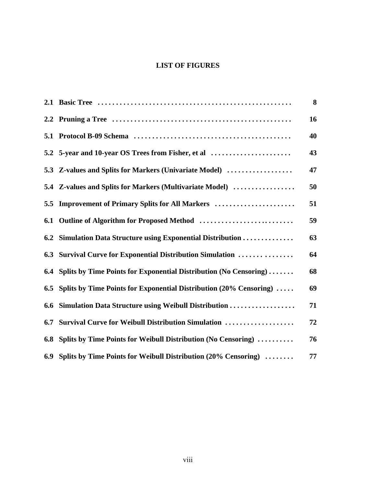## **LIST OF FIGURES**

|     |                                                                    | 8  |
|-----|--------------------------------------------------------------------|----|
|     |                                                                    | 16 |
| 5.1 |                                                                    | 40 |
|     | 5.2 5-year and 10-year OS Trees from Fisher, et al                 | 43 |
|     | 5.3 Z-values and Splits for Markers (Univariate Model)             | 47 |
|     | 5.4 Z-values and Splits for Markers (Multivariate Model)           | 50 |
| 5.5 | <b>Improvement of Primary Splits for All Markers </b>              | 51 |
| 6.1 |                                                                    | 59 |
| 6.2 | Simulation Data Structure using Exponential Distribution           | 63 |
| 6.3 | <b>Survival Curve for Exponential Distribution Simulation </b>     | 64 |
| 6.4 | Splits by Time Points for Exponential Distribution (No Censoring)  | 68 |
| 6.5 | Splits by Time Points for Exponential Distribution (20% Censoring) | 69 |
| 6.6 | Simulation Data Structure using Weibull Distribution               | 71 |
| 6.7 | Survival Curve for Weibull Distribution Simulation                 | 72 |
| 6.8 | Splits by Time Points for Weibull Distribution (No Censoring)      | 76 |
|     | 6.9 Splits by Time Points for Weibull Distribution (20% Censoring) | 77 |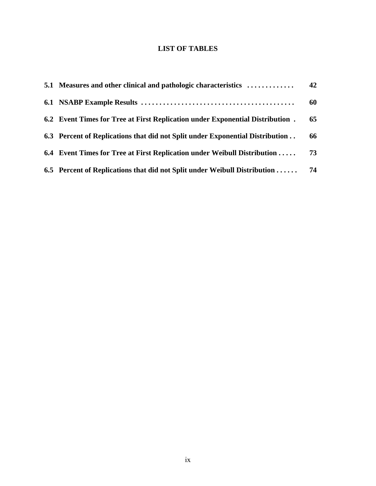## **LIST OF TABLES**

| 5.1 Measures and other clinical and pathologic characteristics                          | 42 |
|-----------------------------------------------------------------------------------------|----|
|                                                                                         | 60 |
| 6.2 Event Times for Tree at First Replication under Exponential Distribution.           | 65 |
| 6.3 Percent of Replications that did not Split under Exponential Distribution           | 66 |
| 6.4 Event Times for Tree at First Replication under Weibull Distribution                | 73 |
| 6.5 Percent of Replications that did not Split under Weibull Distribution $\dots \dots$ | 74 |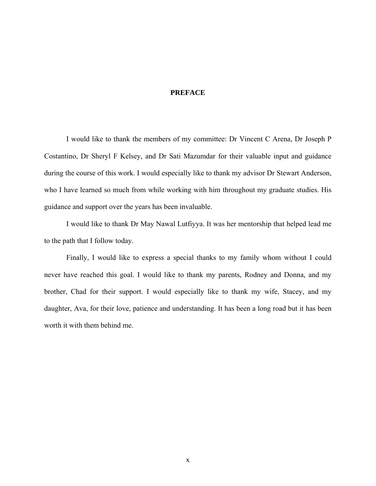## **PREFACE**

<span id="page-9-0"></span>I would like to thank the members of my committee: Dr Vincent C Arena, Dr Joseph P Costantino, Dr Sheryl F Kelsey, and Dr Sati Mazumdar for their valuable input and guidance during the course of this work. I would especially like to thank my advisor Dr Stewart Anderson, who I have learned so much from while working with him throughout my graduate studies. His guidance and support over the years has been invaluable.

 I would like to thank Dr May Nawal Lutfiyya. It was her mentorship that helped lead me to the path that I follow today.

Finally, I would like to express a special thanks to my family whom without I could never have reached this goal. I would like to thank my parents, Rodney and Donna, and my brother, Chad for their support. I would especially like to thank my wife, Stacey, and my daughter, Ava, for their love, patience and understanding. It has been a long road but it has been worth it with them behind me.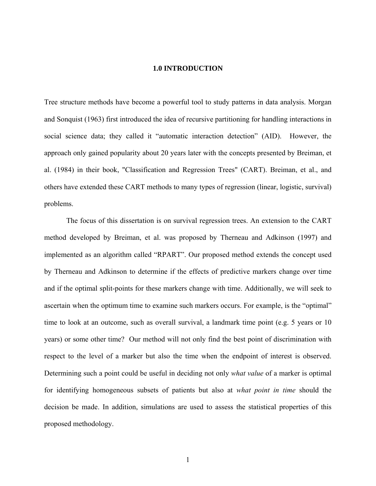### **1.0 INTRODUCTION**

<span id="page-10-0"></span>Tree structure methods have become a powerful tool to study patterns in data analysis. Morgan and Sonquist (1963) first introduced the idea of recursive partitioning for handling interactions in social science data; they called it "automatic interaction detection" (AID). However, the approach only gained popularity about 20 years later with the concepts presented by Breiman, et al. (1984) in their book, "Classification and Regression Trees" (CART). Breiman, et al., and others have extended these CART methods to many types of regression (linear, logistic, survival) problems.

The focus of this dissertation is on survival regression trees. An extension to the CART method developed by Breiman, et al. was proposed by Therneau and Adkinson (1997) and implemented as an algorithm called "RPART". Our proposed method extends the concept used by Therneau and Adkinson to determine if the effects of predictive markers change over time and if the optimal split-points for these markers change with time. Additionally, we will seek to ascertain when the optimum time to examine such markers occurs. For example, is the "optimal" time to look at an outcome, such as overall survival, a landmark time point (e.g. 5 years or 10 years) or some other time? Our method will not only find the best point of discrimination with respect to the level of a marker but also the time when the endpoint of interest is observed. Determining such a point could be useful in deciding not only *what value* of a marker is optimal for identifying homogeneous subsets of patients but also at *what point in time* should the decision be made. In addition, simulations are used to assess the statistical properties of this proposed methodology.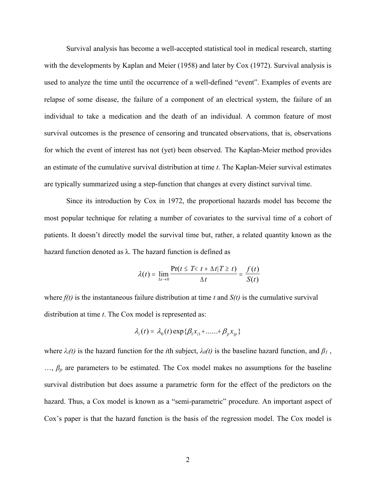Survival analysis has become a well-accepted statistical tool in medical research, starting with the developments by Kaplan and Meier (1958) and later by Cox (1972). Survival analysis is used to analyze the time until the occurrence of a well-defined "event". Examples of events are relapse of some disease, the failure of a component of an electrical system, the failure of an individual to take a medication and the death of an individual. A common feature of most survival outcomes is the presence of censoring and truncated observations, that is, observations for which the event of interest has not (yet) been observed. The Kaplan-Meier method provides an estimate of the cumulative survival distribution at time *t*. The Kaplan-Meier survival estimates are typically summarized using a step-function that changes at every distinct survival time.

Since its introduction by Cox in 1972, the proportional hazards model has become the most popular technique for relating a number of covariates to the survival time of a cohort of patients. It doesn't directly model the survival time but, rather, a related quantity known as the hazard function denoted as  $\lambda$ . The hazard function is defined as

$$
\lambda(t) = \lim_{\Delta t \to 0} \frac{\Pr(t \leq T < t + \Delta t | T \geq t)}{\Delta t} = \frac{f(t)}{S(t)}
$$

where *f(t)* is the instantaneous failure distribution at time *t* and *S(t)* is the cumulative survival distribution at time *t*. The Cox model is represented as:

$$
\lambda_i(t) = \lambda_0(t) \exp\{\beta_1 x_{i1} + \dots + \beta_p x_{ip}\}
$$

where  $\lambda_i(t)$  is the hazard function for the *i*th subject,  $\lambda_0(t)$  is the baseline hazard function, and  $\beta_1$ ,  $\ldots$ ,  $\beta_p$  are parameters to be estimated. The Cox model makes no assumptions for the baseline survival distribution but does assume a parametric form for the effect of the predictors on the hazard. Thus, a Cox model is known as a "semi-parametric" procedure. An important aspect of Cox's paper is that the hazard function is the basis of the regression model. The Cox model is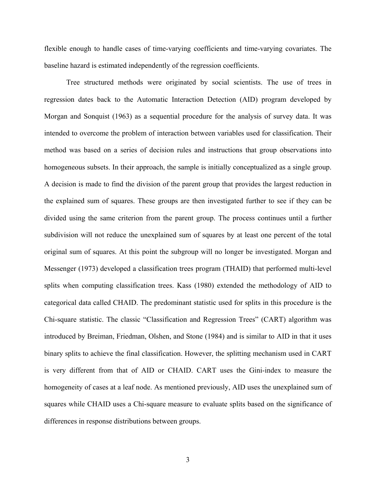flexible enough to handle cases of time-varying coefficients and time-varying covariates. The baseline hazard is estimated independently of the regression coefficients.

Tree structured methods were originated by social scientists. The use of trees in regression dates back to the Automatic Interaction Detection (AID) program developed by Morgan and Sonquist (1963) as a sequential procedure for the analysis of survey data. It was intended to overcome the problem of interaction between variables used for classification. Their method was based on a series of decision rules and instructions that group observations into homogeneous subsets. In their approach, the sample is initially conceptualized as a single group. A decision is made to find the division of the parent group that provides the largest reduction in the explained sum of squares. These groups are then investigated further to see if they can be divided using the same criterion from the parent group. The process continues until a further subdivision will not reduce the unexplained sum of squares by at least one percent of the total original sum of squares. At this point the subgroup will no longer be investigated. Morgan and Messenger (1973) developed a classification trees program (THAID) that performed multi-level splits when computing classification trees. Kass (1980) extended the methodology of AID to categorical data called CHAID. The predominant statistic used for splits in this procedure is the Chi-square statistic. The classic "Classification and Regression Trees" (CART) algorithm was introduced by Breiman, Friedman, Olshen, and Stone (1984) and is similar to AID in that it uses binary splits to achieve the final classification. However, the splitting mechanism used in CART is very different from that of AID or CHAID. CART uses the Gini-index to measure the homogeneity of cases at a leaf node. As mentioned previously, AID uses the unexplained sum of squares while CHAID uses a Chi-square measure to evaluate splits based on the significance of differences in response distributions between groups.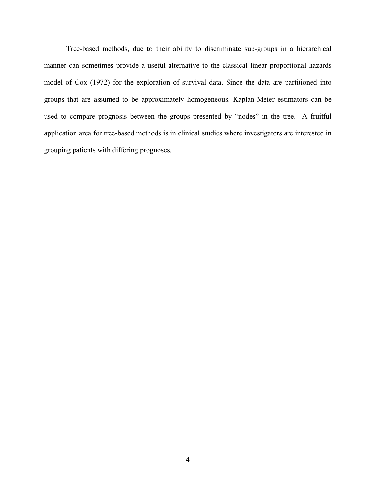Tree-based methods, due to their ability to discriminate sub-groups in a hierarchical manner can sometimes provide a useful alternative to the classical linear proportional hazards model of Cox (1972) for the exploration of survival data. Since the data are partitioned into groups that are assumed to be approximately homogeneous, Kaplan-Meier estimators can be used to compare prognosis between the groups presented by "nodes" in the tree. A fruitful application area for tree-based methods is in clinical studies where investigators are interested in grouping patients with differing prognoses.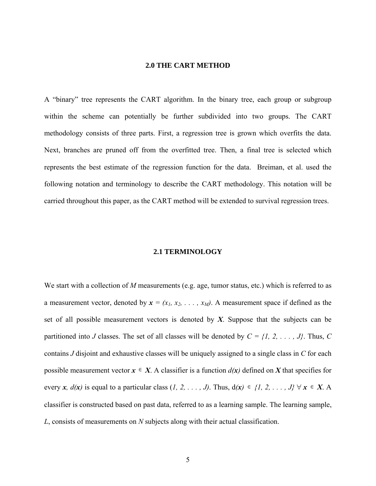## **2.0 THE CART METHOD**

<span id="page-14-0"></span>A "binary" tree represents the CART algorithm. In the binary tree, each group or subgroup within the scheme can potentially be further subdivided into two groups. The CART methodology consists of three parts. First, a regression tree is grown which overfits the data. Next, branches are pruned off from the overfitted tree. Then, a final tree is selected which represents the best estimate of the regression function for the data. Breiman, et al. used the following notation and terminology to describe the CART methodology. This notation will be carried throughout this paper, as the CART method will be extended to survival regression trees.

#### **2.1 TERMINOLOGY**

We start with a collection of *M* measurements (e.g. age, tumor status, etc.) which is referred to as a measurement vector, denoted by  $x = (x_1, x_2, \ldots, x_M)$ . A measurement space if defined as the set of all possible measurement vectors is denoted by *X*. Suppose that the subjects can be partitioned into *J* classes. The set of all classes will be denoted by  $C = \{1, 2, \ldots, J\}$ . Thus, *C* contains *J* disjoint and exhaustive classes will be uniquely assigned to a single class in *C* for each possible measurement vector  $x \in X$ . A classifier is a function  $d(x)$  defined on X that specifies for every *x, d(x)* is equal to a particular class  $(1, 2, \ldots, J)$ . Thus,  $d(x) \in \{1, 2, \ldots, J\} \forall x \in X$ . A classifier is constructed based on past data, referred to as a learning sample. The learning sample, *L*, consists of measurements on *N* subjects along with their actual classification.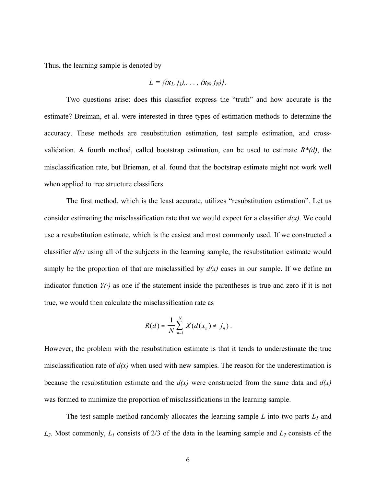Thus, the learning sample is denoted by

$$
L = \{(\mathbf{x}_1, j_1), \ldots, (\mathbf{x}_N, j_N)\}.
$$

Two questions arise: does this classifier express the "truth" and how accurate is the estimate? Breiman, et al. were interested in three types of estimation methods to determine the accuracy. These methods are resubstitution estimation, test sample estimation, and crossvalidation. A fourth method, called bootstrap estimation, can be used to estimate  $R^*(d)$ , the misclassification rate, but Brieman, et al. found that the bootstrap estimate might not work well when applied to tree structure classifiers.

The first method, which is the least accurate, utilizes "resubstitution estimation". Let us consider estimating the misclassification rate that we would expect for a classifier  $d(x)$ . We could use a resubstitution estimate, which is the easiest and most commonly used. If we constructed a classifier  $d(x)$  using all of the subjects in the learning sample, the resubstitution estimate would simply be the proportion of that are misclassified by  $d(x)$  cases in our sample. If we define an indicator function  $Y(\cdot)$  as one if the statement inside the parentheses is true and zero if it is not true, we would then calculate the misclassification rate as

$$
R(d) = \frac{1}{N} \sum_{n=1}^{N} X(d(x_n) \neq j_n).
$$

However, the problem with the resubstitution estimate is that it tends to underestimate the true misclassification rate of  $d(x)$  when used with new samples. The reason for the underestimation is because the resubstitution estimate and the  $d(x)$  were constructed from the same data and  $d(x)$ was formed to minimize the proportion of misclassifications in the learning sample.

The test sample method randomly allocates the learning sample *L* into two parts *L1* and  $L_2$ . Most commonly,  $L_1$  consists of 2/3 of the data in the learning sample and  $L_2$  consists of the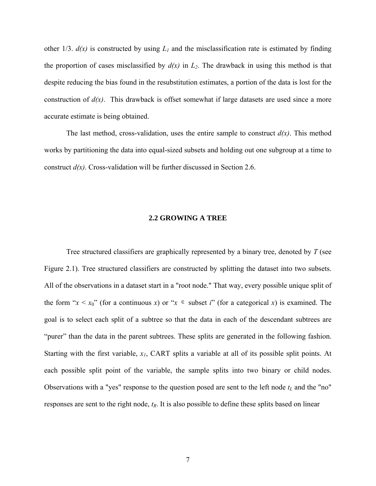<span id="page-16-0"></span>other 1/3.  $d(x)$  is constructed by using  $L_1$  and the misclassification rate is estimated by finding the proportion of cases misclassified by  $d(x)$  in  $L_2$ . The drawback in using this method is that despite reducing the bias found in the resubstitution estimates, a portion of the data is lost for the construction of *d(x)*. This drawback is offset somewhat if large datasets are used since a more accurate estimate is being obtained.

The last method, cross-validation, uses the entire sample to construct  $d(x)$ . This method works by partitioning the data into equal-sized subsets and holding out one subgroup at a time to construct *d(x)*. Cross-validation will be further discussed in [Section 2.6.](#page-28-0)

#### **2.2 GROWING A TREE**

Tree structured classifiers are graphically represented by a binary tree, denoted by *T* (see [Figure 2.1](#page-17-0)). Tree structured classifiers are constructed by splitting the dataset into two subsets. All of the observations in a dataset start in a "root node." That way, every possible unique split of the form " $x < x_0$ " (for a continuous *x*) or " $x \in$  subset *i*" (for a categorical *x*) is examined. The goal is to select each split of a subtree so that the data in each of the descendant subtrees are "purer" than the data in the parent subtrees. These splits are generated in the following fashion. Starting with the first variable, *x1*, CART splits a variable at all of its possible split points. At each possible split point of the variable, the sample splits into two binary or child nodes. Observations with a "yes" response to the question posed are sent to the left node  $t_L$  and the "no" responses are sent to the right node, *tR*. It is also possible to define these splits based on linear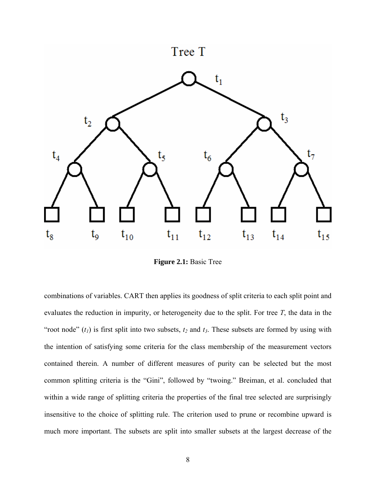<span id="page-17-0"></span>

**Figure 2.1:** Basic Tree

combinations of variables. CART then applies its goodness of split criteria to each split point and evaluates the reduction in impurity, or heterogeneity due to the split. For tree *T*, the data in the "root node"  $(t_1)$  is first split into two subsets,  $t_2$  and  $t_3$ . These subsets are formed by using with the intention of satisfying some criteria for the class membership of the measurement vectors contained therein. A number of different measures of purity can be selected but the most common splitting criteria is the "Gini", followed by "twoing." Breiman, et al. concluded that within a wide range of splitting criteria the properties of the final tree selected are surprisingly insensitive to the choice of splitting rule. The criterion used to prune or recombine upward is much more important. The subsets are split into smaller subsets at the largest decrease of the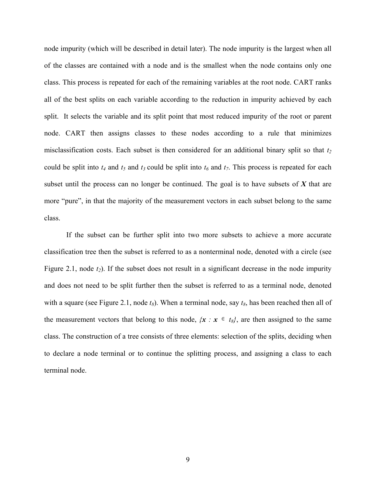node impurity (which will be described in detail later). The node impurity is the largest when all of the classes are contained with a node and is the smallest when the node contains only one class. This process is repeated for each of the remaining variables at the root node. CART ranks all of the best splits on each variable according to the reduction in impurity achieved by each split. It selects the variable and its split point that most reduced impurity of the root or parent node. CART then assigns classes to these nodes according to a rule that minimizes misclassification costs. Each subset is then considered for an additional binary split so that  $t_2$ could be split into  $t_4$  and  $t_5$  and  $t_3$  could be split into  $t_6$  and  $t_7$ . This process is repeated for each subset until the process can no longer be continued. The goal is to have subsets of *X* that are more "pure", in that the majority of the measurement vectors in each subset belong to the same class.

If the subset can be further split into two more subsets to achieve a more accurate classification tree then the subset is referred to as a nonterminal node, denoted with a circle (see [Figure 2.1](#page-17-0), node  $t_2$ ). If the subset does not result in a significant decrease in the node impurity and does not need to be split further then the subset is referred to as a terminal node, denoted with a square (see [Figure 2.1](#page-17-0), node  $t_8$ ). When a terminal node, say  $t_8$ , has been reached then all of the measurement vectors that belong to this node,  $\{x : x \in t_{\delta}\}$ , are then assigned to the same class. The construction of a tree consists of three elements: selection of the splits, deciding when to declare a node terminal or to continue the splitting process, and assigning a class to each terminal node.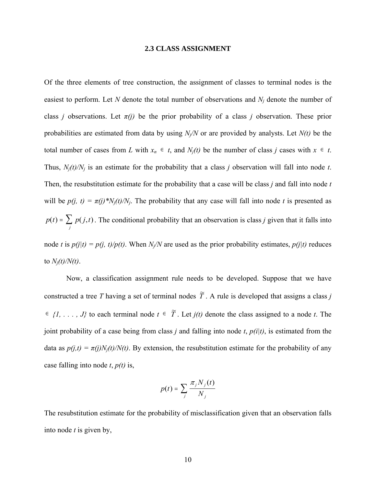#### **2.3 CLASS ASSIGNMENT**

<span id="page-19-0"></span>Of the three elements of tree construction, the assignment of classes to terminal nodes is the easiest to perform. Let *N* denote the total number of observations and *Nj* denote the number of class *j* observations. Let  $\pi(j)$  be the prior probability of a class *j* observation. These prior probabilities are estimated from data by using *Nj/N* or are provided by analysts. Let *N(t)* be the total number of cases from *L* with  $x_n \in t$ , and  $N_j(t)$  be the number of class *j* cases with  $x \in t$ . Thus,  $N_i(t)/N_i$  is an estimate for the probability that a class *j* observation will fall into node *t*. Then, the resubstitution estimate for the probability that a case will be class *j* and fall into node *t* will be  $p(j, t) = \pi(j) * N_j(t)/N_j$ . The probability that any case will fall into node *t* is presented as  $p(t) = \sum_{i} p(j, t)$ . The conditional probability that an observation is class *j* given that it falls into node *t* is  $p(j|t) = p(j, t)/p(t)$ . When *N<sub>j</sub>*/*N* are used as the prior probability estimates,  $p(j|t)$  reduces to  $N_i(t)/N(t)$ .  $f(t) = \sum_j p(j,t)$ 

Now, a classification assignment rule needs to be developed. Suppose that we have constructed a tree *T* having a set of terminal nodes  $\tilde{T}$ . A rule is developed that assigns a class *j*  $∈$  {*I*, . . . , *J*} to each terminal node  $t ∈ \tilde{T}$ . Let *j*(*t*) denote the class assigned to a node *t*. The joint probability of a case being from class *j* and falling into node *t*, *p(i|t)*, is estimated from the data as  $p(j,t) = \pi(j)N_i(t)/N(t)$ . By extension, the resubstitution estimate for the probability of any case falling into node *t*, *p(t)* is,

$$
p(t) = \sum_{j} \frac{\pi_j N_j(t)}{N_j}
$$

The resubstitution estimate for the probability of misclassification given that an observation falls into node *t* is given by,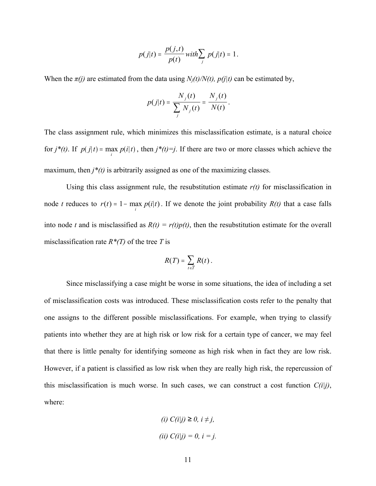$$
p(j|t) = \frac{p(j,t)}{p(t)} \text{ with } \sum_j p(j|t) = 1.
$$

When the  $\pi(j)$  are estimated from the data using  $N_i(t)/N(t)$ ,  $p(j|t)$  can be estimated by,

$$
p(j|t) = \frac{N_{j}(t)}{\sum_{j} N_{j}(t)} = \frac{N_{j}(t)}{N(t)}.
$$

The class assignment rule, which minimizes this misclassification estimate, is a natural choice for  $j^*(t)$ . If  $p(j|t) = \max_i p(i|t)$ , then  $j^*(t) = j$ . If there are two or more classes which achieve the maximum, then  $j^*(t)$  is arbitrarily assigned as one of the maximizing classes.

Using this class assignment rule, the resubstitution estimate *r(t)* for misclassification in node *t* reduces to  $r(t) = 1 - \max_i p(i|t)$ . If we denote the joint probability  $R(t)$  that a case falls into node *t* and is misclassified as  $R(t) = r(t)p(t)$ , then the resubstitution estimate for the overall misclassification rate *R\*(T)* of the tree *T* is

$$
R(T)=\sum_{t\in\widetilde{T}}R(t).
$$

Since misclassifying a case might be worse in some situations, the idea of including a set of misclassification costs was introduced. These misclassification costs refer to the penalty that one assigns to the different possible misclassifications. For example, when trying to classify patients into whether they are at high risk or low risk for a certain type of cancer, we may feel that there is little penalty for identifying someone as high risk when in fact they are low risk. However, if a patient is classified as low risk when they are really high risk, the repercussion of this misclassification is much worse. In such cases, we can construct a cost function  $C(i|j)$ , where:

(i) 
$$
C(i|j) \ge 0, i \ne j,
$$
  
(ii)  $C(i|j) = 0, i = j.$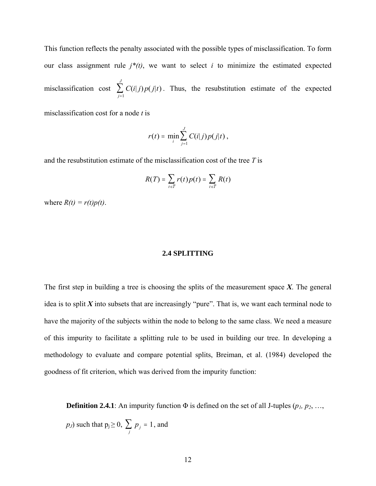<span id="page-21-0"></span>This function reflects the penalty associated with the possible types of misclassification. To form our class assignment rule  $j^*(t)$ , we want to select  $i$  to minimize the estimated expected misclassification cost  $\sum C(i|j)p(j|t)$ . Thus, the resubstitution estimate of the expected *j J*  $(i|j) p(j|t)$  $\sum_{j=1}$ 

misclassification cost for a node *t* is

$$
r(t) = \min_{i} \sum_{j=1}^{J} C(i|j) p(j|t),
$$

and the resubstitution estimate of the misclassification cost of the tree *T* is

$$
R(T) = \sum_{t \in \widetilde{T}} r(t) p(t) = \sum_{t \in \widetilde{T}} R(t)
$$

where  $R(t) = r(t)p(t)$ .

### **2.4 SPLITTING**

The first step in building a tree is choosing the splits of the measurement space *Χ*. The general idea is to split  $X$  into subsets that are increasingly "pure". That is, we want each terminal node to have the majority of the subjects within the node to belong to the same class. We need a measure of this impurity to facilitate a splitting rule to be used in building our tree. In developing a methodology to evaluate and compare potential splits, Breiman, et al. (1984) developed the goodness of fit criterion, which was derived from the impurity function:

**Definition 2.4.1**: An impurity function  $\Phi$  is defined on the set of all J-tuples ( $p_1, p_2, \ldots,$ 

*p<sub>J</sub>*) such that  $p_j \ge 0$ ,  $\sum_j p_j = 1$ , and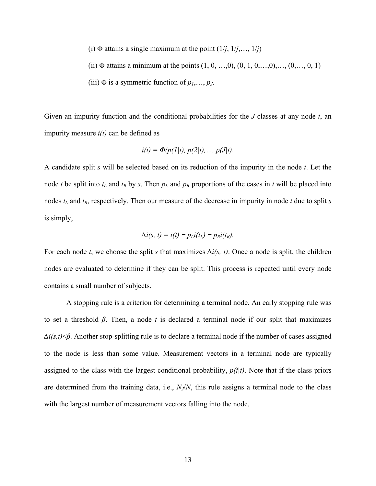- (i)  $\Phi$  attains a single maximum at the point  $(1/j, 1/j, \ldots, 1/j)$
- (ii)  $\Phi$  attains a minimum at the points  $(1, 0, ..., 0), (0, 1, 0, ..., 0), ..., (0, ..., 0, 1)$
- (iii)  $\Phi$  is a symmetric function of  $p_1, \ldots, p_J$ .

Given an impurity function and the conditional probabilities for the *J* classes at any node *t*, an impurity measure *i(t)* can be defined as

$$
i(t) = \Phi(p(1|t), p(2|t), ..., p(J|t).
$$

A candidate split *s* will be selected based on its reduction of the impurity in the node *t*. Let the node *t* be split into  $t_L$  and  $t_R$  by *s*. Then  $p_L$  and  $p_R$  proportions of the cases in *t* will be placed into nodes *tL* and *tR*, respectively. Then our measure of the decrease in impurity in node *t* due to split *s* is simply,

$$
\Delta i(s, t) = i(t) - p_L i(t_L) - p_R i(t_R).
$$

For each node *t*, we choose the split *s* that maximizes *∆i(s, t)*. Once a node is split, the children nodes are evaluated to determine if they can be split. This process is repeated until every node contains a small number of subjects.

A stopping rule is a criterion for determining a terminal node. An early stopping rule was to set a threshold *β*. Then, a node *t* is declared a terminal node if our split that maximizes *∆i(s,t)*<*β*. Another stop-splitting rule is to declare a terminal node if the number of cases assigned to the node is less than some value. Measurement vectors in a terminal node are typically assigned to the class with the largest conditional probability,  $p(j|t)$ . Note that if the class priors are determined from the training data, i.e., *NJ*/*N*, this rule assigns a terminal node to the class with the largest number of measurement vectors falling into the node.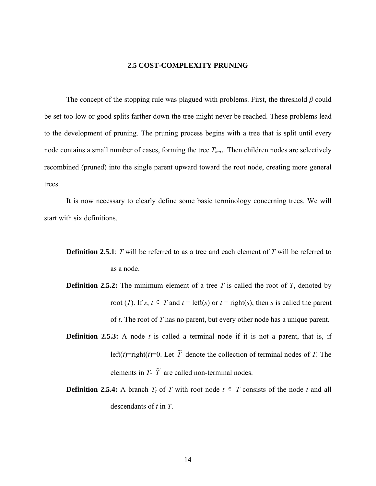## **2.5 COST-COMPLEXITY PRUNING**

<span id="page-23-0"></span>The concept of the stopping rule was plagued with problems. First, the threshold *β* could be set too low or good splits farther down the tree might never be reached. These problems lead to the development of pruning. The pruning process begins with a tree that is split until every node contains a small number of cases, forming the tree  $T_{max}$ . Then children nodes are selectively recombined (pruned) into the single parent upward toward the root node, creating more general trees.

It is now necessary to clearly define some basic terminology concerning trees. We will start with six definitions.

- **Definition 2.5.1**: *T* will be referred to as a tree and each element of *T* will be referred to as a node.
- **Definition 2.5.2:** The minimum element of a tree *T* is called the root of *T*, denoted by root (*T*). If *s*,  $t \in T$  and  $t = \text{left}(s)$  or  $t = \text{right}(s)$ , then *s* is called the parent of *t*. The root of *T* has no parent, but every other node has a unique parent.
- **Definition 2.5.3:** A node *t* is called a terminal node if it is not a parent, that is, if left(*t*)=right(*t*)=0. Let  $\widetilde{T}$  denote the collection of terminal nodes of *T*. The elements in  $T - \tilde{T}$  are called non-terminal nodes.
- **Definition 2.5.4:** A branch  $T_t$  of *T* with root node  $t \in T$  consists of the node *t* and all descendants of *t* in *T*.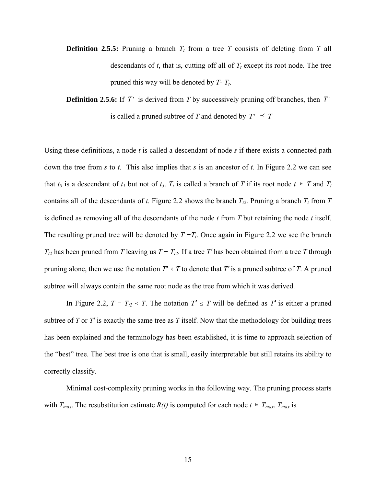**Definition 2.5.5:** Pruning a branch  $T_t$  from a tree  $T$  consists of deleting from  $T$  all descendants of  $t$ , that is, cutting off all of  $T_t$  except its root node. The tree pruned this way will be denoted by *T*- *Tt*.

**Definition 2.5.6:** If T' is derived from T by successively pruning off branches, then T' is called a pruned subtree of *T* and denoted by  $T' \preceq T$ 

Using these definitions, a node *t* is called a descendant of node *s* if there exists a connected path down the tree from *s* to *t*. This also implies that *s* is an ancestor of *t*. In [Figure 2.2](#page-25-0) we can see that  $t_8$  is a descendant of  $t_1$  but not of  $t_3$ .  $T_t$  is called a branch of *T* if its root node  $t \in T$  and  $T_t$ contains all of the descendants of *t*. [Figure 2.2](#page-25-0) shows the branch  $T_{t2}$ . Pruning a branch  $T_t$  from  $T$ is defined as removing all of the descendants of the node *t* from *T* but retaining the node *t* itself. The resulting pruned tree will be denoted by  $T - T_t$ . Once again in [Figure 2.2](#page-25-0) we see the branch  $T_{t2}$  has been pruned from *T* leaving us  $T - T_{t2}$ . If a tree *T'* has been obtained from a tree *T* through pruning alone, then we use the notation  $T' \prec T$  to denote that  $T'$  is a pruned subtree of  $T$ . A pruned subtree will always contain the same root node as the tree from which it was derived.

In [Figure 2.2,](#page-25-0)  $T - T_{12} \lt T$ . The notation  $T' \leq T$  will be defined as  $T'$  is either a pruned subtree of *T* or *T′* is exactly the same tree as *T* itself. Now that the methodology for building trees has been explained and the terminology has been established, it is time to approach selection of the "best" tree. The best tree is one that is small, easily interpretable but still retains its ability to correctly classify.

Minimal cost-complexity pruning works in the following way. The pruning process starts with  $T_{max}$ . The resubstitution estimate  $R(t)$  is computed for each node  $t \in T_{max}$ .  $T_{max}$  is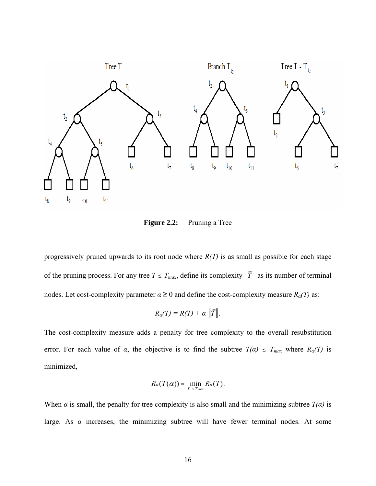<span id="page-25-0"></span>

**Figure 2.2:** Pruning a Tree

progressively pruned upwards to its root node where *R(T)* is as small as possible for each stage of the pruning process. For any tree  $T \leq T_{max}$ , define its complexity  $\|\widetilde{T}\|$  as its number of terminal nodes. Let cost-complexity parameter  $\alpha \ge 0$  and define the cost-complexity measure  $R_{\alpha}(T)$  as:

$$
R_{\alpha}(T)=R(T)+\alpha \|\widetilde{T}\|.
$$

The cost-complexity measure adds a penalty for tree complexity to the overall resubstitution error. For each value of  $\alpha$ , the objective is to find the subtree  $T(\alpha) \leq T_{max}$  where  $R_{\alpha}(T)$  is minimized,

$$
R_{\alpha}(T(\alpha))=\min_{T\prec T_{\max}}R_{\alpha}(T).
$$

When *α* is small, the penalty for tree complexity is also small and the minimizing subtree  $T(\alpha)$  is large. As  $\alpha$  increases, the minimizing subtree will have fewer terminal nodes. At some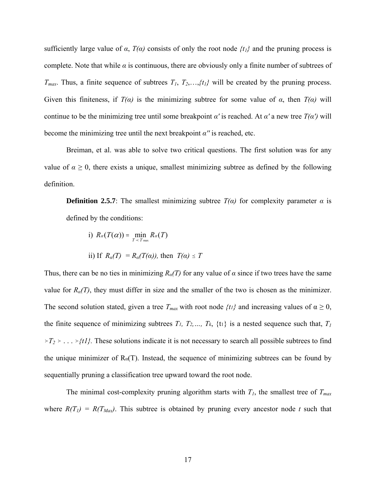sufficiently large value of  $\alpha$ ,  $T(\alpha)$  consists of only the root node  $\{t_l\}$  and the pruning process is complete. Note that while  $\alpha$  is continuous, there are obviously only a finite number of subtrees of  $T_{max}$ . Thus, a finite sequence of subtrees  $T_1, T_2, \ldots, \{t_l\}$  will be created by the pruning process. Given this finiteness, if  $T(\alpha)$  is the minimizing subtree for some value of  $\alpha$ , then  $T(\alpha)$  will continue to be the minimizing tree until some breakpoint *α'* is reached. At *α'* a new tree  $T(a')$  will become the minimizing tree until the next breakpoint *α′′* is reached, etc.

Breiman, et al. was able to solve two critical questions. The first solution was for any value of  $\alpha \geq 0$ , there exists a unique, smallest minimizing subtree as defined by the following definition.

**Definition 2.5.7**: The smallest minimizing subtree  $T(\alpha)$  for complexity parameter  $\alpha$  is defined by the conditions:

i)  $R_{\alpha}(T(\alpha)) = \min_{T \prec T \text{ max}} R_{\alpha}(T)$ ii) If  $R_{\alpha}(T) = R_{\alpha}(T(\alpha))$ , then  $T(\alpha) \leq T$ 

Thus, there can be no ties in minimizing  $R_{\alpha}(T)$  for any value of  $\alpha$  since if two trees have the same value for  $R_a(T)$ , they must differ in size and the smaller of the two is chosen as the minimizer. The second solution stated, given a tree  $T_{max}$  with root node  $\{t\}$  and increasing values of  $\alpha \ge 0$ , the finite sequence of minimizing subtrees  $T_1$ ,  $T_2$ ,  $T_k$ ,  $\{t_1\}$  is a nested sequence such that,  $T_1$  $\forall T_2 \rightarrow \dots \forall tI$ . These solutions indicate it is not necessary to search all possible subtrees to find the unique minimizer of  $R_{\alpha}(T)$ . Instead, the sequence of minimizing subtrees can be found by sequentially pruning a classification tree upward toward the root node.

The minimal cost-complexity pruning algorithm starts with  $T_I$ , the smallest tree of  $T_{max}$ where  $R(T_1) = R(T_{Max})$ . This subtree is obtained by pruning every ancestor node *t* such that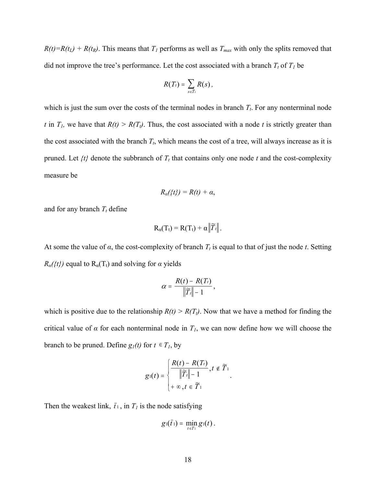$R(t)=R(t_L) + R(t_R)$ . This means that  $T_I$  performs as well as  $T_{max}$  with only the splits removed that did not improve the tree's performance. Let the cost associated with a branch  $T_t$  of  $T_l$  be

$$
R(T_t)=\sum_{s\in\widetilde{T}_t}R(s),
$$

which is just the sum over the costs of the terminal nodes in branch  $T_t$ . For any nonterminal node *t* in  $T_l$ , we have that  $R(t) > R(T_l)$ . Thus, the cost associated with a node *t* is strictly greater than the cost associated with the branch  $T_t$ , which means the cost of a tree, will always increase as it is pruned. Let  $\{t\}$  denote the subbranch of  $T_t$  that contains only one node  $t$  and the cost-complexity measure be

$$
R_{\alpha}(\{t\})=R(t)+\alpha,
$$

and for any branch  $T_t$  define

$$
R_{\alpha}(T_t) = R(T_t) + \alpha \left\| \widetilde{T}_t \right\|.
$$

At some the value of  $\alpha$ , the cost-complexity of branch  $T_t$  is equal to that of just the node *t*. Setting  $R_a$ ({t}) equal to  $R_a(T_t)$  and solving for *α* yields

$$
\alpha = \frac{R(t) - R(T_t)}{\|\widetilde{T}_t\| - 1},
$$

which is positive due to the relationship  $R(t) > R(T_t)$ . Now that we have a method for finding the critical value of  $\alpha$  for each nonterminal node in  $T_l$ , we can now define how we will choose the branch to be pruned. Define  $g_l(t)$  for  $t \in T_l$ , by

$$
g_1(t) = \begin{cases} \frac{R(t) - R(T_t)}{\|\widetilde{T}_t\| - 1}, t \notin \widetilde{T}_1 \\ + \infty, t \in \widetilde{T}_1 \end{cases}
$$

.

Then the weakest link,  $\bar{t}_1$ , in  $T_1$  is the node satisfying

$$
g_1(\bar{t}_1)=\min_{t\in T_1}g_1(t).
$$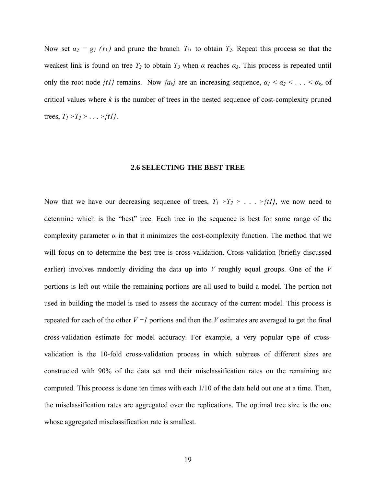<span id="page-28-0"></span>Now set  $\alpha_2 = g_1(\bar{t}_1)$  and prune the branch  $T_{\bar{t}_1}$  to obtain  $T_2$ . Repeat this process so that the weakest link is found on tree  $T_2$  to obtain  $T_3$  when  $\alpha$  reaches  $\alpha_3$ . This process is repeated until only the root node  $\{t\}$  remains. Now  $\{a_k\}$  are an increasing sequence,  $a_1 < a_2 < \ldots < a_k$ , of critical values where *k* is the number of trees in the nested sequence of cost-complexity pruned trees,  $T_1 \succ T_2 \succ \ldots \succ \{t1\}.$ 

#### **2.6 SELECTING THE BEST TREE**

Now that we have our decreasing sequence of trees,  $T_1 \rightharpoonup T_2 \rightharpoonup ... \rightharpoonup \{t\}$ , we now need to determine which is the "best" tree. Each tree in the sequence is best for some range of the complexity parameter  $\alpha$  in that it minimizes the cost-complexity function. The method that we will focus on to determine the best tree is cross-validation. Cross-validation (briefly discussed earlier) involves randomly dividing the data up into *V* roughly equal groups. One of the *V* portions is left out while the remaining portions are all used to build a model. The portion not used in building the model is used to assess the accuracy of the current model. This process is repeated for each of the other *V −1* portions and then the *V* estimates are averaged to get the final cross-validation estimate for model accuracy. For example, a very popular type of crossvalidation is the 10-fold cross-validation process in which subtrees of different sizes are constructed with 90% of the data set and their misclassification rates on the remaining are computed. This process is done ten times with each 1/10 of the data held out one at a time. Then, the misclassification rates are aggregated over the replications. The optimal tree size is the one whose aggregated misclassification rate is smallest.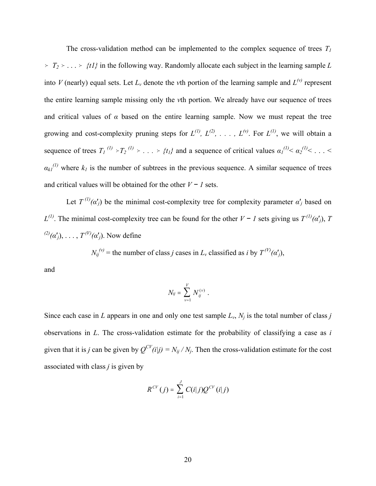The cross-validation method can be implemented to the complex sequence of trees  $T_I$  $\geq T_2 \geq \ldots \geq \{t\}$  in the following way. Randomly allocate each subject in the learning sample *L* into *V* (nearly) equal sets. Let  $L<sub>v</sub>$  denote the *v*th portion of the learning sample and  $L<sup>(v)</sup>$  represent the entire learning sample missing only the *v*th portion. We already have our sequence of trees and critical values of  $\alpha$  based on the entire learning sample. Now we must repeat the tree growing and cost-complexity pruning steps for  $L^{(1)}$ ,  $L^{(2)}$ , ...,  $L^{(v)}$ . For  $L^{(1)}$ , we will obtain a sequence of trees  $T_1^{(1)} \rightarrow T_2^{(1)} \rightarrow \ldots \rightarrow \{t_l\}$  and a sequence of critical values  $\alpha_l^{(1)} < \alpha_2^{(1)} < \ldots <$  $a_{kl}^{(1)}$  where  $k_l$  is the number of subtrees in the previous sequence. A similar sequence of trees and critical values will be obtained for the other *V − 1* sets.

Let  $T^{(1)}(\alpha'_j)$  be the minimal cost-complexity tree for complexity parameter  $\alpha'_j$  based on *L*<sup>(1)</sup>. The minimal cost-complexity tree can be found for the other *V* − *1* sets giving us  $T^{(1)}(α<sup>'</sup>)$ , *T*  $T^{(2)}(\alpha'_i), \ldots, T^{(V)}(\alpha'_i)$ . Now define

 $N_{ij}^{(v)}$  = the number of class *j* cases in  $L_v$  classified as *i* by  $T^{(V)}(\alpha'_j)$ ,

and

$$
N_{ij} = \sum_{v=1}^{V} N_{ij}^{(v)}.
$$

Since each case in *L* appears in one and only one test sample  $L_v$ ,  $N_i$  is the total number of class *j* observations in *L*. The cross-validation estimate for the probability of classifying a case as *i* given that it is *j* can be given by  $Q^{CV}(i|j) = N_{ij}/N_j$ . Then the cross-validation estimate for the cost associated with class *j* is given by

$$
R^{CV}(j) = \sum_{i=1}^{J} C(i|j) Q^{CV}(i|j)
$$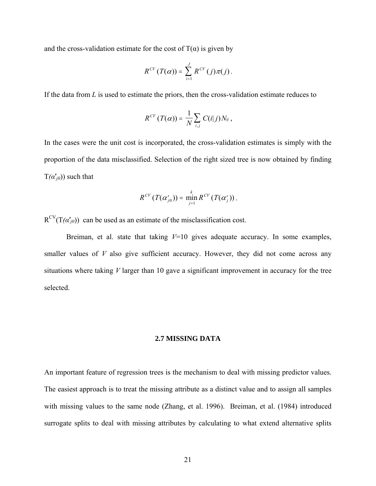<span id="page-30-0"></span>and the cross-validation estimate for the cost of  $T(\alpha)$  is given by

$$
R^{CV}(T(\alpha)) = \sum_{i=1}^{J} R^{CV}(j)\pi(j).
$$

If the data from *L* is used to estimate the priors, then the cross-validation estimate reduces to

$$
R^{CV}(T(\alpha)) = \frac{1}{N} \sum_{i,j} C(i|j) N_{ij},
$$

In the cases were the unit cost is incorporated, the cross-validation estimates is simply with the proportion of the data misclassified. Selection of the right sized tree is now obtained by finding  $T(\alpha'_{i0})$ ) such that

$$
R^{CV}(T(\alpha'_{j0})) = \min_{j=1}^k R^{CV}(T(\alpha'_{j})).
$$

 $R^{CV}(T(\alpha'_{i0}))$  can be used as an estimate of the misclassification cost.

Breiman, et al. state that taking *V*=10 gives adequate accuracy. In some examples, smaller values of *V* also give sufficient accuracy. However, they did not come across any situations where taking *V* larger than 10 gave a significant improvement in accuracy for the tree selected.

### **2.7 MISSING DATA**

An important feature of regression trees is the mechanism to deal with missing predictor values. The easiest approach is to treat the missing attribute as a distinct value and to assign all samples with missing values to the same node (Zhang, et al. 1996). Breiman, et al. (1984) introduced surrogate splits to deal with missing attributes by calculating to what extend alternative splits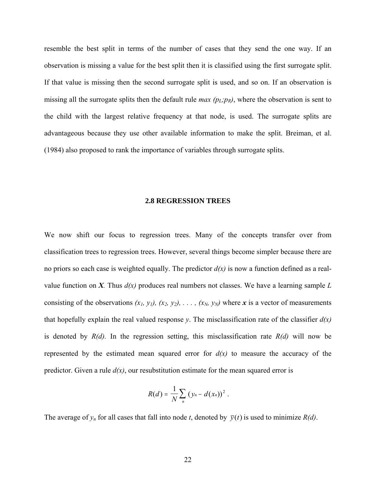<span id="page-31-0"></span>resemble the best split in terms of the number of cases that they send the one way. If an observation is missing a value for the best split then it is classified using the first surrogate split. If that value is missing then the second surrogate split is used, and so on. If an observation is missing all the surrogate splits then the default rule *max*  $(p_L; p_R)$ , where the observation is sent to the child with the largest relative frequency at that node, is used. The surrogate splits are advantageous because they use other available information to make the split. Breiman, et al. (1984) also proposed to rank the importance of variables through surrogate splits.

#### **2.8 REGRESSION TREES**

We now shift our focus to regression trees. Many of the concepts transfer over from classification trees to regression trees. However, several things become simpler because there are no priors so each case is weighted equally. The predictor *d(x)* is now a function defined as a realvalue function on *X*. Thus  $d(x)$  produces real numbers not classes. We have a learning sample *L* consisting of the observations  $(x_1, y_1)$ ,  $(x_2, y_2)$ , ...,  $(x_N, y_N)$  where x is a vector of measurements that hopefully explain the real valued response *y*. The misclassification rate of the classifier  $d(x)$ is denoted by  $R(d)$ . In the regression setting, this misclassification rate  $R(d)$  will now be represented by the estimated mean squared error for  $d(x)$  to measure the accuracy of the predictor. Given a rule  $d(x)$ , our resubstitution estimate for the mean squared error is

$$
R(d) = \frac{1}{N} \sum_n (y_n - d(x_n))^2.
$$

The average of  $y_n$  for all cases that fall into node *t*, denoted by  $\bar{y}(t)$  is used to minimize  $R(d)$ .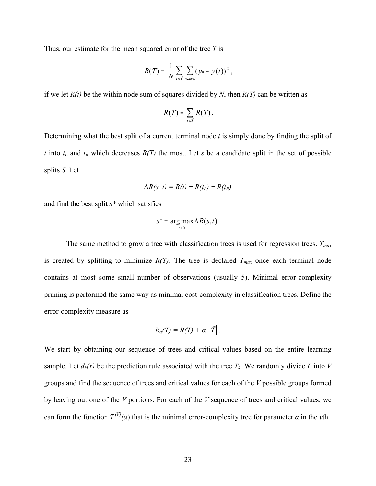Thus, our estimate for the mean squared error of the tree *T* is

$$
R(T) = \frac{1}{N} \sum_{t \in \widetilde{T}} \sum_{n: x_n \in t} (y_n - \overline{y}(t))^2,
$$

if we let  $R(t)$  be the within node sum of squares divided by *N*, then  $R(T)$  can be written as

$$
R(T)=\sum_{t\in\widetilde{T}}R(T).
$$

Determining what the best split of a current terminal node *t* is simply done by finding the split of *t* into  $t_L$  and  $t_R$  which decreases  $R(T)$  the most. Let *s* be a candidate split in the set of possible splits *S*. Let

$$
\Delta R(s, t) = R(t) - R(t_L) - R(t_R)
$$

and find the best split *s\** which satisfies

$$
s^* = \arg\max_{s \in S} \Delta R(s,t).
$$

The same method to grow a tree with classification trees is used for regression trees.  $T_{max}$ is created by splitting to minimize  $R(T)$ . The tree is declared  $T_{max}$  once each terminal node contains at most some small number of observations (usually 5). Minimal error-complexity pruning is performed the same way as minimal cost-complexity in classification trees. Define the error-complexity measure as

$$
R_{\alpha}(T)=R(T)+\alpha \|\widetilde{T}\|.
$$

We start by obtaining our sequence of trees and critical values based on the entire learning sample. Let  $d_k(x)$  be the prediction rule associated with the tree  $T_k$ . We randomly divide *L* into *V* groups and find the sequence of trees and critical values for each of the *V* possible groups formed by leaving out one of the *V* portions. For each of the *V* sequence of trees and critical values, we can form the function  $T^{(V)}(a)$  that is the minimal error-complexity tree for parameter  $\alpha$  in the *v*th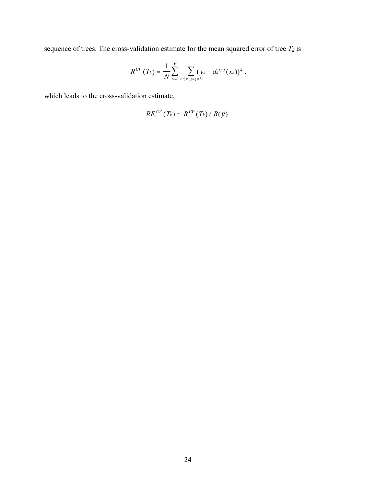sequence of trees. The cross-validation estimate for the mean squared error of tree  $T_k$  is

$$
R^{CV}(T_k) = \frac{1}{N} \sum_{\nu=1}^{V} \sum_{n:(x_n,y_n)\in L_{\nu}} (y_n - d_k {^{(\nu)}}(x_n))^2.
$$

which leads to the cross-validation estimate,

$$
RE^{CV}(T_k) = R^{CV}(T_k) / R(\bar{y}).
$$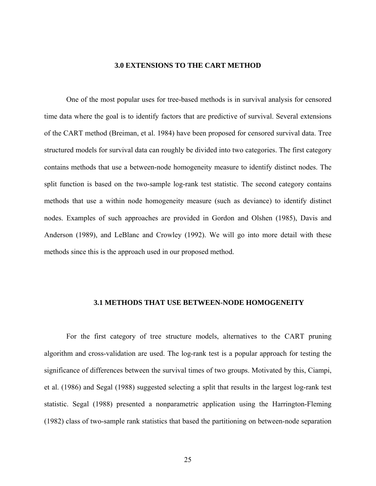## **3.0 EXTENSIONS TO THE CART METHOD**

<span id="page-34-0"></span>One of the most popular uses for tree-based methods is in survival analysis for censored time data where the goal is to identify factors that are predictive of survival. Several extensions of the CART method (Breiman, et al. 1984) have been proposed for censored survival data. Tree structured models for survival data can roughly be divided into two categories. The first category contains methods that use a between-node homogeneity measure to identify distinct nodes. The split function is based on the two-sample log-rank test statistic. The second category contains methods that use a within node homogeneity measure (such as deviance) to identify distinct nodes. Examples of such approaches are provided in Gordon and Olshen (1985), Davis and Anderson (1989), and LeBlanc and Crowley (1992). We will go into more detail with these methods since this is the approach used in our proposed method.

#### **3.1 METHODS THAT USE BETWEEN-NODE HOMOGENEITY**

For the first category of tree structure models, alternatives to the CART pruning algorithm and cross-validation are used. The log-rank test is a popular approach for testing the significance of differences between the survival times of two groups. Motivated by this, Ciampi, et al. (1986) and Segal (1988) suggested selecting a split that results in the largest log-rank test statistic. Segal (1988) presented a nonparametric application using the Harrington-Fleming (1982) class of two-sample rank statistics that based the partitioning on between-node separation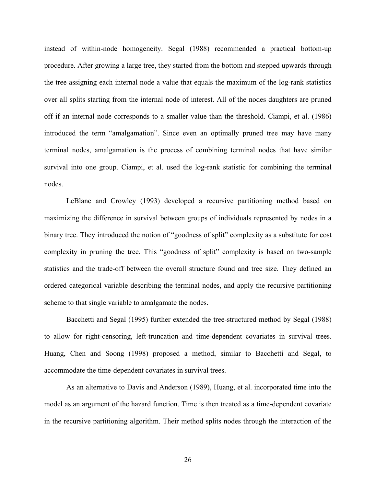instead of within-node homogeneity. Segal (1988) recommended a practical bottom-up procedure. After growing a large tree, they started from the bottom and stepped upwards through the tree assigning each internal node a value that equals the maximum of the log-rank statistics over all splits starting from the internal node of interest. All of the nodes daughters are pruned off if an internal node corresponds to a smaller value than the threshold. Ciampi, et al. (1986) introduced the term "amalgamation". Since even an optimally pruned tree may have many terminal nodes, amalgamation is the process of combining terminal nodes that have similar survival into one group. Ciampi, et al. used the log-rank statistic for combining the terminal nodes.

LeBlanc and Crowley (1993) developed a recursive partitioning method based on maximizing the difference in survival between groups of individuals represented by nodes in a binary tree. They introduced the notion of "goodness of split" complexity as a substitute for cost complexity in pruning the tree. This "goodness of split" complexity is based on two-sample statistics and the trade-off between the overall structure found and tree size. They defined an ordered categorical variable describing the terminal nodes, and apply the recursive partitioning scheme to that single variable to amalgamate the nodes.

Bacchetti and Segal (1995) further extended the tree-structured method by Segal (1988) to allow for right-censoring, left-truncation and time-dependent covariates in survival trees. Huang, Chen and Soong (1998) proposed a method, similar to Bacchetti and Segal, to accommodate the time-dependent covariates in survival trees.

As an alternative to Davis and Anderson (1989), Huang, et al. incorporated time into the model as an argument of the hazard function. Time is then treated as a time-dependent covariate in the recursive partitioning algorithm. Their method splits nodes through the interaction of the

26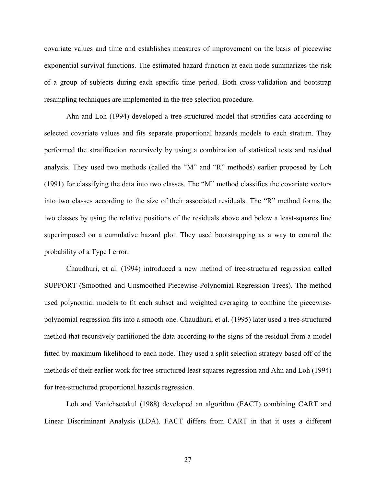covariate values and time and establishes measures of improvement on the basis of piecewise exponential survival functions. The estimated hazard function at each node summarizes the risk of a group of subjects during each specific time period. Both cross-validation and bootstrap resampling techniques are implemented in the tree selection procedure.

Ahn and Loh (1994) developed a tree-structured model that stratifies data according to selected covariate values and fits separate proportional hazards models to each stratum. They performed the stratification recursively by using a combination of statistical tests and residual analysis. They used two methods (called the "M" and "R" methods) earlier proposed by Loh (1991) for classifying the data into two classes. The "M" method classifies the covariate vectors into two classes according to the size of their associated residuals. The "R" method forms the two classes by using the relative positions of the residuals above and below a least-squares line superimposed on a cumulative hazard plot. They used bootstrapping as a way to control the probability of a Type I error.

Chaudhuri, et al. (1994) introduced a new method of tree-structured regression called SUPPORT (Smoothed and Unsmoothed Piecewise-Polynomial Regression Trees). The method used polynomial models to fit each subset and weighted averaging to combine the piecewisepolynomial regression fits into a smooth one. Chaudhuri, et al. (1995) later used a tree-structured method that recursively partitioned the data according to the signs of the residual from a model fitted by maximum likelihood to each node. They used a split selection strategy based off of the methods of their earlier work for tree-structured least squares regression and Ahn and Loh (1994) for tree-structured proportional hazards regression.

Loh and Vanichsetakul (1988) developed an algorithm (FACT) combining CART and Linear Discriminant Analysis (LDA). FACT differs from CART in that it uses a different

27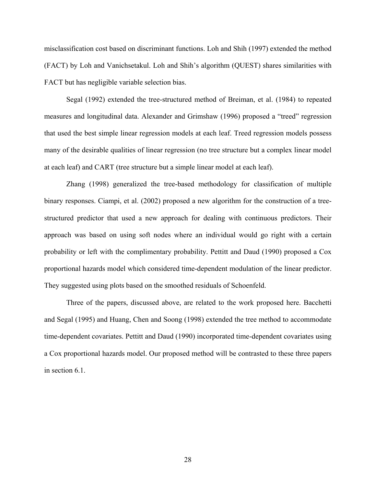misclassification cost based on discriminant functions. Loh and Shih (1997) extended the method (FACT) by Loh and Vanichsetakul. Loh and Shih's algorithm (QUEST) shares similarities with FACT but has negligible variable selection bias.

Segal (1992) extended the tree-structured method of Breiman, et al. (1984) to repeated measures and longitudinal data. Alexander and Grimshaw (1996) proposed a "treed" regression that used the best simple linear regression models at each leaf. Treed regression models possess many of the desirable qualities of linear regression (no tree structure but a complex linear model at each leaf) and CART (tree structure but a simple linear model at each leaf).

Zhang (1998) generalized the tree-based methodology for classification of multiple binary responses. Ciampi, et al. (2002) proposed a new algorithm for the construction of a treestructured predictor that used a new approach for dealing with continuous predictors. Their approach was based on using soft nodes where an individual would go right with a certain probability or left with the complimentary probability. Pettitt and Daud (1990) proposed a Cox proportional hazards model which considered time-dependent modulation of the linear predictor. They suggested using plots based on the smoothed residuals of Schoenfeld.

Three of the papers, discussed above, are related to the work proposed here. Bacchetti and Segal (1995) and Huang, Chen and Soong (1998) extended the tree method to accommodate time-dependent covariates. Pettitt and Daud (1990) incorporated time-dependent covariates using a Cox proportional hazards model. Our proposed method will be contrasted to these three papers in [section 6.1](#page-63-0).

28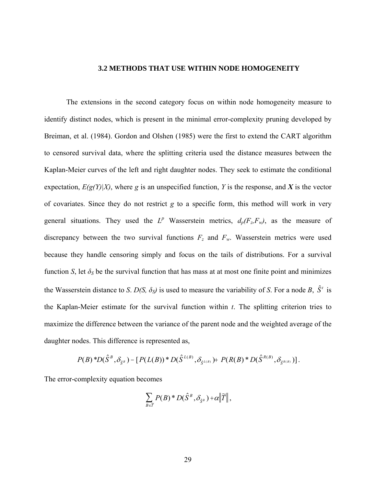## **3.2 METHODS THAT USE WITHIN NODE HOMOGENEITY**

The extensions in the second category focus on within node homogeneity measure to identify distinct nodes, which is present in the minimal error-complexity pruning developed by Breiman, et al. (1984). Gordon and Olshen (1985) were the first to extend the CART algorithm to censored survival data, where the splitting criteria used the distance measures between the Kaplan-Meier curves of the left and right daughter nodes. They seek to estimate the conditional expectation,  $E(g(Y)|X)$ , where *g* is an unspecified function, *Y* is the response, and *X* is the vector of covariates. Since they do not restrict *g* to a specific form, this method will work in very general situations. They used the  $L^p$  Wasserstein metrics,  $d_p(F_z, F_w)$ , as the measure of discrepancy between the two survival functions  $F_z$  and  $F_w$ . Wasserstein metrics were used because they handle censoring simply and focus on the tails of distributions. For a survival function *S*, let  $\delta_S$  be the survival function that has mass at at most one finite point and minimizes the Wasserstein distance to *S*.  $D(S, \delta_S)$  is used to measure the variability of *S*. For a node *B*,  $\hat{S}^t$  is the Kaplan-Meier estimate for the survival function within *t*. The splitting criterion tries to maximize the difference between the variance of the parent node and the weighted average of the daughter nodes. This difference is represented as,

$$
P(B)*D(\hat{S}^{B}, \delta_{\hat{S}^{B}}) - [P(L(B))*D(\hat{S}^{L(B)}, \delta_{\hat{S}^{L(B)}}) + P(R(B)*D(\hat{S}^{R(B)}, \delta_{\hat{S}^{R(B)}})].
$$

The error-complexity equation becomes

$$
\sum_{B\in\widetilde{T}} P(B)^* D(\hat{S}^B, \delta_{\hat{S}^B}) + \alpha \|\widetilde{T}\|,
$$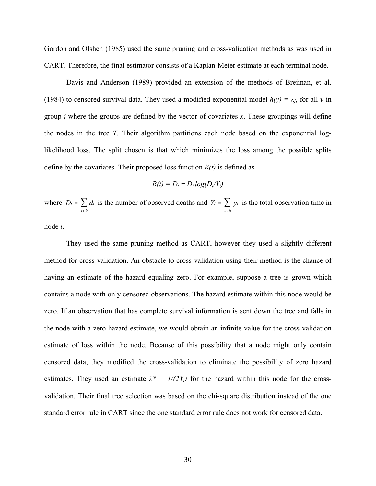Gordon and Olshen (1985) used the same pruning and cross-validation methods as was used in CART. Therefore, the final estimator consists of a Kaplan-Meier estimate at each terminal node.

Davis and Anderson (1989) provided an extension of the methods of Breiman, et al. (1984) to censored survival data. They used a modified exponential model  $h(y) = \lambda_j$ , for all *y* in group *j* where the groups are defined by the vector of covariates *x*. These groupings will define the nodes in the tree *T*. Their algorithm partitions each node based on the exponential loglikelihood loss. The split chosen is that which minimizes the loss among the possible splits define by the covariates. Their proposed loss function *R(t)* is defined as

$$
R(t) = D_t - D_t \log(D_t/Y_t)
$$

where  $D_t = \sum d_i$  is the number of observed deaths and *Y*  $i \in t$ = ∈  $\sum d_i$  is the number of observed deaths and  $Y_t = \sum y_i$  $i \in \mathcal{U}$ = ∈  $\sum y_i$  is the total observation time in

node *t*.

They used the same pruning method as CART, however they used a slightly different method for cross-validation. An obstacle to cross-validation using their method is the chance of having an estimate of the hazard equaling zero. For example, suppose a tree is grown which contains a node with only censored observations. The hazard estimate within this node would be zero. If an observation that has complete survival information is sent down the tree and falls in the node with a zero hazard estimate, we would obtain an infinite value for the cross-validation estimate of loss within the node. Because of this possibility that a node might only contain censored data, they modified the cross-validation to eliminate the possibility of zero hazard estimates. They used an estimate  $\lambda^* = 1/(2Y_t)$  for the hazard within this node for the crossvalidation. Their final tree selection was based on the chi-square distribution instead of the one standard error rule in CART since the one standard error rule does not work for censored data.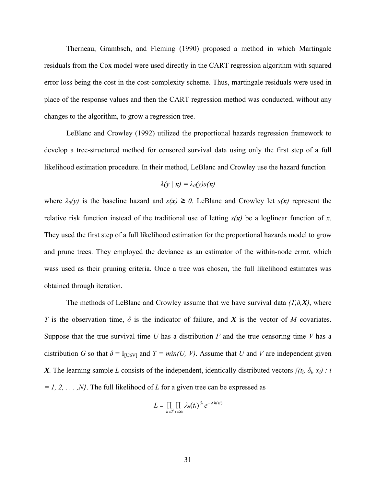Therneau, Grambsch, and Fleming (1990) proposed a method in which Martingale residuals from the Cox model were used directly in the CART regression algorithm with squared error loss being the cost in the cost-complexity scheme. Thus, martingale residuals were used in place of the response values and then the CART regression method was conducted, without any changes to the algorithm, to grow a regression tree.

LeBlanc and Crowley (1992) utilized the proportional hazards regression framework to develop a tree-structured method for censored survival data using only the first step of a full likelihood estimation procedure. In their method, LeBlanc and Crowley use the hazard function

$$
\lambda(y \mid x) = \lambda_0(y)s(x)
$$

where  $\lambda_0(y)$  is the baseline hazard and  $s(x) \ge 0$ . LeBlanc and Crowley let  $s(x)$  represent the relative risk function instead of the traditional use of letting *s(x)* be a loglinear function of *x*. They used the first step of a full likelihood estimation for the proportional hazards model to grow and prune trees. They employed the deviance as an estimator of the within-node error, which wass used as their pruning criteria. Once a tree was chosen, the full likelihood estimates was obtained through iteration.

The methods of LeBlanc and Crowley assume that we have survival data *(T,δ,X)*, where *T* is the observation time,  $\delta$  is the indicator of failure, and *X* is the vector of *M* covariates. Suppose that the true survival time *U* has a distribution *F* and the true censoring time *V* has a distribution *G* so that  $\delta = I_{[U \le V]}$  and  $T = min(U, V)$ . Assume that *U* and *V* are independent given *X*. The learning sample *L* consists of the independent, identically distributed vectors  $\{(t_i, \delta_i, x_i): i\}$ *= 1, 2, . . . ,N}*. The full likelihood of *L* for a given tree can be expressed as

$$
L = \prod_{h \in \widetilde{T}} \prod_{i \in S_h} \lambda_h(t_i)^{\delta_i} e^{-\Lambda h(t)}
$$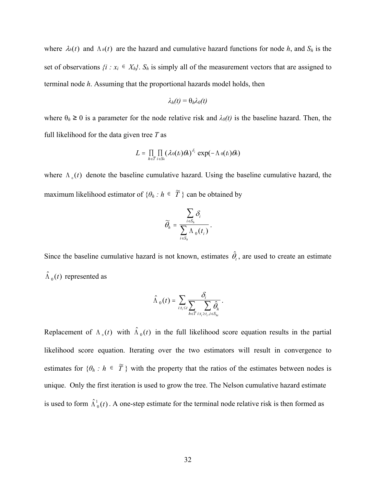where  $\lambda_h(t)$  and  $\Lambda_h(t)$  are the hazard and cumulative hazard functions for node h, and  $S_h$  is the set of observations  $\{i : x_i \in X_h\}$ .  $S_h$  is simply all of the measurement vectors that are assigned to terminal node *h*. Assuming that the proportional hazards model holds, then

$$
\lambda_h(t) = \theta_h \lambda_0(t)
$$

where  $\theta_h \ge 0$  is a parameter for the node relative risk and  $\lambda_0(t)$  is the baseline hazard. Then, the full likelihood for the data given tree *T* as

$$
L = \prod_{h \in \widetilde{T}} \prod_{i \in S_h} (\lambda_0(t_i) \theta_h)^{\delta_i} \exp(-\Lambda_0(t_i) \theta_h)
$$

where  $\Lambda_0(t)$  denote the baseline cumulative hazard. Using the baseline cumulative hazard, the maximum likelihood estimator of  $\{\theta_h : h \in \tilde{T}\}$  can be obtained by

$$
\widetilde{\theta}_h = \frac{\sum_{i \in S_h} \delta_i}{\sum_{i \in S_h} \Lambda_0(t_i)}.
$$

Since the baseline cumulative hazard is not known, estimates  $\hat{\theta}_t$ , are used to create an estimate  $\hat{\Lambda}_0(t)$  represented as

$$
\hat{\Lambda}_0(t) = \sum_{i:t_i \leq t} \frac{\delta_i}{\sum_{h \in \widetilde{T}} \sum_{i:t_i \geq t_i, i \in S_{hi}}}.
$$

Replacement of  $\Lambda_0(t)$  with  $\hat{\Lambda}_0(t)$  in the full likelihood score equation results in the partial likelihood score equation. Iterating over the two estimators will result in convergence to estimates for  $\{\theta_h : h \in \tilde{T}\}$  with the property that the ratios of the estimates between nodes is unique. Only the first iteration is used to grow the tree. The Nelson cumulative hazard estimate is used to form  $\hat{\Lambda}^1_0(t)$ . A one-step estimate for the terminal node relative risk is then formed as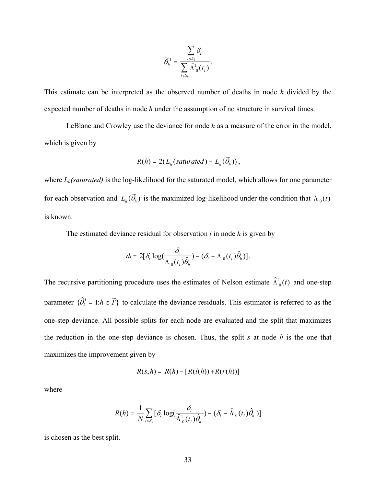$$
\widetilde{\theta}_h^1 = \frac{\sum_{i \in S_h} \delta_i}{\sum_{i \in S_h} \widehat{\Lambda}^1_0(t_i)}.
$$

This estimate can be interpreted as the observed number of deaths in node *h* divided by the expected number of deaths in node *h* under the assumption of no structure in survival times.

LeBlanc and Crowley use the deviance for node *h* as a measure of the error in the model, which is given by

$$
R(h) = 2(L_h(saturated) - L_h(\widetilde{\theta}_h)),
$$

where *L<sub>h</sub>(saturated)* is the log-likelihood for the saturated model, which allows for one parameter for each observation and  $L_h(\widetilde{\theta}_h)$  is the maximized log-likelihood under the condition that  $\Lambda_0(t)$ is known.

The estimated deviance residual for observation *i* in node *h* is given by

$$
d_i = 2[\delta_i \log(\frac{\delta_i}{\Lambda_0(t_i)\hat{\theta}_h}) - (\delta_i - \Lambda_0(t_i)\hat{\theta}_h)].
$$

The recursive partitioning procedure uses the estimates of Nelson estimate  $\hat{\Lambda}^1_0(t)$  and one-step parameter  $\{\hat{\theta}_h^1 = 1 : h \in \widetilde{T}\}\)$  to calculate the deviance residuals. This estimator is referred to as the one-step deviance. All possible splits for each node are evaluated and the split that maximizes the reduction in the one-step deviance is chosen. Thus, the split *s* at node *h* is the one that maximizes the improvement given by

$$
R(s,h) = R(h) - [R(l(h)) + R(r(h))]
$$

where

$$
R(h) = \frac{1}{N} \sum_{i \in S_h} [\delta_i \log(\frac{\delta_i}{\hat{\Lambda}_0^1(t_i)\hat{\theta}_h}) - (\delta_i - \hat{\Lambda}_0^1(t_i)\hat{\theta}_h)]
$$

is chosen as the best split.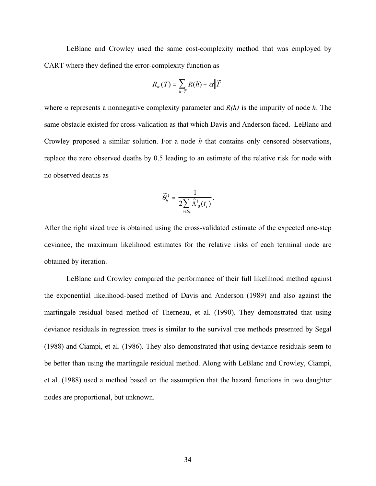LeBlanc and Crowley used the same cost-complexity method that was employed by CART where they defined the error-complexity function as

$$
R_{\alpha}(T) = \sum_{h \in \widetilde{T}} R(h) + \alpha \|\widetilde{T}\|
$$

where *α* represents a nonnegative complexity parameter and *R(h)* is the impurity of node *h*. The same obstacle existed for cross-validation as that which Davis and Anderson faced. LeBlanc and Crowley proposed a similar solution. For a node *h* that contains only censored observations, replace the zero observed deaths by 0.5 leading to an estimate of the relative risk for node with no observed deaths as

$$
\widetilde{\theta}^1_h = \frac{1}{2 \sum_{i \in S_h} \hat{\Lambda}^1_{0}(t_i)}.
$$

After the right sized tree is obtained using the cross-validated estimate of the expected one-step deviance, the maximum likelihood estimates for the relative risks of each terminal node are obtained by iteration.

LeBlanc and Crowley compared the performance of their full likelihood method against the exponential likelihood-based method of Davis and Anderson (1989) and also against the martingale residual based method of Therneau, et al. (1990). They demonstrated that using deviance residuals in regression trees is similar to the survival tree methods presented by Segal (1988) and Ciampi, et al. (1986). They also demonstrated that using deviance residuals seem to be better than using the martingale residual method. Along with LeBlanc and Crowley, Ciampi, et al. (1988) used a method based on the assumption that the hazard functions in two daughter nodes are proportional, but unknown.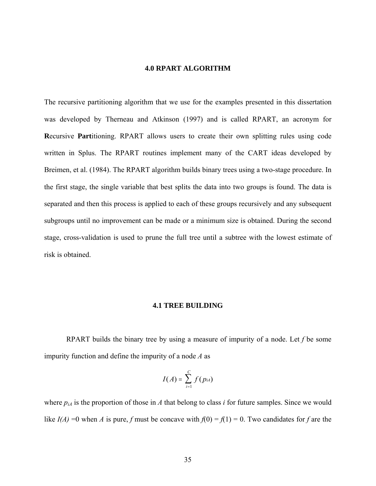## **4.0 RPART ALGORITHM**

The recursive partitioning algorithm that we use for the examples presented in this dissertation was developed by Therneau and Atkinson (1997) and is called RPART, an acronym for **R**ecursive **Part**itioning. RPART allows users to create their own splitting rules using code written in Splus. The RPART routines implement many of the CART ideas developed by Breimen, et al. (1984). The RPART algorithm builds binary trees using a two-stage procedure. In the first stage, the single variable that best splits the data into two groups is found. The data is separated and then this process is applied to each of these groups recursively and any subsequent subgroups until no improvement can be made or a minimum size is obtained. During the second stage, cross-validation is used to prune the full tree until a subtree with the lowest estimate of risk is obtained.

### **4.1 TREE BUILDING**

RPART builds the binary tree by using a measure of impurity of a node. Let *f* be some impurity function and define the impurity of a node *A* as

$$
I(A) = \sum_{i=1}^C f(p_{iA})
$$

where  $p_{iA}$  is the proportion of those in *A* that belong to class *i* for future samples. Since we would like  $I(A) = 0$  when *A* is pure, *f* must be concave with  $f(0) = f(1) = 0$ . Two candidates for *f* are the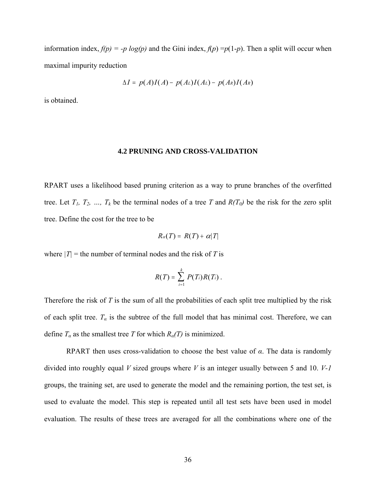information index,  $f(p) = -p \log(p)$  and the Gini index,  $f(p) = p(1-p)$ . Then a split will occur when maximal impurity reduction

$$
\Delta I = p(A)I(A) - p(A_L)I(A_L) - p(A_R)I(A_R)
$$

is obtained.

#### **4.2 PRUNING AND CROSS-VALIDATION**

RPART uses a likelihood based pruning criterion as a way to prune branches of the overfitted tree. Let  $T_1$ ,  $T_2$ , ...,  $T_k$  be the terminal nodes of a tree *T* and  $R(T_0)$  be the risk for the zero split tree. Define the cost for the tree to be

$$
R_{\alpha}(T) = R(T) + \alpha |T|
$$

where  $|T|$  = the number of terminal nodes and the risk of *T* is

$$
R(T)=\sum_{i=1}^k P(T_i)R(T_i).
$$

Therefore the risk of *T* is the sum of all the probabilities of each split tree multiplied by the risk of each split tree.  $T_a$  is the subtree of the full model that has minimal cost. Therefore, we can define  $T_a$  as the smallest tree *T* for which  $R_a(T)$  is minimized.

RPART then uses cross-validation to choose the best value of *α*. The data is randomly divided into roughly equal *V* sized groups where *V* is an integer usually between 5 and 10. *V-1* groups, the training set, are used to generate the model and the remaining portion, the test set, is used to evaluate the model. This step is repeated until all test sets have been used in model evaluation. The results of these trees are averaged for all the combinations where one of the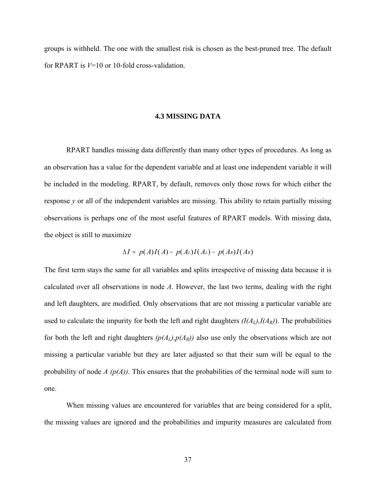groups is withheld. The one with the smallest risk is chosen as the best-pruned tree. The default for RPART is *V*=10 or 10-fold cross-validation.

### **4.3 MISSING DATA**

 RPART handles missing data differently than many other types of procedures. As long as an observation has a value for the dependent variable and at least one independent variable it will be included in the modeling. RPART, by default, removes only those rows for which either the response *y* or all of the independent variables are missing. This ability to retain partially missing observations is perhaps one of the most useful features of RPART models. With missing data, the object is still to maximize

$$
\Delta I = p(A)I(A) - p(A_L)I(A_L) - p(A_R)I(A_R)
$$

The first term stays the same for all variables and splits irrespective of missing data because it is calculated over all observations in node *A*. However, the last two terms, dealing with the right and left daughters, are modified. Only observations that are not missing a particular variable are used to calculate the impurity for both the left and right daughters  $(I(A_L), I(A_R))$ . The probabilities for both the left and right daughters  $(p(A_L), p(A_R))$  also use only the observations which are not missing a particular variable but they are later adjusted so that their sum will be equal to the probability of node *A (p(A))*. This ensures that the probabilities of the terminal node will sum to one.

When missing values are encountered for variables that are being considered for a split, the missing values are ignored and the probabilities and impurity measures are calculated from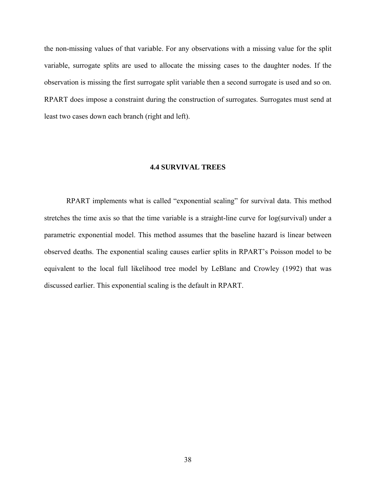the non-missing values of that variable. For any observations with a missing value for the split variable, surrogate splits are used to allocate the missing cases to the daughter nodes. If the observation is missing the first surrogate split variable then a second surrogate is used and so on. RPART does impose a constraint during the construction of surrogates. Surrogates must send at least two cases down each branch (right and left).

## **4.4 SURVIVAL TREES**

 RPART implements what is called "exponential scaling" for survival data. This method stretches the time axis so that the time variable is a straight-line curve for log(survival) under a parametric exponential model. This method assumes that the baseline hazard is linear between observed deaths. The exponential scaling causes earlier splits in RPART's Poisson model to be equivalent to the local full likelihood tree model by LeBlanc and Crowley (1992) that was discussed earlier. This exponential scaling is the default in RPART.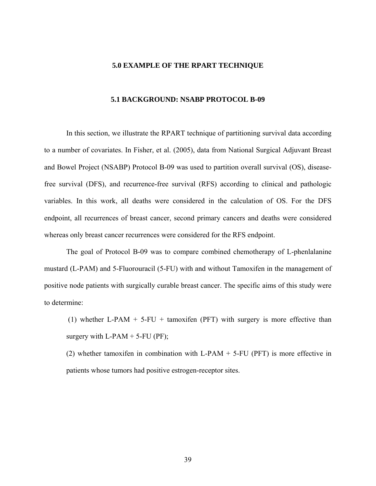### **5.0 EXAMPLE OF THE RPART TECHNIQUE**

### **5.1 BACKGROUND: NSABP PROTOCOL B-09**

In this section, we illustrate the RPART technique of partitioning survival data according to a number of covariates. In Fisher, et al. (2005), data from National Surgical Adjuvant Breast and Bowel Project (NSABP) Protocol B-09 was used to partition overall survival (OS), diseasefree survival (DFS), and recurrence-free survival (RFS) according to clinical and pathologic variables. In this work, all deaths were considered in the calculation of OS. For the DFS endpoint, all recurrences of breast cancer, second primary cancers and deaths were considered whereas only breast cancer recurrences were considered for the RFS endpoint.

The goal of Protocol B-09 was to compare combined chemotherapy of L-phenlalanine mustard (L-PAM) and 5-Fluorouracil (5-FU) with and without Tamoxifen in the management of positive node patients with surgically curable breast cancer. The specific aims of this study were to determine:

(1) whether L-PAM  $+$  5-FU  $+$  tamoxifen (PFT) with surgery is more effective than surgery with  $L-PAM + 5-FU$  (PF);

(2) whether tamoxifen in combination with L-PAM + 5-FU (PFT) is more effective in patients whose tumors had positive estrogen-receptor sites.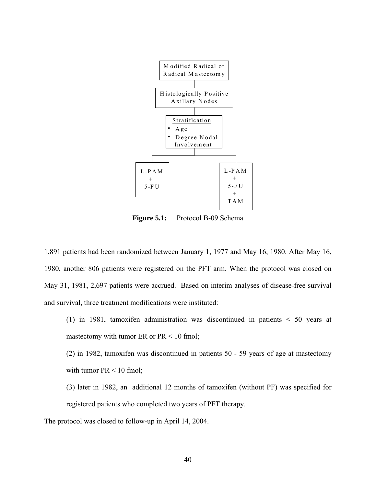

**Figure 5.1:** Protocol B-09 Schema

1,891 patients had been randomized between January 1, 1977 and May 16, 1980. After May 16, 1980, another 806 patients were registered on the PFT arm. When the protocol was closed on May 31, 1981, 2,697 patients were accrued. Based on interim analyses of disease-free survival and survival, three treatment modifications were instituted:

(1) in 1981, tamoxifen administration was discontinued in patients < 50 years at mastectomy with tumor ER or  $PR < 10$  fmol;

(2) in 1982, tamoxifen was discontinued in patients 50 - 59 years of age at mastectomy with tumor  $PR < 10$  fmol;

(3) later in 1982, an additional 12 months of tamoxifen (without PF) was specified for registered patients who completed two years of PFT therapy.

The protocol was closed to follow-up in April 14, 2004.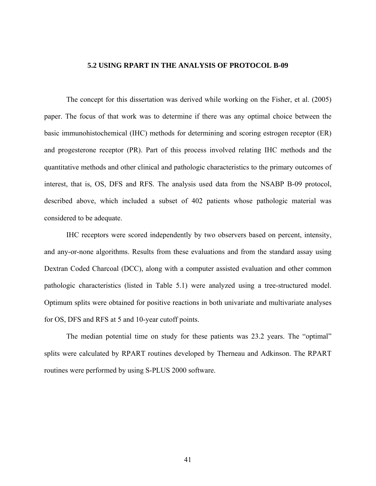# **5.2 USING RPART IN THE ANALYSIS OF PROTOCOL B-09**

 The concept for this dissertation was derived while working on the Fisher, et al. (2005) paper. The focus of that work was to determine if there was any optimal choice between the basic immunohistochemical (IHC) methods for determining and scoring estrogen receptor (ER) and progesterone receptor (PR). Part of this process involved relating IHC methods and the quantitative methods and other clinical and pathologic characteristics to the primary outcomes of interest, that is, OS, DFS and RFS. The analysis used data from the NSABP B-09 protocol, described above, which included a subset of 402 patients whose pathologic material was considered to be adequate.

 IHC receptors were scored independently by two observers based on percent, intensity, and any-or-none algorithms. Results from these evaluations and from the standard assay using Dextran Coded Charcoal (DCC), along with a computer assisted evaluation and other common pathologic characteristics (listed in [Table 5.1](#page-51-0)) were analyzed using a tree-structured model. Optimum splits were obtained for positive reactions in both univariate and multivariate analyses for OS, DFS and RFS at 5 and 10-year cutoff points.

The median potential time on study for these patients was 23.2 years. The "optimal" splits were calculated by RPART routines developed by Therneau and Adkinson. The RPART routines were performed by using S-PLUS 2000 software.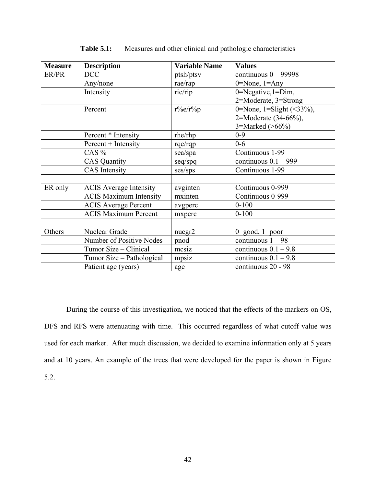<span id="page-51-0"></span>

| <b>Measure</b> | <b>Description</b>            | <b>Variable Name</b> | <b>Values</b>                    |  |
|----------------|-------------------------------|----------------------|----------------------------------|--|
| ER/PR          | <b>DCC</b>                    | ptsh/ptsv            | continuous $0 - 99998$           |  |
|                | Any/none                      | rae/rap              | $0 = None, 1 = Any$              |  |
|                | Intensity                     | rie/rip              | 0=Negative,1=Dim,                |  |
|                |                               |                      | 2=Moderate, 3=Strong             |  |
|                | Percent                       | $r\%e/r\%p$          | 0=None, 1=Slight $(\leq 33\%)$ , |  |
|                |                               |                      | 2=Moderate $(34-66%)$ ,          |  |
|                |                               |                      | 3=Marked $($ >66%)               |  |
|                | Percent * Intensity           | rhe/rhp              | $0 - 9$                          |  |
|                | Percent + Intensity           | rqe/rqp              | $0 - 6$                          |  |
|                | CAS $%$                       | sea/spa              | Continuous 1-99                  |  |
|                | <b>CAS</b> Quantity           | $seq$ /spq           | continuous $0.1 - 999$           |  |
|                | <b>CAS</b> Intensity          | ses/sps              | Continuous 1-99                  |  |
|                |                               |                      |                                  |  |
| ER only        | <b>ACIS</b> Average Intensity | avginten             | Continuous 0-999                 |  |
|                | <b>ACIS Maximum Intensity</b> | mxinten              | Continuous 0-999                 |  |
|                | <b>ACIS</b> Average Percent   | avgperc              | $0 - 100$                        |  |
|                | <b>ACIS Maximum Percent</b>   | mxperc               | $0 - 100$                        |  |
|                |                               |                      |                                  |  |
| Others         | Nuclear Grade                 | nucgr2               | $0 = good$ , $1 = poor$          |  |
|                | Number of Positive Nodes      | pnod                 | continuous $1 - 98$              |  |
|                | Tumor Size – Clinical         | mesiz                | continuous $0.1 - 9.8$           |  |
|                | Tumor Size – Pathological     | mpsiz                | continuous $0.1 - 9.8$           |  |
|                | Patient age (years)           | age                  | continuous 20 - 98               |  |

**Table 5.1:** Measures and other clinical and pathologic characteristics

 During the course of this investigation, we noticed that the effects of the markers on OS, DFS and RFS were attenuating with time. This occurred regardless of what cutoff value was used for each marker. After much discussion, we decided to examine information only at 5 years [and at 10 years. An example of the trees that were developed for the paper is shown in Figure](#page-52-0) 5.2.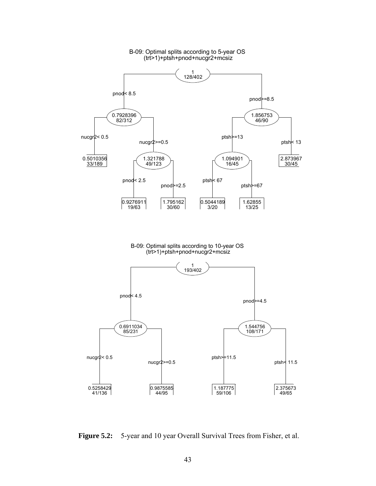<span id="page-52-0"></span>

B-09: Optimal splits according to 5-year OS

**Figure 5.2:** 5-year and 10 year Overall Survival Trees from Fisher, et al.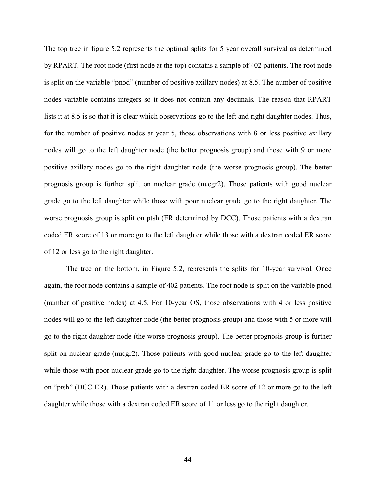The top tree in [figure 5.2](#page-52-0) represents the optimal splits for 5 year overall survival as determined by RPART. The root node (first node at the top) contains a sample of 402 patients. The root node is split on the variable "pnod" (number of positive axillary nodes) at 8.5. The number of positive nodes variable contains integers so it does not contain any decimals. The reason that RPART lists it at 8.5 is so that it is clear which observations go to the left and right daughter nodes. Thus, for the number of positive nodes at year 5, those observations with 8 or less positive axillary nodes will go to the left daughter node (the better prognosis group) and those with 9 or more positive axillary nodes go to the right daughter node (the worse prognosis group). The better prognosis group is further split on nuclear grade (nucgr2). Those patients with good nuclear grade go to the left daughter while those with poor nuclear grade go to the right daughter. The worse prognosis group is split on ptsh (ER determined by DCC). Those patients with a dextran coded ER score of 13 or more go to the left daughter while those with a dextran coded ER score of 12 or less go to the right daughter.

 The tree on the bottom, in [Figure 5.2,](#page-52-0) represents the splits for 10-year survival. Once again, the root node contains a sample of 402 patients. The root node is split on the variable pnod (number of positive nodes) at 4.5. For 10-year OS, those observations with 4 or less positive nodes will go to the left daughter node (the better prognosis group) and those with 5 or more will go to the right daughter node (the worse prognosis group). The better prognosis group is further split on nuclear grade (nucgr2). Those patients with good nuclear grade go to the left daughter while those with poor nuclear grade go to the right daughter. The worse prognosis group is split on "ptsh" (DCC ER). Those patients with a dextran coded ER score of 12 or more go to the left daughter while those with a dextran coded ER score of 11 or less go to the right daughter.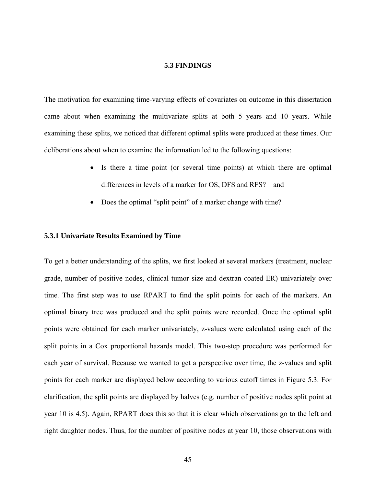# **5.3 FINDINGS**

The motivation for examining time-varying effects of covariates on outcome in this dissertation came about when examining the multivariate splits at both 5 years and 10 years. While examining these splits, we noticed that different optimal splits were produced at these times. Our deliberations about when to examine the information led to the following questions:

- Is there a time point (or several time points) at which there are optimal differences in levels of a marker for OS, DFS and RFS? and
- Does the optimal "split point" of a marker change with time?

# **5.3.1 Univariate Results Examined by Time**

To get a better understanding of the splits, we first looked at several markers (treatment, nuclear grade, number of positive nodes, clinical tumor size and dextran coated ER) univariately over time. The first step was to use RPART to find the split points for each of the markers. An optimal binary tree was produced and the split points were recorded. Once the optimal split points were obtained for each marker univariately, z-values were calculated using each of the split points in a Cox proportional hazards model. This two-step procedure was performed for each year of survival. Because we wanted to get a perspective over time, the z-values and split points for each marker are displayed below according to various cutoff times in [Figure 5.3.](#page-56-0) For clarification, the split points are displayed by halves (e.g. number of positive nodes split point at year 10 is 4.5). Again, RPART does this so that it is clear which observations go to the left and right daughter nodes. Thus, for the number of positive nodes at year 10, those observations with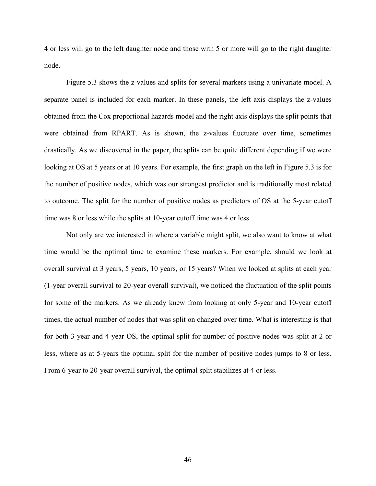4 or less will go to the left daughter node and those with 5 or more will go to the right daughter node.

[Figure 5.3](#page-56-0) shows the z-values and splits for several markers using a univariate model. A separate panel is included for each marker. In these panels, the left axis displays the z-values obtained from the Cox proportional hazards model and the right axis displays the split points that were obtained from RPART. As is shown, the z-values fluctuate over time, sometimes drastically. As we discovered in the paper, the splits can be quite different depending if we were looking at OS at 5 years or at 10 years. For example, the first graph on the left in [Figure 5.3](#page-56-0) is for the number of positive nodes, which was our strongest predictor and is traditionally most related to outcome. The split for the number of positive nodes as predictors of OS at the 5-year cutoff time was 8 or less while the splits at 10-year cutoff time was 4 or less.

Not only are we interested in where a variable might split, we also want to know at what time would be the optimal time to examine these markers. For example, should we look at overall survival at 3 years, 5 years, 10 years, or 15 years? When we looked at splits at each year (1-year overall survival to 20-year overall survival), we noticed the fluctuation of the split points for some of the markers. As we already knew from looking at only 5-year and 10-year cutoff times, the actual number of nodes that was split on changed over time. What is interesting is that for both 3-year and 4-year OS, the optimal split for number of positive nodes was split at 2 or less, where as at 5-years the optimal split for the number of positive nodes jumps to 8 or less. From 6-year to 20-year overall survival, the optimal split stabilizes at 4 or less.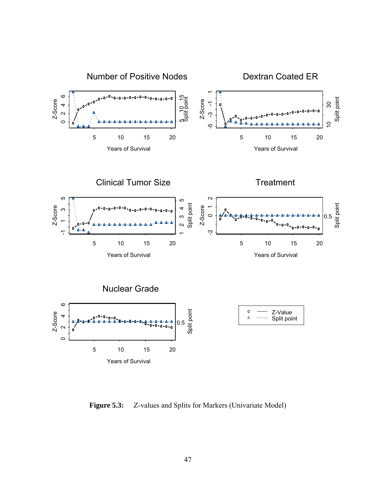<span id="page-56-0"></span>

**Figure 5.3:** Z-values and Splits for Markers (Univariate Model)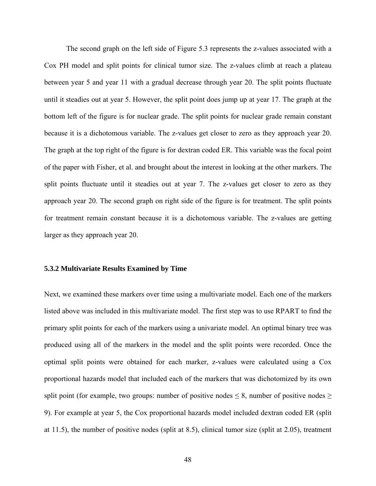The second graph on the left side of [Figure 5.3](#page-56-0) represents the z-values associated with a Cox PH model and split points for clinical tumor size. The z-values climb at reach a plateau between year 5 and year 11 with a gradual decrease through year 20. The split points fluctuate until it steadies out at year 5. However, the split point does jump up at year 17. The graph at the bottom left of the figure is for nuclear grade. The split points for nuclear grade remain constant because it is a dichotomous variable. The z-values get closer to zero as they approach year 20. The graph at the top right of the figure is for dextran coded ER. This variable was the focal point of the paper with Fisher, et al. and brought about the interest in looking at the other markers. The split points fluctuate until it steadies out at year 7. The z-values get closer to zero as they approach year 20. The second graph on right side of the figure is for treatment. The split points for treatment remain constant because it is a dichotomous variable. The z-values are getting larger as they approach year 20.

# **5.3.2 Multivariate Results Examined by Time**

Next, we examined these markers over time using a multivariate model. Each one of the markers listed above was included in this multivariate model. The first step was to use RPART to find the primary split points for each of the markers using a univariate model. An optimal binary tree was produced using all of the markers in the model and the split points were recorded. Once the optimal split points were obtained for each marker, z-values were calculated using a Cox proportional hazards model that included each of the markers that was dichotomized by its own split point (for example, two groups: number of positive nodes  $\leq 8$ , number of positive nodes  $\geq$ 9). For example at year 5, the Cox proportional hazards model included dextran coded ER (split at 11.5), the number of positive nodes (split at 8.5), clinical tumor size (split at 2.05), treatment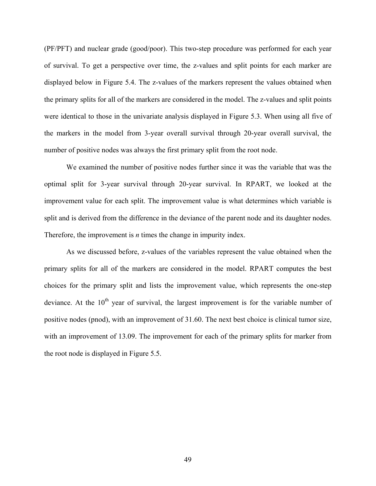(PF/PFT) and nuclear grade (good/poor). This two-step procedure was performed for each year of survival. To get a perspective over time, the z-values and split points for each marker are displayed below in [Figure 5.4.](#page-59-0) The z-values of the markers represent the values obtained when the primary splits for all of the markers are considered in the model. The z-values and split points were identical to those in the univariate analysis displayed in [Figure 5.3.](#page-56-0) When using all five of the markers in the model from 3-year overall survival through 20-year overall survival, the number of positive nodes was always the first primary split from the root node.

We examined the number of positive nodes further since it was the variable that was the optimal split for 3-year survival through 20-year survival. In RPART, we looked at the improvement value for each split. The improvement value is what determines which variable is split and is derived from the difference in the deviance of the parent node and its daughter nodes. Therefore, the improvement is *n* times the change in impurity index.

As we discussed before, z-values of the variables represent the value obtained when the primary splits for all of the markers are considered in the model. RPART computes the best choices for the primary split and lists the improvement value, which represents the one-step deviance. At the  $10<sup>th</sup>$  year of survival, the largest improvement is for the variable number of positive nodes (pnod), with an improvement of 31.60. The next best choice is clinical tumor size, with an improvement of 13.09. The improvement for each of the primary splits for marker from the root node is displayed in [Figure 5.5](#page-60-0).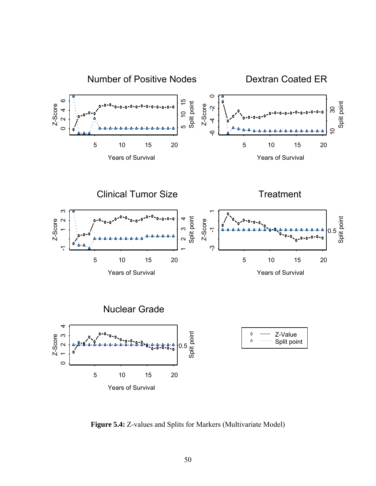<span id="page-59-0"></span>

**Figure 5.4:** Z-values and Splits for Markers (Multivariate Model)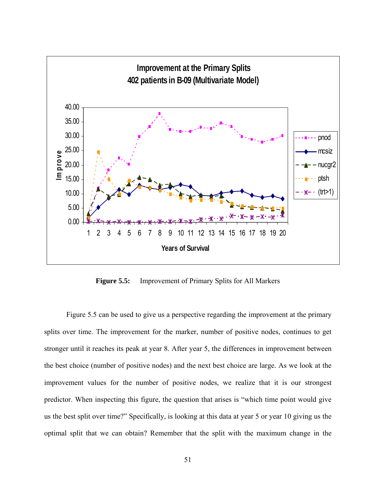<span id="page-60-0"></span>

**Figure 5.5:** Improvement of Primary Splits for All Markers

[Figure 5.5](#page-60-0) can be used to give us a perspective regarding the improvement at the primary splits over time. The improvement for the marker, number of positive nodes, continues to get stronger until it reaches its peak at year 8. After year 5, the differences in improvement between the best choice (number of positive nodes) and the next best choice are large. As we look at the improvement values for the number of positive nodes, we realize that it is our strongest predictor. When inspecting this figure, the question that arises is "which time point would give us the best split over time?" Specifically, is looking at this data at year 5 or year 10 giving us the optimal split that we can obtain? Remember that the split with the maximum change in the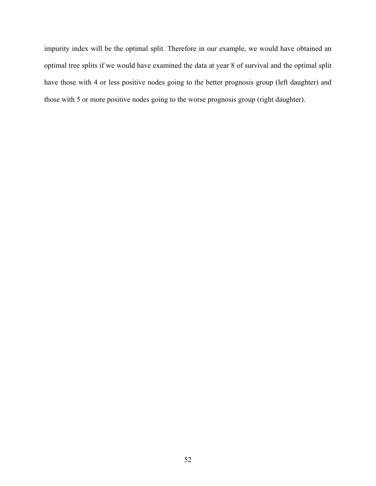impurity index will be the optimal split. Therefore in our example, we would have obtained an optimal tree splits if we would have examined the data at year 8 of survival and the optimal split have those with 4 or less positive nodes going to the better prognosis group (left daughter) and those with 5 or more positive nodes going to the worse prognosis group (right daughter).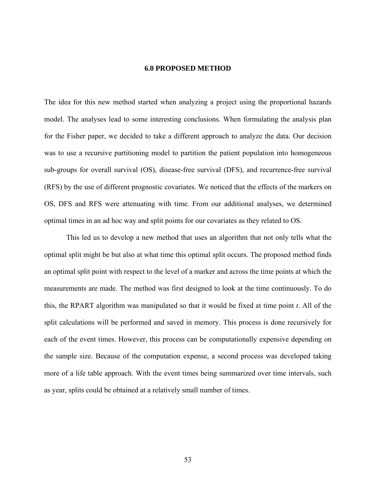### **6.0 PROPOSED METHOD**

The idea for this new method started when analyzing a project using the proportional hazards model. The analyses lead to some interesting conclusions. When formulating the analysis plan for the Fisher paper, we decided to take a different approach to analyze the data. Our decision was to use a recursive partitioning model to partition the patient population into homogeneous sub-groups for overall survival (OS), disease-free survival (DFS), and recurrence-free survival (RFS) by the use of different prognostic covariates. We noticed that the effects of the markers on OS, DFS and RFS were attenuating with time. From our additional analyses, we determined optimal times in an ad hoc way and split points for our covariates as they related to OS.

This led us to develop a new method that uses an algorithm that not only tells what the optimal split might be but also at what time this optimal split occurs. The proposed method finds an optimal split point with respect to the level of a marker and across the time points at which the measurements are made. The method was first designed to look at the time continuously. To do this, the RPART algorithm was manipulated so that it would be fixed at time point *t*. All of the split calculations will be performed and saved in memory. This process is done recursively for each of the event times. However, this process can be computationally expensive depending on the sample size. Because of the computation expense, a second process was developed taking more of a life table approach. With the event times being summarized over time intervals, such as year, splits could be obtained at a relatively small number of times.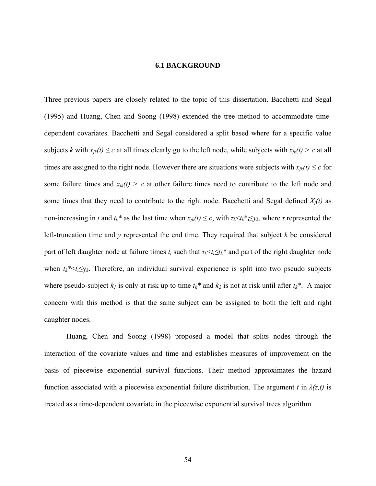### **6.1 BACKGROUND**

<span id="page-63-0"></span>Three previous papers are closely related to the topic of this dissertation. Bacchetti and Segal (1995) and Huang, Chen and Soong (1998) extended the tree method to accommodate timedependent covariates. Bacchetti and Segal considered a split based where for a specific value subjects *k* with  $x_{jk}(t) \leq c$  at all times clearly go to the left node, while subjects with  $x_{jk}(t) > c$  at all times are assigned to the right node. However there are situations were subjects with  $x_{ik}(t) \leq c$  for some failure times and  $x_{jk}(t) > c$  at other failure times need to contribute to the left node and some times that they need to contribute to the right node. Bacchetti and Segal defined  $X_i(t)$  as non-increasing in *t* and  $t_k^*$  as the last time when  $x_{jk}(t) \leq c$ , with  $\tau_k \leq t_k^* \leq y_k$ , where  $\tau$  represented the left-truncation time and *y* represented the end time. They required that subject *k* be considered part of left daughter node at failure times  $t_i$  such that  $\tau_k \le t_i \le t_k^*$  and part of the right daughter node when  $t_k^* \le t_i \le y_k$ . Therefore, an individual survival experience is split into two pseudo subjects where pseudo-subject  $k_l$  is only at risk up to time  $t_k^*$  and  $k_2$  is not at risk until after  $t_k^*$ . A major concern with this method is that the same subject can be assigned to both the left and right daughter nodes.

Huang, Chen and Soong (1998) proposed a model that splits nodes through the interaction of the covariate values and time and establishes measures of improvement on the basis of piecewise exponential survival functions. Their method approximates the hazard function associated with a piecewise exponential failure distribution. The argument *t* in  $\lambda(z,t)$  is treated as a time-dependent covariate in the piecewise exponential survival trees algorithm.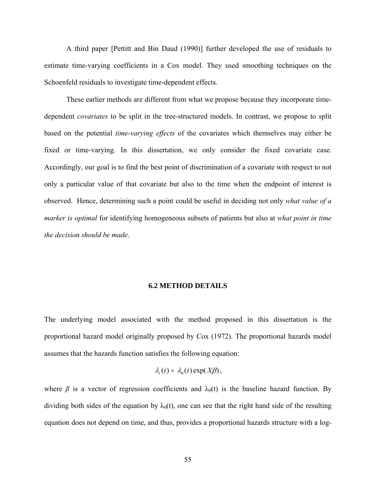A third paper [Pettitt and Bin Daud (1990)] further developed the use of residuals to estimate time-varying coefficients in a Cox model. They used smoothing techniques on the Schoenfeld residuals to investigate time-dependent effects.

These earlier methods are different from what we propose because they incorporate timedependent *covariates* to be split in the tree-structured models. In contrast, we propose to split based on the potential *time-varying effects* of the covariates which themselves may either be fixed or time-varying. In this dissertation, we only consider the fixed covariate case. Accordingly, our goal is to find the best point of discrimination of a covariate with respect to not only a particular value of that covariate but also to the time when the endpoint of interest is observed. Hence, determining such a point could be useful in deciding not only *what value of a marker is optimal* for identifying homogeneous subsets of patients but also at *what point in time the decision should be made*.

### **6.2 METHOD DETAILS**

The underlying model associated with the method proposed in this dissertation is the proportional hazard model originally proposed by Cox (1972). The proportional hazards model assumes that the hazards function satisfies the following equation:

$$
\lambda_i(t) = \lambda_0(t) \exp(X\beta),
$$

where  $\beta$  is a vector of regression coefficients and  $\lambda_0(t)$  is the baseline hazard function. By dividing both sides of the equation by  $\lambda_0(t)$ , one can see that the right hand side of the resulting equation does not depend on time, and thus, provides a proportional hazards structure with a log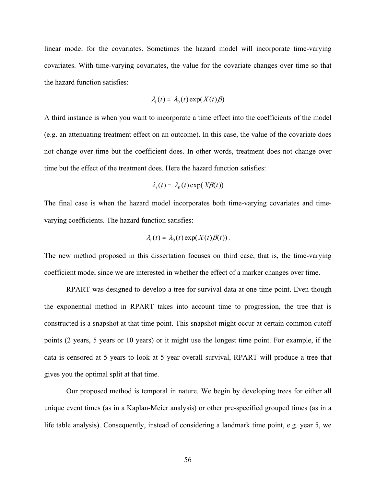linear model for the covariates. Sometimes the hazard model will incorporate time-varying covariates. With time-varying covariates, the value for the covariate changes over time so that the hazard function satisfies:

$$
\lambda_i(t) = \lambda_0(t) \exp(X(t)\beta)
$$

A third instance is when you want to incorporate a time effect into the coefficients of the model (e.g. an attenuating treatment effect on an outcome). In this case, the value of the covariate does not change over time but the coefficient does. In other words, treatment does not change over time but the effect of the treatment does. Here the hazard function satisfies:

$$
\lambda_i(t) = \lambda_0(t) \exp(X\beta(t))
$$

The final case is when the hazard model incorporates both time-varying covariates and timevarying coefficients. The hazard function satisfies:

$$
\lambda_i(t) = \lambda_0(t) \exp(X(t)\beta(t)).
$$

The new method proposed in this dissertation focuses on third case, that is, the time-varying coefficient model since we are interested in whether the effect of a marker changes over time.

RPART was designed to develop a tree for survival data at one time point. Even though the exponential method in RPART takes into account time to progression, the tree that is constructed is a snapshot at that time point. This snapshot might occur at certain common cutoff points (2 years, 5 years or 10 years) or it might use the longest time point. For example, if the data is censored at 5 years to look at 5 year overall survival, RPART will produce a tree that gives you the optimal split at that time.

Our proposed method is temporal in nature. We begin by developing trees for either all unique event times (as in a Kaplan-Meier analysis) or other pre-specified grouped times (as in a life table analysis). Consequently, instead of considering a landmark time point, e.g. year 5, we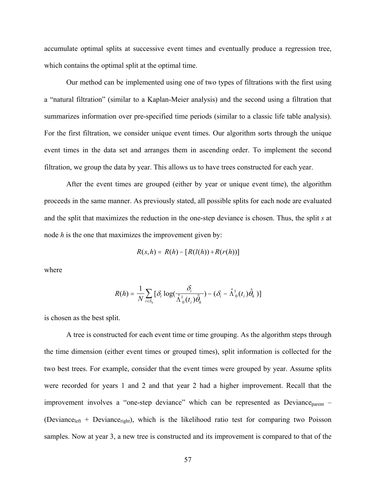accumulate optimal splits at successive event times and eventually produce a regression tree, which contains the optimal split at the optimal time.

Our method can be implemented using one of two types of filtrations with the first using a "natural filtration" (similar to a Kaplan-Meier analysis) and the second using a filtration that summarizes information over pre-specified time periods (similar to a classic life table analysis). For the first filtration, we consider unique event times. Our algorithm sorts through the unique event times in the data set and arranges them in ascending order. To implement the second filtration, we group the data by year. This allows us to have trees constructed for each year.

After the event times are grouped (either by year or unique event time), the algorithm proceeds in the same manner. As previously stated, all possible splits for each node are evaluated and the split that maximizes the reduction in the one-step deviance is chosen. Thus, the split *s* at node *h* is the one that maximizes the improvement given by:

$$
R(s,h) = R(h) - [R(l(h)) + R(r(h))]
$$

where

$$
R(h) = \frac{1}{N} \sum_{i \in S_h} [\delta_i \log(\frac{\delta_i}{\hat{\Lambda}_0^1(t_i)\hat{\theta}_h}) - (\delta_i - \hat{\Lambda}_0^1(t_i)\hat{\theta}_h)]
$$

is chosen as the best split.

A tree is constructed for each event time or time grouping. As the algorithm steps through the time dimension (either event times or grouped times), split information is collected for the two best trees. For example, consider that the event times were grouped by year. Assume splits were recorded for years 1 and 2 and that year 2 had a higher improvement. Recall that the improvement involves a "one-step deviance" which can be represented as  $Deviance<sub>parent</sub>$  – (Deviance<sub>left</sub> + Deviance<sub>right</sub>), which is the likelihood ratio test for comparing two Poisson samples. Now at year 3, a new tree is constructed and its improvement is compared to that of the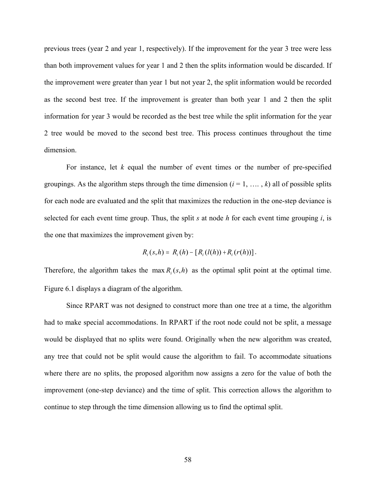previous trees (year 2 and year 1, respectively). If the improvement for the year 3 tree were less than both improvement values for year 1 and 2 then the splits information would be discarded. If the improvement were greater than year 1 but not year 2, the split information would be recorded as the second best tree. If the improvement is greater than both year 1 and 2 then the split information for year 3 would be recorded as the best tree while the split information for the year 2 tree would be moved to the second best tree. This process continues throughout the time dimension.

For instance, let *k* equal the number of event times or the number of pre-specified groupings. As the algorithm steps through the time dimension  $(i = 1, \ldots, k)$  all of possible splits for each node are evaluated and the split that maximizes the reduction in the one-step deviance is selected for each event time group. Thus, the split *s* at node *h* for each event time grouping *i*, is the one that maximizes the improvement given by:

$$
R_i(s,h) = R_i(h) - [R_i(l(h)) + R_i(r(h))].
$$

Therefore, the algorithm takes the max  $R_i(s,h)$  as the optimal split point at the optimal time. [Figure 6.1](#page-68-0) displays a diagram of the algorithm.

Since RPART was not designed to construct more than one tree at a time, the algorithm had to make special accommodations. In RPART if the root node could not be split, a message would be displayed that no splits were found. Originally when the new algorithm was created, any tree that could not be split would cause the algorithm to fail. To accommodate situations where there are no splits, the proposed algorithm now assigns a zero for the value of both the improvement (one-step deviance) and the time of split. This correction allows the algorithm to continue to step through the time dimension allowing us to find the optimal split.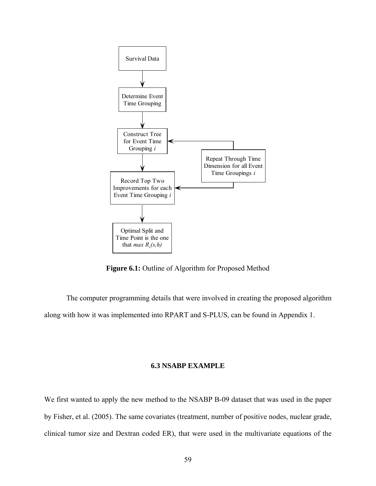<span id="page-68-0"></span>

Figure 6.1: Outline of Algorithm for Proposed Method

The computer programming details that were involved in creating the proposed algorithm along with how it was implemented into RPART and S-PLUS, can be found in [Appendix 1.](#page-93-0)

# **6.3 NSABP EXAMPLE**

We first wanted to apply the new method to the NSABP B-09 dataset that was used in the paper by Fisher, et al. (2005). The same covariates (treatment, number of positive nodes, nuclear grade, clinical tumor size and Dextran coded ER), that were used in the multivariate equations of the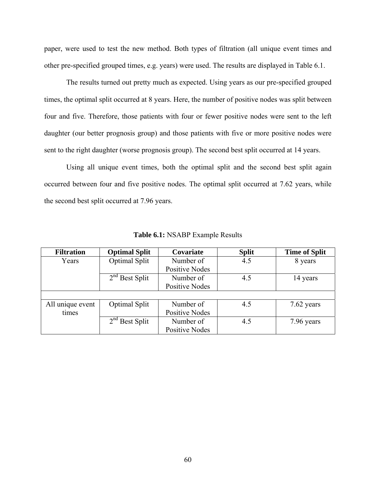<span id="page-69-0"></span>paper, were used to test the new method. Both types of filtration (all unique event times and other pre-specified grouped times, e.g. years) were used. The results are displayed in [Table 6.1.](#page-69-0)

The results turned out pretty much as expected. Using years as our pre-specified grouped times, the optimal split occurred at 8 years. Here, the number of positive nodes was split between four and five. Therefore, those patients with four or fewer positive nodes were sent to the left daughter (our better prognosis group) and those patients with five or more positive nodes were sent to the right daughter (worse prognosis group). The second best split occurred at 14 years.

 Using all unique event times, both the optimal split and the second best split again occurred between four and five positive nodes. The optimal split occurred at 7.62 years, while the second best split occurred at 7.96 years.

| <b>Filtration</b> | <b>Optimal Split</b> | Covariate             | <b>Split</b> | <b>Time of Split</b> |
|-------------------|----------------------|-----------------------|--------------|----------------------|
| Years             | Optimal Split        | Number of             | 4.5          | 8 years              |
|                   |                      | <b>Positive Nodes</b> |              |                      |
|                   | $2nd$ Best Split     | Number of             | 4.5          | 14 years             |
|                   |                      | <b>Positive Nodes</b> |              |                      |
|                   |                      |                       |              |                      |
| All unique event  | Optimal Split        | Number of             | 4.5          | 7.62 years           |
| times             |                      | <b>Positive Nodes</b> |              |                      |
|                   | $2nd$ Best Split     | Number of             | 4.5          | 7.96 years           |
|                   |                      | <b>Positive Nodes</b> |              |                      |

**Table 6.1:** NSABP Example Results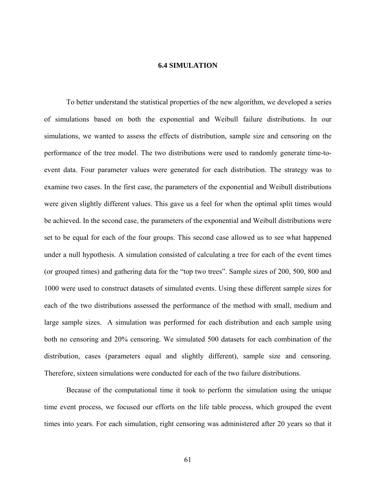## **6.4 SIMULATION**

To better understand the statistical properties of the new algorithm, we developed a series of simulations based on both the exponential and Weibull failure distributions. In our simulations, we wanted to assess the effects of distribution, sample size and censoring on the performance of the tree model. The two distributions were used to randomly generate time-toevent data. Four parameter values were generated for each distribution. The strategy was to examine two cases. In the first case, the parameters of the exponential and Weibull distributions were given slightly different values. This gave us a feel for when the optimal split times would be achieved. In the second case, the parameters of the exponential and Weibull distributions were set to be equal for each of the four groups. This second case allowed us to see what happened under a null hypothesis. A simulation consisted of calculating a tree for each of the event times (or grouped times) and gathering data for the "top two trees". Sample sizes of 200, 500, 800 and 1000 were used to construct datasets of simulated events. Using these different sample sizes for each of the two distributions assessed the performance of the method with small, medium and large sample sizes. A simulation was performed for each distribution and each sample using both no censoring and 20% censoring. We simulated 500 datasets for each combination of the distribution, cases (parameters equal and slightly different), sample size and censoring. Therefore, sixteen simulations were conducted for each of the two failure distributions.

Because of the computational time it took to perform the simulation using the unique time event process, we focused our efforts on the life table process, which grouped the event times into years. For each simulation, right censoring was administered after 20 years so that it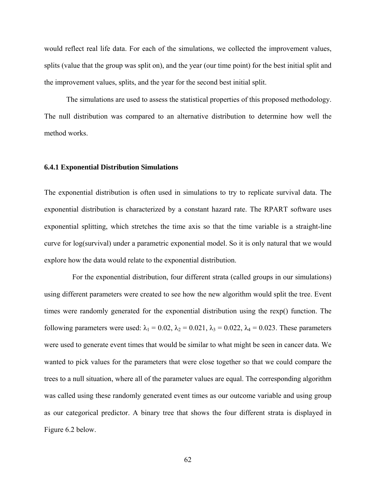would reflect real life data. For each of the simulations, we collected the improvement values, splits (value that the group was split on), and the year (our time point) for the best initial split and the improvement values, splits, and the year for the second best initial split.

The simulations are used to assess the statistical properties of this proposed methodology. The null distribution was compared to an alternative distribution to determine how well the method works.

## **6.4.1 Exponential Distribution Simulations**

The exponential distribution is often used in simulations to try to replicate survival data. The exponential distribution is characterized by a constant hazard rate. The RPART software uses exponential splitting, which stretches the time axis so that the time variable is a straight-line curve for log(survival) under a parametric exponential model. So it is only natural that we would explore how the data would relate to the exponential distribution.

 For the exponential distribution, four different strata (called groups in our simulations) using different parameters were created to see how the new algorithm would split the tree. Event times were randomly generated for the exponential distribution using the rexp() function. The following parameters were used:  $\lambda_1 = 0.02$ ,  $\lambda_2 = 0.021$ ,  $\lambda_3 = 0.022$ ,  $\lambda_4 = 0.023$ . These parameters were used to generate event times that would be similar to what might be seen in cancer data. We wanted to pick values for the parameters that were close together so that we could compare the trees to a null situation, where all of the parameter values are equal. The corresponding algorithm was called using these randomly generated event times as our outcome variable and using group as our categorical predictor. A binary tree that shows the four different strata is displayed in [Figure 6.2](#page-72-0) below.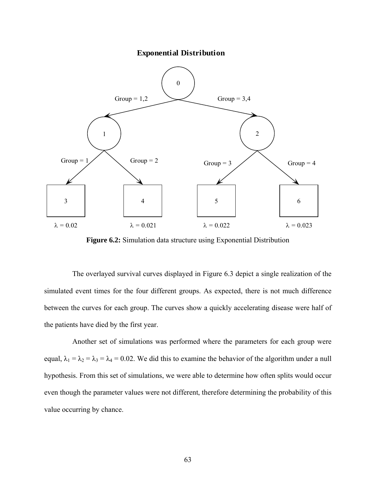**Exponential Distribution**



**Figure 6.2:** Simulation data structure using Exponential Distribution

 The overlayed survival curves displayed in [Figure 6.3](#page-73-0) depict a single realization of the simulated event times for the four different groups. As expected, there is not much difference between the curves for each group. The curves show a quickly accelerating disease were half of the patients have died by the first year.

Another set of simulations was performed where the parameters for each group were equal,  $\lambda_1 = \lambda_2 = \lambda_3 = \lambda_4 = 0.02$ . We did this to examine the behavior of the algorithm under a null hypothesis. From this set of simulations, we were able to determine how often splits would occur even though the parameter values were not different, therefore determining the probability of this value occurring by chance.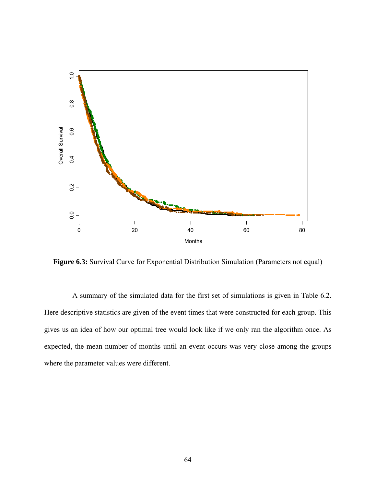<span id="page-73-0"></span>

**Figure 6.3:** Survival Curve for Exponential Distribution Simulation (Parameters not equal)

 A summary of the simulated data for the first set of simulations is given in [Table 6.2](#page-74-0). Here descriptive statistics are given of the event times that were constructed for each group. This gives us an idea of how our optimal tree would look like if we only ran the algorithm once. As expected, the mean number of months until an event occurs was very close among the groups where the parameter values were different.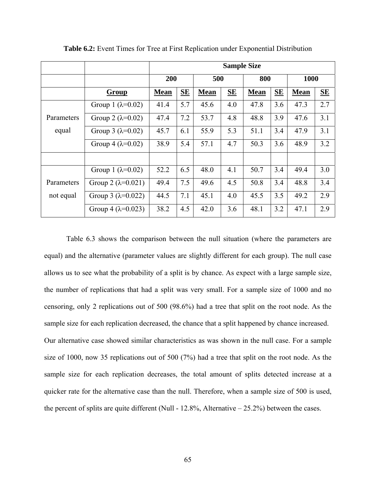<span id="page-74-0"></span>

|            |                               | <b>Sample Size</b> |     |             |     |             |     |             |                  |
|------------|-------------------------------|--------------------|-----|-------------|-----|-------------|-----|-------------|------------------|
|            |                               | 200                |     | 500         |     | 800         |     | 1000        |                  |
|            | Group                         | <b>Mean</b>        | SE  | <b>Mean</b> | SE  | <b>Mean</b> | SE  | <b>Mean</b> | $S_{\mathbf{E}}$ |
|            | Group 1 ( $\lambda = 0.02$ )  | 41.4               | 5.7 | 45.6        | 4.0 | 47.8        | 3.6 | 47.3        | 2.7              |
| Parameters | Group 2 ( $\lambda$ =0.02)    | 47.4               | 7.2 | 53.7        | 4.8 | 48.8        | 3.9 | 47.6        | 3.1              |
| equal      | Group 3 $(\lambda = 0.02)$    | 45.7               | 6.1 | 55.9        | 5.3 | 51.1        | 3.4 | 47.9        | 3.1              |
|            | Group 4 ( $\lambda$ =0.02)    | 38.9               | 5.4 | 57.1        | 4.7 | 50.3        | 3.6 | 48.9        | 3.2              |
|            |                               |                    |     |             |     |             |     |             |                  |
|            | Group 1 $(\lambda=0.02)$      | 52.2               | 6.5 | 48.0        | 4.1 | 50.7        | 3.4 | 49.4        | 3.0              |
| Parameters | Group 2 $(\lambda = 0.021)$   | 49.4               | 7.5 | 49.6        | 4.5 | 50.8        | 3.4 | 48.8        | 3.4              |
| not equal  | Group 3 ( $\lambda = 0.022$ ) | 44.5               | 7.1 | 45.1        | 4.0 | 45.5        | 3.5 | 49.2        | 2.9              |
|            | Group 4 ( $\lambda$ =0.023)   | 38.2               | 4.5 | 42.0        | 3.6 | 48.1        | 3.2 | 47.1        | 2.9              |

**Table 6.2:** Event Times for Tree at First Replication under Exponential Distribution

[Table 6.3](#page-75-0) shows the comparison between the null situation (where the parameters are equal) and the alternative (parameter values are slightly different for each group). The null case allows us to see what the probability of a split is by chance. As expect with a large sample size, the number of replications that had a split was very small. For a sample size of 1000 and no censoring, only 2 replications out of 500 (98.6%) had a tree that split on the root node. As the sample size for each replication decreased, the chance that a split happened by chance increased. Our alternative case showed similar characteristics as was shown in the null case. For a sample size of 1000, now 35 replications out of 500 (7%) had a tree that split on the root node. As the sample size for each replication decreases, the total amount of splits detected increase at a quicker rate for the alternative case than the null. Therefore, when a sample size of 500 is used, the percent of splits are quite different (Null -  $12.8\%$ , Alternative  $-25.2\%$ ) between the cases.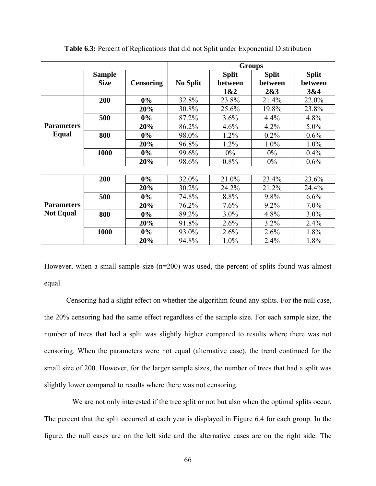<span id="page-75-0"></span>

|                   |               |                  | <b>Groups</b>   |              |              |              |  |  |
|-------------------|---------------|------------------|-----------------|--------------|--------------|--------------|--|--|
|                   | <b>Sample</b> |                  |                 | <b>Split</b> | <b>Split</b> | <b>Split</b> |  |  |
|                   | <b>Size</b>   | <b>Censoring</b> | <b>No Split</b> | between      | between      | between      |  |  |
|                   |               |                  |                 | 1&2          | 2&3          | 3&4          |  |  |
|                   | 200           | $0\%$            | 32.8%           | 23.8%        | 21.4%        | 22.0%        |  |  |
|                   |               | 20%              | 30.8%           | 25.6%        | 19.8%        | 23.8%        |  |  |
|                   | 500           | $0\%$            | 87.2%           | 3.6%         | 4.4%         | 4.8%         |  |  |
| <b>Parameters</b> |               | 20%              | 86.2%           | 4.6%         | 4.2%         | $5.0\%$      |  |  |
| Equal             | 800           | $0\%$            | 98.0%           | 1.2%         | 0.2%         | 0.6%         |  |  |
|                   |               | 20%              | 96.8%           | 1.2%         | 1.0%         | 1.0%         |  |  |
|                   | 1000          | $0\%$            | 99.6%           | $0\%$        | $0\%$        | 0.4%         |  |  |
|                   |               | 20%              | 98.6%           | $0.8\%$      | $0\%$        | $0.6\%$      |  |  |
|                   |               |                  |                 |              |              |              |  |  |
|                   | 200           | 0%               | 32.0%           | 21.0%        | 23.4%        | 23.6%        |  |  |
|                   |               | 20%              | 30.2%           | 24.2%        | 21.2%        | 24.4%        |  |  |
|                   | 500           | $0\%$            | 74.8%           | 8.8%         | 9.8%         | 6.6%         |  |  |
| <b>Parameters</b> |               | 20%              | 76.2%           | $7.6\%$      | $9.2\%$      | $7.0\%$      |  |  |
| <b>Not Equal</b>  | 800           | $0\%$            | 89.2%           | $3.0\%$      | 4.8%         | 3.0%         |  |  |
|                   |               | 20%              | 91.8%           | 2.6%         | 3.2%         | 2.4%         |  |  |
|                   | 1000          | $0\%$            | 93.0%           | 2.6%         | 2.6%         | 1.8%         |  |  |
|                   |               | 20%              | 94.8%           | 1.0%         | 2.4%         | 1.8%         |  |  |

**Table 6.3:** Percent of Replications that did not Split under Exponential Distribution

However, when a small sample size (n=200) was used, the percent of splits found was almost equal.

Censoring had a slight effect on whether the algorithm found any splits. For the null case, the 20% censoring had the same effect regardless of the sample size. For each sample size, the number of trees that had a split was slightly higher compared to results where there was not censoring. When the parameters were not equal (alternative case), the trend continued for the small size of 200. However, for the larger sample sizes, the number of trees that had a split was slightly lower compared to results where there was not censoring.

We are not only interested if the tree split or not but also when the optimal splits occur. The percent that the split occurred at each year is displayed in [Figure 6.4](#page-77-0) for each group. In the figure, the null cases are on the left side and the alternative cases are on the right side. The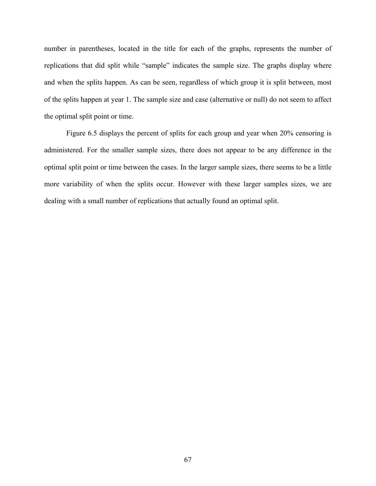number in parentheses, located in the title for each of the graphs, represents the number of replications that did split while "sample" indicates the sample size. The graphs display where and when the splits happen. As can be seen, regardless of which group it is split between, most of the splits happen at year 1. The sample size and case (alternative or null) do not seem to affect the optimal split point or time.

[Figure 6.5](#page-78-0) displays the percent of splits for each group and year when 20% censoring is administered. For the smaller sample sizes, there does not appear to be any difference in the optimal split point or time between the cases. In the larger sample sizes, there seems to be a little more variability of when the splits occur. However with these larger samples sizes, we are dealing with a small number of replications that actually found an optimal split.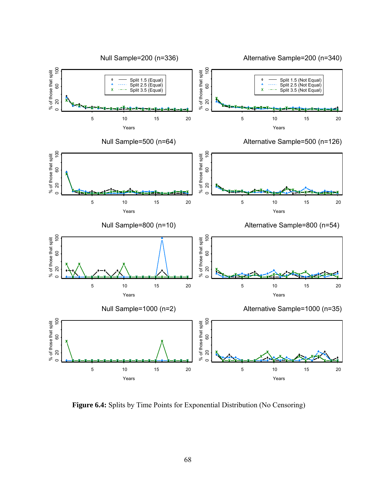<span id="page-77-0"></span>

**Figure 6.4:** Splits by Time Points for Exponential Distribution (No Censoring)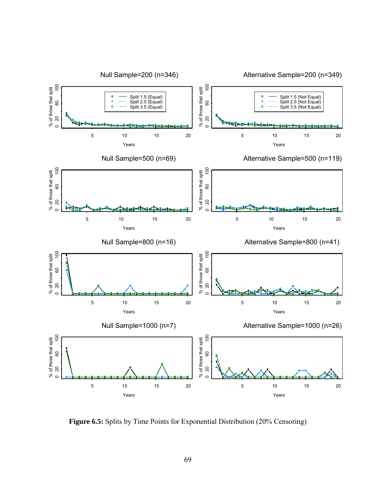<span id="page-78-0"></span>

**Figure 6.5:** Splits by Time Points for Exponential Distribution (20% Censoring)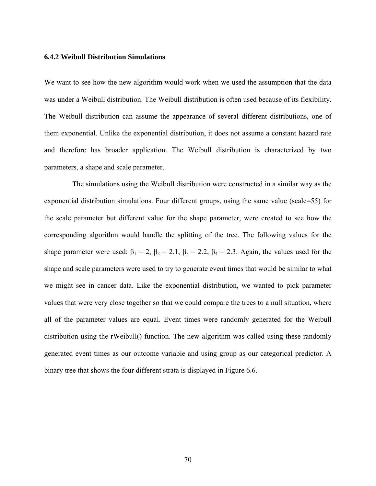## **6.4.2 Weibull Distribution Simulations**

We want to see how the new algorithm would work when we used the assumption that the data was under a Weibull distribution. The Weibull distribution is often used because of its flexibility. The Weibull distribution can assume the appearance of several different distributions, one of them exponential. Unlike the exponential distribution, it does not assume a constant hazard rate and therefore has broader application. The Weibull distribution is characterized by two parameters, a shape and scale parameter.

 The simulations using the Weibull distribution were constructed in a similar way as the exponential distribution simulations. Four different groups, using the same value (scale=55) for the scale parameter but different value for the shape parameter, were created to see how the corresponding algorithm would handle the splitting of the tree. The following values for the shape parameter were used:  $\beta_1 = 2$ ,  $\beta_2 = 2.1$ ,  $\beta_3 = 2.2$ ,  $\beta_4 = 2.3$ . Again, the values used for the shape and scale parameters were used to try to generate event times that would be similar to what we might see in cancer data. Like the exponential distribution, we wanted to pick parameter values that were very close together so that we could compare the trees to a null situation, where all of the parameter values are equal. Event times were randomly generated for the Weibull distribution using the rWeibull() function. The new algorithm was called using these randomly generated event times as our outcome variable and using group as our categorical predictor. A binary tree that shows the four different strata is displayed in [Figure 6.6](#page-80-0).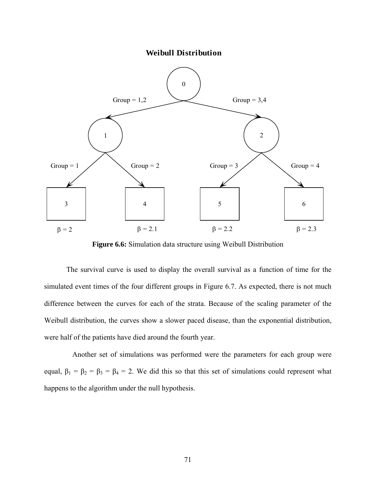<span id="page-80-0"></span>0 1 2 **Weibull Distribution** 3 | 4 | 5 | 6  $\beta = 2$   $\beta = 2.1$   $\beta = 2.2$   $\beta = 2.3$ Group =  $1,2$  Group =  $3,4$ Group = 1  $\bigcirc$  Group = 2 Group = 3  $\bigcirc$  Group = 4

**Figure 6.6:** Simulation data structure using Weibull Distribution

The survival curve is used to display the overall survival as a function of time for the simulated event times of the four different groups in [Figure 6.7.](#page-81-0) As expected, there is not much difference between the curves for each of the strata. Because of the scaling parameter of the Weibull distribution, the curves show a slower paced disease, than the exponential distribution, were half of the patients have died around the fourth year.

Another set of simulations was performed were the parameters for each group were equal,  $\beta_1 = \beta_2 = \beta_3 = \beta_4 = 2$ . We did this so that this set of simulations could represent what happens to the algorithm under the null hypothesis.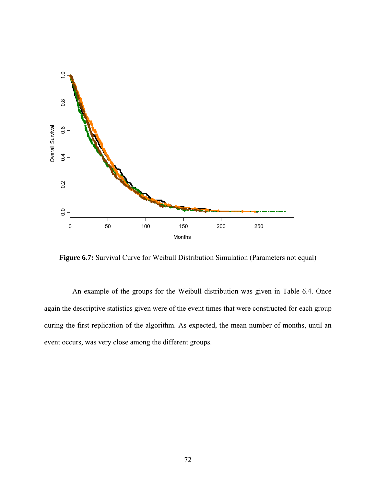<span id="page-81-0"></span>

Figure 6.7: Survival Curve for Weibull Distribution Simulation (Parameters not equal)

 An example of the groups for the Weibull distribution was given in [Table 6.4](#page-82-0). Once again the descriptive statistics given were of the event times that were constructed for each group during the first replication of the algorithm. As expected, the mean number of months, until an event occurs, was very close among the different groups.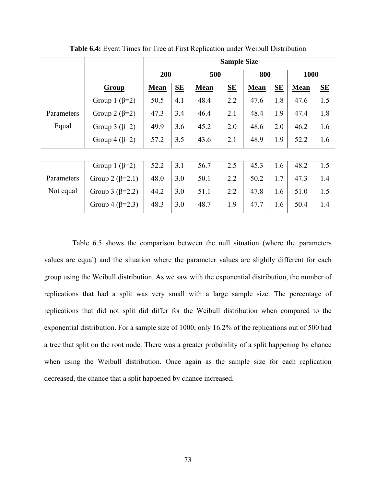<span id="page-82-0"></span>

|            |                         | <b>Sample Size</b> |                  |             |                  |             |           |             |                  |
|------------|-------------------------|--------------------|------------------|-------------|------------------|-------------|-----------|-------------|------------------|
|            |                         | 200                |                  | 500         |                  | 800         |           | 1000        |                  |
|            | Group                   | <b>Mean</b>        | $S_{\mathbf{E}}$ | <b>Mean</b> | $S_{\mathbf{E}}$ | <b>Mean</b> | <b>SE</b> | <b>Mean</b> | $S_{\mathbf{E}}$ |
|            | Group 1 ( $\beta$ =2)   | 50.5               | 4.1              | 48.4        | 2.2              | 47.6        | 1.8       | 47.6        | 1.5              |
| Parameters | Group 2 ( $\beta$ =2)   | 47.3               | 3.4              | 46.4        | 2.1              | 48.4        | 1.9       | 47.4        | 1.8              |
| Equal      | Group 3 $(\beta=2)$     | 49.9               | 3.6              | 45.2        | 2.0              | 48.6        | 2.0       | 46.2        | 1.6              |
|            | Group 4 $(\beta=2)$     | 57.2               | 3.5              | 43.6        | 2.1              | 48.9        | 1.9       | 52.2        | 1.6              |
|            |                         |                    |                  |             |                  |             |           |             |                  |
|            | Group 1 ( $\beta$ =2)   | 52.2               | 3.1              | 56.7        | 2.5              | 45.3        | 1.6       | 48.2        | 1.5              |
| Parameters | Group 2 $(\beta=2.1)$   | 48.0               | 3.0              | 50.1        | 2.2              | 50.2        | 1.7       | 47.3        | 1.4              |
| Not equal  | Group 3 ( $\beta$ =2.2) | 44.2               | 3.0              | 51.1        | 2.2              | 47.8        | 1.6       | 51.0        | 1.5              |
|            | Group 4 ( $\beta$ =2.3) | 48.3               | 3.0              | 48.7        | 1.9              | 47.7        | 1.6       | 50.4        | 1.4              |

**Table 6.4:** Event Times for Tree at First Replication under Weibull Distribution

[Table 6.5](#page-83-0) shows the comparison between the null situation (where the parameters values are equal) and the situation where the parameter values are slightly different for each group using the Weibull distribution. As we saw with the exponential distribution, the number of replications that had a split was very small with a large sample size. The percentage of replications that did not split did differ for the Weibull distribution when compared to the exponential distribution. For a sample size of 1000, only 16.2% of the replications out of 500 had a tree that split on the root node. There was a greater probability of a split happening by chance when using the Weibull distribution. Once again as the sample size for each replication decreased, the chance that a split happened by chance increased.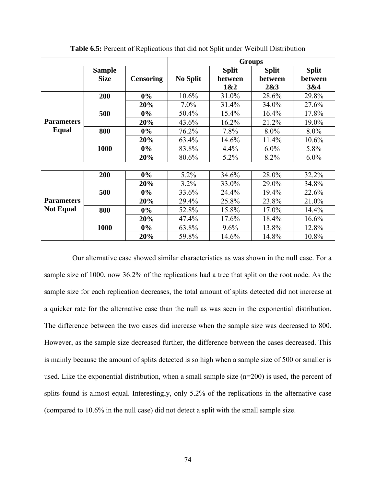<span id="page-83-0"></span>

|                   |                              |                  | <b>Groups</b>   |                                |                                |                                |  |  |
|-------------------|------------------------------|------------------|-----------------|--------------------------------|--------------------------------|--------------------------------|--|--|
|                   | <b>Sample</b><br><b>Size</b> | <b>Censoring</b> | <b>No Split</b> | <b>Split</b><br>between<br>1&2 | <b>Split</b><br>between<br>2&3 | <b>Split</b><br>between<br>3&4 |  |  |
|                   | 200                          | $0\%$            | 10.6%           | 31.0%                          | 28.6%                          | 29.8%                          |  |  |
|                   |                              | 20%              | $7.0\%$         | 31.4%                          | 34.0%                          | 27.6%                          |  |  |
|                   | 500                          | $0\%$            | 50.4%           | 15.4%                          | 16.4%                          | 17.8%                          |  |  |
| <b>Parameters</b> |                              | 20%              | 43.6%           | 16.2%                          | 21.2%                          | 19.0%                          |  |  |
| Equal             | 800                          | $0\%$            | 76.2%           | 7.8%                           | 8.0%                           | 8.0%                           |  |  |
|                   |                              | 20%              | 63.4%           | 14.6%                          | 11.4%                          | 10.6%                          |  |  |
|                   | 1000                         | $0\%$            | 83.8%           | 4.4%                           | $6.0\%$                        | 5.8%                           |  |  |
|                   |                              | 20%              | 80.6%           | 5.2%                           | 8.2%                           | $6.0\%$                        |  |  |
|                   |                              |                  |                 |                                |                                |                                |  |  |
|                   | 200                          | $0\%$            | 5.2%            | 34.6%                          | 28.0%                          | 32.2%                          |  |  |
|                   |                              | 20%              | $3.2\%$         | 33.0%                          | 29.0%                          | 34.8%                          |  |  |
|                   | 500                          | $0\%$            | 33.6%           | 24.4%                          | 19.4%                          | 22.6%                          |  |  |
| <b>Parameters</b> |                              | 20%              | 29.4%           | 25.8%                          | 23.8%                          | 21.0%                          |  |  |
| <b>Not Equal</b>  | 800                          | $0\%$            | 52.8%           | 15.8%                          | 17.0%                          | 14.4%                          |  |  |
|                   |                              | 20%              | 47.4%           | 17.6%                          | 18.4%                          | 16.6%                          |  |  |
|                   | 1000                         | $0\%$            | 63.8%           | 9.6%                           | 13.8%                          | 12.8%                          |  |  |
|                   |                              | 20%              | 59.8%           | 14.6%                          | 14.8%                          | 10.8%                          |  |  |

**Table 6.5:** Percent of Replications that did not Split under Weibull Distribution

 Our alternative case showed similar characteristics as was shown in the null case. For a sample size of 1000, now 36.2% of the replications had a tree that split on the root node. As the sample size for each replication decreases, the total amount of splits detected did not increase at a quicker rate for the alternative case than the null as was seen in the exponential distribution. The difference between the two cases did increase when the sample size was decreased to 800. However, as the sample size decreased further, the difference between the cases decreased. This is mainly because the amount of splits detected is so high when a sample size of 500 or smaller is used. Like the exponential distribution, when a small sample size (n=200) is used, the percent of splits found is almost equal. Interestingly, only 5.2% of the replications in the alternative case (compared to 10.6% in the null case) did not detect a split with the small sample size.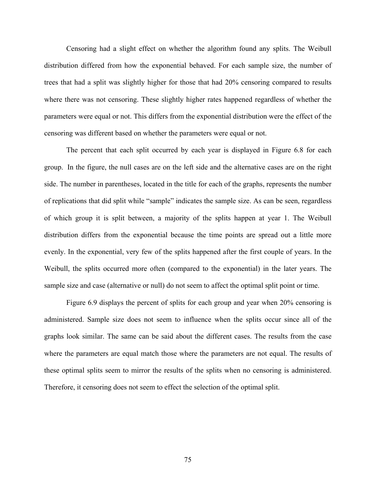Censoring had a slight effect on whether the algorithm found any splits. The Weibull distribution differed from how the exponential behaved. For each sample size, the number of trees that had a split was slightly higher for those that had 20% censoring compared to results where there was not censoring. These slightly higher rates happened regardless of whether the parameters were equal or not. This differs from the exponential distribution were the effect of the censoring was different based on whether the parameters were equal or not.

The percent that each split occurred by each year is displayed in [Figure 6.8](#page-85-0) for each group. In the figure, the null cases are on the left side and the alternative cases are on the right side. The number in parentheses, located in the title for each of the graphs, represents the number of replications that did split while "sample" indicates the sample size. As can be seen, regardless of which group it is split between, a majority of the splits happen at year 1. The Weibull distribution differs from the exponential because the time points are spread out a little more evenly. In the exponential, very few of the splits happened after the first couple of years. In the Weibull, the splits occurred more often (compared to the exponential) in the later years. The sample size and case (alternative or null) do not seem to affect the optimal split point or time.

[Figure 6.9](#page-86-0) displays the percent of splits for each group and year when 20% censoring is administered. Sample size does not seem to influence when the splits occur since all of the graphs look similar. The same can be said about the different cases. The results from the case where the parameters are equal match those where the parameters are not equal. The results of these optimal splits seem to mirror the results of the splits when no censoring is administered. Therefore, it censoring does not seem to effect the selection of the optimal split.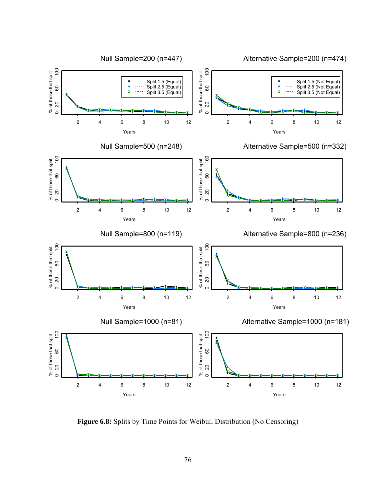<span id="page-85-0"></span>

**Figure 6.8:** Splits by Time Points for Weibull Distribution (No Censoring)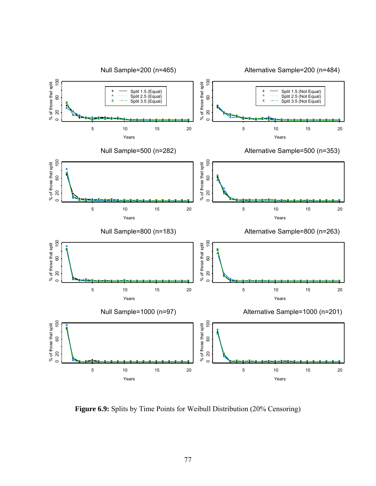<span id="page-86-0"></span>

**Figure 6.9:** Splits by Time Points for Weibull Distribution (20% Censoring)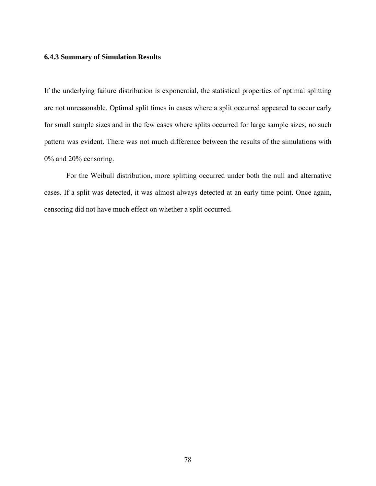## **6.4.3 Summary of Simulation Results**

If the underlying failure distribution is exponential, the statistical properties of optimal splitting are not unreasonable. Optimal split times in cases where a split occurred appeared to occur early for small sample sizes and in the few cases where splits occurred for large sample sizes, no such pattern was evident. There was not much difference between the results of the simulations with 0% and 20% censoring.

For the Weibull distribution, more splitting occurred under both the null and alternative cases. If a split was detected, it was almost always detected at an early time point. Once again, censoring did not have much effect on whether a split occurred.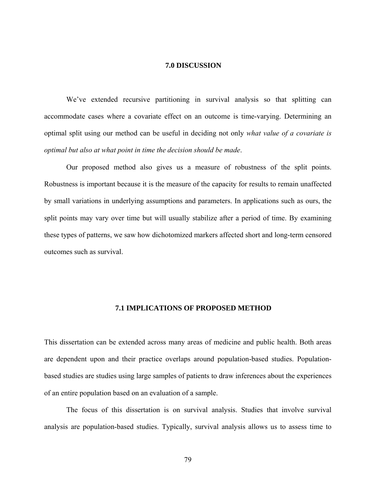# **7.0 DISCUSSION**

We've extended recursive partitioning in survival analysis so that splitting can accommodate cases where a covariate effect on an outcome is time-varying. Determining an optimal split using our method can be useful in deciding not only *what value of a covariate is optimal but also at what point in time the decision should be made*.

Our proposed method also gives us a measure of robustness of the split points. Robustness is important because it is the measure of the capacity for results to remain unaffected by small variations in underlying assumptions and parameters. In applications such as ours, the split points may vary over time but will usually stabilize after a period of time. By examining these types of patterns, we saw how dichotomized markers affected short and long-term censored outcomes such as survival.

## **7.1 IMPLICATIONS OF PROPOSED METHOD**

This dissertation can be extended across many areas of medicine and public health. Both areas are dependent upon and their practice overlaps around population-based studies. Populationbased studies are studies using large samples of patients to draw inferences about the experiences of an entire population based on an evaluation of a sample.

The focus of this dissertation is on survival analysis. Studies that involve survival analysis are population-based studies. Typically, survival analysis allows us to assess time to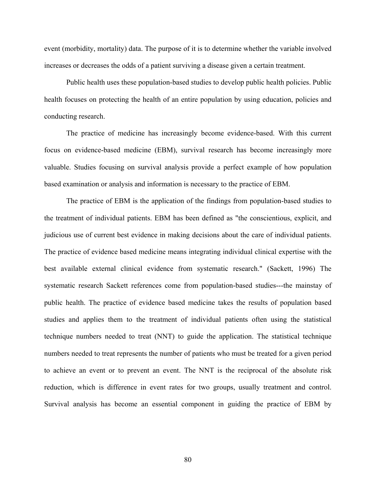event (morbidity, mortality) data. The purpose of it is to determine whether the variable involved increases or decreases the odds of a patient surviving a disease given a certain treatment.

Public health uses these population-based studies to develop public health policies. Public health focuses on protecting the health of an entire population by using education, policies and conducting research.

The practice of medicine has increasingly become evidence-based. With this current focus on evidence-based medicine (EBM), survival research has become increasingly more valuable. Studies focusing on survival analysis provide a perfect example of how population based examination or analysis and information is necessary to the practice of EBM.

The practice of EBM is the application of the findings from population-based studies to the treatment of individual patients. EBM has been defined as "the conscientious, explicit, and judicious use of current best evidence in making decisions about the care of individual patients. The practice of evidence based medicine means integrating individual clinical expertise with the best available external clinical evidence from systematic research." (Sackett, 1996) The systematic research Sackett references come from population-based studies---the mainstay of public health. The practice of evidence based medicine takes the results of population based studies and applies them to the treatment of individual patients often using the statistical technique numbers needed to treat (NNT) to guide the application. The statistical technique numbers needed to treat represents the number of patients who must be treated for a given period to achieve an event or to prevent an event. The NNT is the reciprocal of the absolute risk reduction, which is difference in event rates for two groups, usually treatment and control. Survival analysis has become an essential component in guiding the practice of EBM by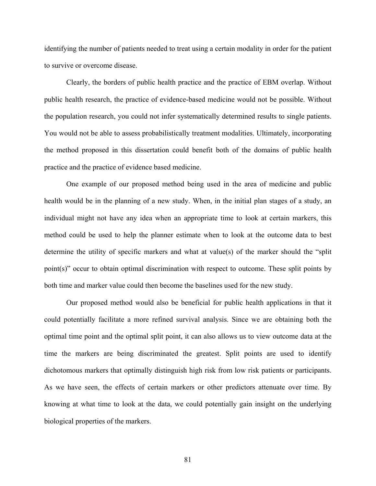identifying the number of patients needed to treat using a certain modality in order for the patient to survive or overcome disease.

Clearly, the borders of public health practice and the practice of EBM overlap. Without public health research, the practice of evidence-based medicine would not be possible. Without the population research, you could not infer systematically determined results to single patients. You would not be able to assess probabilistically treatment modalities. Ultimately, incorporating the method proposed in this dissertation could benefit both of the domains of public health practice and the practice of evidence based medicine.

One example of our proposed method being used in the area of medicine and public health would be in the planning of a new study. When, in the initial plan stages of a study, an individual might not have any idea when an appropriate time to look at certain markers, this method could be used to help the planner estimate when to look at the outcome data to best determine the utility of specific markers and what at value(s) of the marker should the "split point(s)" occur to obtain optimal discrimination with respect to outcome. These split points by both time and marker value could then become the baselines used for the new study.

 Our proposed method would also be beneficial for public health applications in that it could potentially facilitate a more refined survival analysis. Since we are obtaining both the optimal time point and the optimal split point, it can also allows us to view outcome data at the time the markers are being discriminated the greatest. Split points are used to identify dichotomous markers that optimally distinguish high risk from low risk patients or participants. As we have seen, the effects of certain markers or other predictors attenuate over time. By knowing at what time to look at the data, we could potentially gain insight on the underlying biological properties of the markers.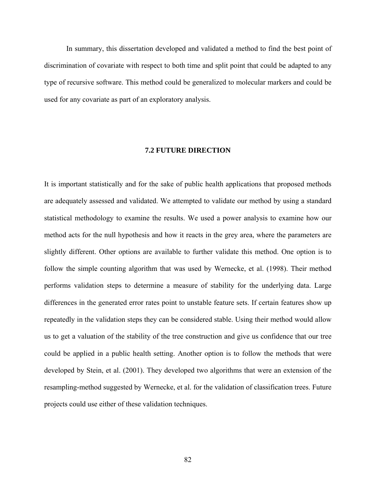In summary, this dissertation developed and validated a method to find the best point of discrimination of covariate with respect to both time and split point that could be adapted to any type of recursive software. This method could be generalized to molecular markers and could be used for any covariate as part of an exploratory analysis.

## **7.2 FUTURE DIRECTION**

It is important statistically and for the sake of public health applications that proposed methods are adequately assessed and validated. We attempted to validate our method by using a standard statistical methodology to examine the results. We used a power analysis to examine how our method acts for the null hypothesis and how it reacts in the grey area, where the parameters are slightly different. Other options are available to further validate this method. One option is to follow the simple counting algorithm that was used by Wernecke, et al. (1998). Their method performs validation steps to determine a measure of stability for the underlying data. Large differences in the generated error rates point to unstable feature sets. If certain features show up repeatedly in the validation steps they can be considered stable. Using their method would allow us to get a valuation of the stability of the tree construction and give us confidence that our tree could be applied in a public health setting. Another option is to follow the methods that were developed by Stein, et al. (2001). They developed two algorithms that were an extension of the resampling-method suggested by Wernecke, et al. for the validation of classification trees. Future projects could use either of these validation techniques.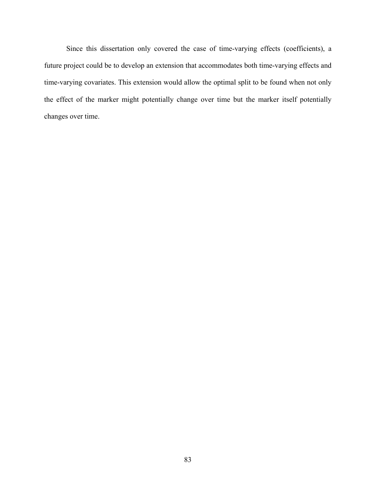Since this dissertation only covered the case of time-varying effects (coefficients), a future project could be to develop an extension that accommodates both time-varying effects and time-varying covariates. This extension would allow the optimal split to be found when not only the effect of the marker might potentially change over time but the marker itself potentially changes over time.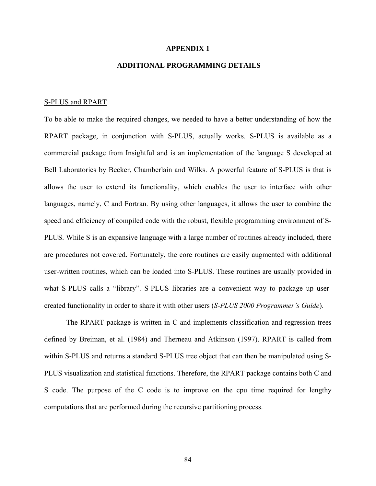#### **APPENDIX 1**

# **ADDITIONAL PROGRAMMING DETAILS**

#### S-PLUS and RPART

To be able to make the required changes, we needed to have a better understanding of how the RPART package, in conjunction with S-PLUS, actually works. S-PLUS is available as a commercial package from Insightful and is an implementation of the language S developed at Bell Laboratories by Becker, Chamberlain and Wilks. A powerful feature of S-PLUS is that is allows the user to extend its functionality, which enables the user to interface with other languages, namely, C and Fortran. By using other languages, it allows the user to combine the speed and efficiency of compiled code with the robust, flexible programming environment of S-PLUS. While S is an expansive language with a large number of routines already included, there are procedures not covered. Fortunately, the core routines are easily augmented with additional user-written routines, which can be loaded into S-PLUS. These routines are usually provided in what S-PLUS calls a "library". S-PLUS libraries are a convenient way to package up usercreated functionality in order to share it with other users (*S-PLUS 2000 Programmer's Guide*).

The RPART package is written in C and implements classification and regression trees defined by Breiman, et al. (1984) and Therneau and Atkinson (1997). RPART is called from within S-PLUS and returns a standard S-PLUS tree object that can then be manipulated using S-PLUS visualization and statistical functions. Therefore, the RPART package contains both C and S code. The purpose of the C code is to improve on the cpu time required for lengthy computations that are performed during the recursive partitioning process.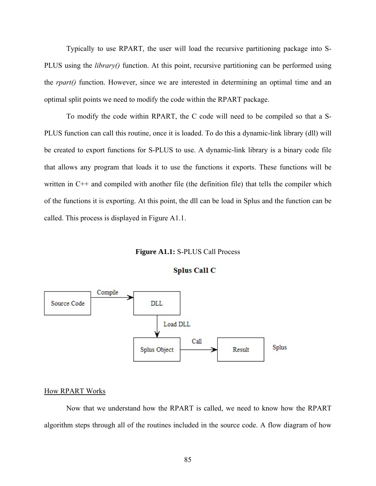Typically to use RPART, the user will load the recursive partitioning package into S-PLUS using the *library()* function. At this point, recursive partitioning can be performed using the *rpart()* function. However, since we are interested in determining an optimal time and an optimal split points we need to modify the code within the RPART package.

To modify the code within RPART, the C code will need to be compiled so that a S-PLUS function can call this routine, once it is loaded. To do this a dynamic-link library (dll) will be created to export functions for S-PLUS to use. A dynamic-link library is a binary code file that allows any program that loads it to use the functions it exports. These functions will be written in C++ and compiled with another file (the definition file) that tells the compiler which of the functions it is exporting. At this point, the dll can be load in Splus and the function can be called. This process is displayed in Figure A1.1.

## **Figure A1.1:** S-PLUS Call Process





#### How RPART Works

Now that we understand how the RPART is called, we need to know how the RPART algorithm steps through all of the routines included in the source code. A flow diagram of how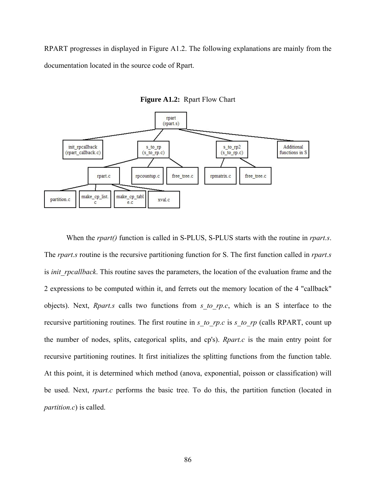RPART progresses in displayed in Figure A1.2. The following explanations are mainly from the documentation located in the source code of Rpart.



**Figure A1.2:** Rpart Flow Chart

When the *rpart()* function is called in S-PLUS, S-PLUS starts with the routine in *rpart.s*. The *rpart.s* routine is the recursive partitioning function for S. The first function called in *rpart.s* is *init rpcallback*. This routine saves the parameters, the location of the evaluation frame and the 2 expressions to be computed within it, and ferrets out the memory location of the 4 "callback" objects). Next, *Rpart.s* calls two functions from *s\_to\_rp.c*, which is an S interface to the recursive partitioning routines. The first routine in *s\_to\_rp.c* is *s\_to\_rp* (calls RPART, count up the number of nodes, splits, categorical splits, and cp's). *Rpart.c* is the main entry point for recursive partitioning routines. It first initializes the splitting functions from the function table. At this point, it is determined which method (anova, exponential, poisson or classification) will be used. Next, *rpart.c* performs the basic tree. To do this, the partition function (located in *partition.c*) is called.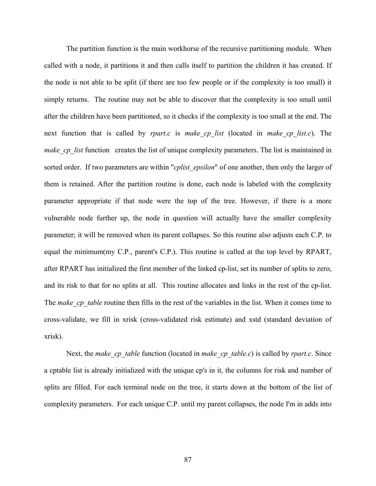The partition function is the main workhorse of the recursive partitioning module. When called with a node, it partitions it and then calls itself to partition the children it has created. If the node is not able to be split (if there are too few people or if the complexity is too small) it simply returns. The routine may not be able to discover that the complexity is too small until after the children have been partitioned, so it checks if the complexity is too small at the end. The next function that is called by *rpart.c* is *make\_cp\_list* (located in *make\_cp\_list.c*). The *make cp\_list* function creates the list of unique complexity parameters. The list is maintained in sorted order. If two parameters are within "*cplist\_epsilon*" of one another, then only the larger of them is retained. After the partition routine is done, each node is labeled with the complexity parameter appropriate if that node were the top of the tree. However, if there is a more vulnerable node further up, the node in question will actually have the smaller complexity parameter; it will be removed when its parent collapses. So this routine also adjusts each C.P. to equal the minimum(my C.P., parent's C.P.). This routine is called at the top level by RPART, after RPART has initialized the first member of the linked cp-list, set its number of splits to zero, and its risk to that for no splits at all. This routine allocates and links in the rest of the cp-list. The *make cp* table routine then fills in the rest of the variables in the list. When it comes time to cross-validate, we fill in xrisk (cross-validated risk estimate) and xstd (standard deviation of xrisk).

Next, the *make cp* table function (located in *make cp* table.c) is called by *rpart.c*. Since a cptable list is already initialized with the unique cp's in it, the columns for risk and number of splits are filled. For each terminal node on the tree, it starts down at the bottom of the list of complexity parameters. For each unique C.P. until my parent collapses, the node I'm in adds into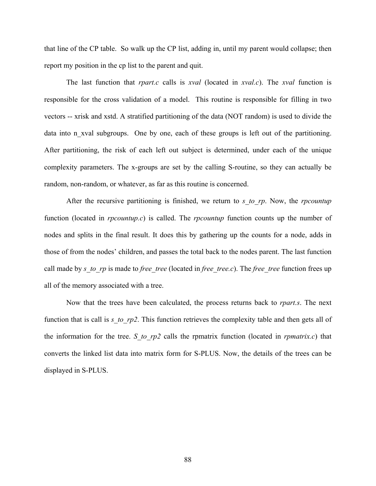that line of the CP table. So walk up the CP list, adding in, until my parent would collapse; then report my position in the cp list to the parent and quit.

The last function that *rpart.c* calls is *xval* (located in *xval.c*). The *xval* function is responsible for the cross validation of a model. This routine is responsible for filling in two vectors -- xrisk and xstd. A stratified partitioning of the data (NOT random) is used to divide the data into n xval subgroups. One by one, each of these groups is left out of the partitioning. After partitioning, the risk of each left out subject is determined, under each of the unique complexity parameters. The x-groups are set by the calling S-routine, so they can actually be random, non-random, or whatever, as far as this routine is concerned.

After the recursive partitioning is finished, we return to *s\_to\_rp*. Now, the *rpcountup*  function (located in *rpcountup.c*) is called. The *rpcountup* function counts up the number of nodes and splits in the final result. It does this by gathering up the counts for a node, adds in those of from the nodes' children, and passes the total back to the nodes parent. The last function call made by *s\_to\_rp* is made to *free\_tree* (located in *free\_tree.c*). The *free\_tree* function frees up all of the memory associated with a tree.

Now that the trees have been calculated, the process returns back to *rpart.s*. The next function that is call is *s\_to\_rp2*. This function retrieves the complexity table and then gets all of the information for the tree. *S\_to\_rp2* calls the rpmatrix function (located in *rpmatrix.c*) that converts the linked list data into matrix form for S-PLUS. Now, the details of the trees can be displayed in S-PLUS.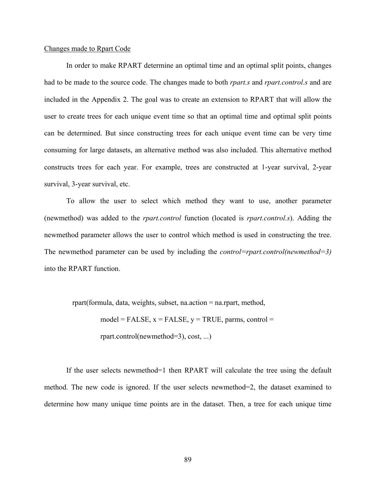## Changes made to Rpart Code

In order to make RPART determine an optimal time and an optimal split points, changes had to be made to the source code. The changes made to both *rpart.s* and *rpart.control.s* and are included in the Appendix 2. The goal was to create an extension to RPART that will allow the user to create trees for each unique event time so that an optimal time and optimal split points can be determined. But since constructing trees for each unique event time can be very time consuming for large datasets, an alternative method was also included. This alternative method constructs trees for each year. For example, trees are constructed at 1-year survival, 2-year survival, 3-year survival, etc.

To allow the user to select which method they want to use, another parameter (newmethod) was added to the *rpart.control* function (located is *rpart.control.s*). Adding the newmethod parameter allows the user to control which method is used in constructing the tree. The newmethod parameter can be used by including the *control=rpart.control(newmethod=3)* into the RPART function.

rpart(formula, data, weights, subset, na.action = na.rpart, method,

 $model = FALSE, x = FALSE, y = TRUE, parms, control =$ 

rpart.control(newmethod=3), cost, ...)

If the user selects newmethod=1 then RPART will calculate the tree using the default method. The new code is ignored. If the user selects newmethod=2, the dataset examined to determine how many unique time points are in the dataset. Then, a tree for each unique time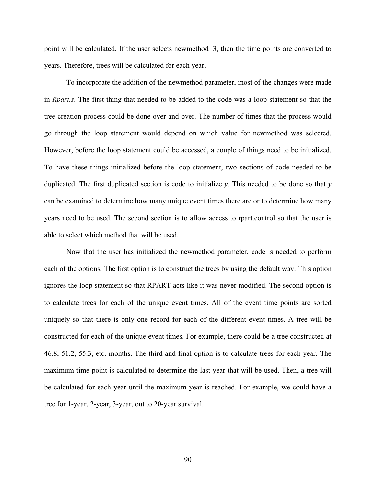point will be calculated. If the user selects newmethod=3, then the time points are converted to years. Therefore, trees will be calculated for each year.

To incorporate the addition of the newmethod parameter, most of the changes were made in *Rpart.s*. The first thing that needed to be added to the code was a loop statement so that the tree creation process could be done over and over. The number of times that the process would go through the loop statement would depend on which value for newmethod was selected. However, before the loop statement could be accessed, a couple of things need to be initialized. To have these things initialized before the loop statement, two sections of code needed to be duplicated. The first duplicated section is code to initialize *y*. This needed to be done so that *y* can be examined to determine how many unique event times there are or to determine how many years need to be used. The second section is to allow access to rpart.control so that the user is able to select which method that will be used.

Now that the user has initialized the newmethod parameter, code is needed to perform each of the options. The first option is to construct the trees by using the default way. This option ignores the loop statement so that RPART acts like it was never modified. The second option is to calculate trees for each of the unique event times. All of the event time points are sorted uniquely so that there is only one record for each of the different event times. A tree will be constructed for each of the unique event times. For example, there could be a tree constructed at 46.8, 51.2, 55.3, etc. months. The third and final option is to calculate trees for each year. The maximum time point is calculated to determine the last year that will be used. Then, a tree will be calculated for each year until the maximum year is reached. For example, we could have a tree for 1-year, 2-year, 3-year, out to 20-year survival.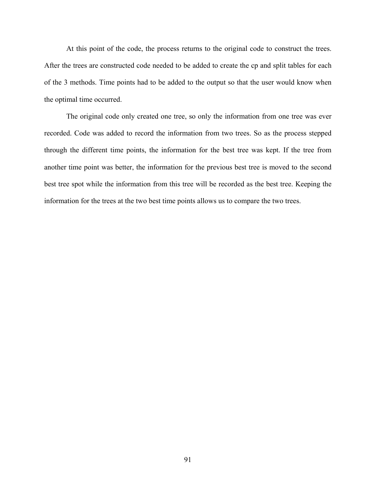At this point of the code, the process returns to the original code to construct the trees. After the trees are constructed code needed to be added to create the cp and split tables for each of the 3 methods. Time points had to be added to the output so that the user would know when the optimal time occurred.

The original code only created one tree, so only the information from one tree was ever recorded. Code was added to record the information from two trees. So as the process stepped through the different time points, the information for the best tree was kept. If the tree from another time point was better, the information for the previous best tree is moved to the second best tree spot while the information from this tree will be recorded as the best tree. Keeping the information for the trees at the two best time points allows us to compare the two trees.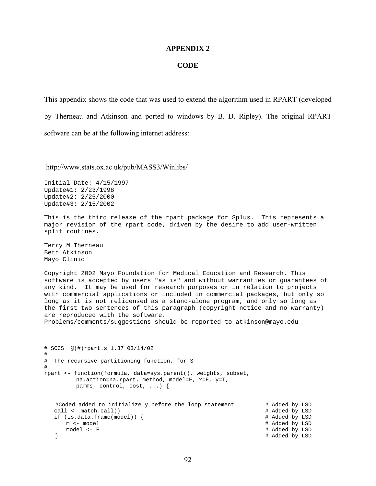#### **APPENDIX 2**

#### **CODE**

This appendix shows the code that was used to extend the algorithm used in RPART (developed by Therneau and Atkinson and ported to windows by B. D. Ripley). The original RPART software can be at the following internet address:

http://www.stats.ox.ac.uk/pub/MASS3/Winlibs/

Initial Date: 4/15/1997 Update#1: 2/23/1998 Update#2: 2/25/2000 Update#3: 2/15/2002

This is the third release of the rpart package for Splus. This represents a major revision of the rpart code, driven by the desire to add user-written split routines.

Terry M Therneau Beth Atkinson Mayo Clinic

Copyright 2002 Mayo Foundation for Medical Education and Research. This software is accepted by users "as is" and without warranties or guarantees of any kind. It may be used for research purposes or in relation to projects with commercial applications or included in commercial packages, but only so long as it is not relicensed as a stand-alone program, and only so long as the first two sentences of this paragraph (copyright notice and no warranty) are reproduced with the software.

Problems/comments/suggestions should be reported to atkinson@mayo.edu

```
# SCCS @(#)rpart.s 1.37 03/14/02 
# 
# The recursive partitioning function, for S 
# 
rpart <- function(formula, data=sys.parent(), weights, subset, 
         na.action=na.rpart, method, model=F, x=F, y=T, 
          parms, control, cost, ...) { 
   #Coded added to initialize y before the loop statement # Added by LSD<br>call <- match.call() # # Added by LSD
  call \leftarrow match.call()
   if (is.data.frame(model)) { # Added by LSD 
      m <- model # Added by LSD<br>model <- F # Added by LSD<br>model <- F # Added by LSD
    model <- F # Added by LSD 
                                                                # Added by LSD
```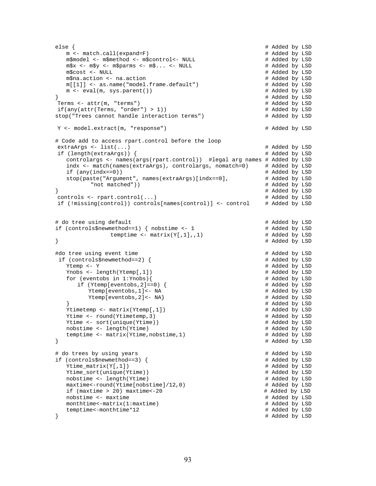```
 else { # Added by LSD 
    m <- match.call(expand=F) # Added by LSD 
   m$model <- m$method <- m$control<- NULL
   m$x <- m$y <- m$parms <- m$... <- NULL \# Added by LSD
   m$cost <- NULL<br>m$na.action <- na.action <br># Added by LSD = # Added by LSD
    m$na.action <- na.action # Added by LSD 
    m[[1]] <- as.name("model.frame.default") # Added by LSD 
   m \le - eval(m, sys.parent())
\uparrow \uparrow \uparrow \uparrow \uparrow \uparrow \uparrow \uparrow \uparrow \uparrow \uparrow \uparrow \uparrow \uparrow \uparrow \uparrow \uparrow \uparrow \uparrow \uparrow \uparrow \uparrow \uparrow \uparrow \uparrow \uparrow \uparrow \uparrow \uparrow \uparrow \uparrow \uparrow \uparrow \uparrow \uparrow \uparrow \uparrow Terms <- attr(m, "terms") # Added by LSD 
 if(any(attr(Terms, "order") > 1)) # Added by LSD 
stop("Trees cannot handle interaction terms") \qquad # Added by LSD
 Y <- model.extract(m, "response") # Added by LSD 
 # Code add to access rpart.control before the loop 
 extraArgs <- list(...) # Added by LSD 
 if (length(extraArgs)) { # Added by LSD 
   controlargs <- names(args(rpart.control)) #legal arg names # Added by LSD indx <- match(names(extraArgs), controlargs, nomatch=0) # Added by LSD
    indx <- match(names(extraArgs), controlargs, nomatch=0) # Added by LSD 
   if (any(indx==0))<br>stop(paste("Arqument", names(extraArqs)[indx==0], # Added by LSD
   stop(paste("Argument", names(extraArgs)[indx==0],
           "not matched")) # Added by LSD 
\uparrow \uparrow \uparrow \uparrow \uparrow \uparrow \uparrow \uparrow \uparrow \uparrow \uparrow \uparrow \uparrow \uparrow \uparrow \uparrow \uparrow \uparrow \uparrow \uparrow \uparrow \uparrow \uparrow \uparrow \uparrow \uparrow \uparrow \uparrow \uparrow \uparrow \uparrow \uparrow \uparrow \uparrow \uparrow \uparrow \uparrow controls <- rpart.control(...) # Added by LSD 
 if (!missing(control)) controls[names(control)] <- control # Added by LSD 
# do tree using default # Added by LSD
 if (controls$newmethod==1) { nobstime <- 1 # Added by LSD 
                temptime \leq - matrix(Y[,1],,1) # Added by LSD
\} \uparrow \uparrow \uparrow \uparrow \uparrow \uparrow \uparrow \uparrow \uparrow \uparrow \uparrow \uparrow \uparrow \uparrow \uparrow \uparrow \uparrow \uparrow \uparrow \uparrow \uparrow \uparrow \uparrow \uparrow \uparrow \uparrow \uparrow \uparrow \uparrow \uparrow \uparrow \uparrow \uparrow \uparrow \uparrow \uparrow 
# Added by LSD # Added by LSD # 4 Added by LSD # 4 Added by LSD # 4 Added by LSD # 4 Added by LSD
if (controls$newmethod==2) {<br>Ytemp <- Y
                                                              # Added by LSD<br># Added by LSD
   Ynobs \leq length(Ytemp[,1])
    for (eventobs in 1:Ynobs){ # Added by LSD 
       if (Ytemp[eventobs,2]==0) { # Added by LSD 
         Ytemp[eventobs,1]<- NA # Added by LSD<br>Ytemp[eventobs,2]<- NA} # Added by LSD
   Ytemp[events, 2]<- NA}
                                                              # Added by LSD<br># Added by LSD
   Ytimetemp <- matrix(Ytemp[,1])
    Ytime <- round(Ytimetemp,3) # Added by LSD 
    Ytime <- sort(unique(Ytime)) # Added by LSD 
    nobstime <- length(Ytime) # Added by LSD 
    temptime <- matrix(Ytime,nobstime,1) # Added by LSD 
\} \} \}# do trees by using years # Added by LSD
 if (controls$newmethod==3) { # Added by LSD 
    Ytime_matrix(Y[,1]) # Added by LSD 
    Ytime_sort(unique(Ytime)) # Added by LSD 
    nobstime <- length(Ytime) # Added by LSD 
   maxtime<-round(Ytime[nobstime]/12,0)  # Added by LSD<br>if (maxtime > 20) maxtime<-20   # Added by LSD
   if (maxtime > 20) maxtime < -20nobstime <- maxtime # Added by LSD
    monthtime<-matrix(1:maxtime) # Added by LSD 
   temptime<-monthtime*12
 } # Added by LSD
```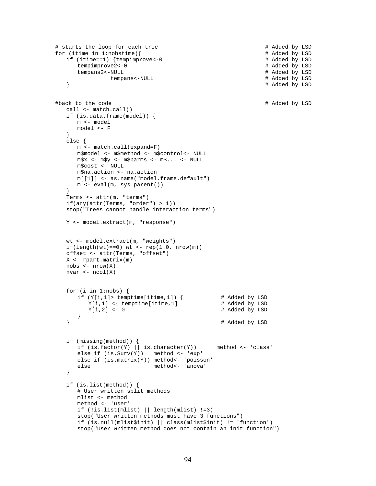```
# starts the loop for each tree \# Added by LSD \# Added by LSD \# Added by LSD \# Added by LSD
   for (itime in 1:nobstime){<br>if (itime==1) {tempimprove<-0 \qquad# Added by LSD
      if (itime==1) {tempimprove<-0
          tempimprove2<-0 # Added by LSD<br>tempans2<-NULL # Added by LSD
          tempans2<-NULL tempans<-NULL + Added by LSD tempans<-NULL + Added by LSD
      tempans<-NULL <br>}
                                                                       } # Added by LSD 
    #back to the code # Added by LSD 
       call <- match.call() 
       if (is.data.frame(model)) { 
          m <- model 
          model <- F 
       } 
       else { 
           m <- match.call(expand=F) 
           m$model <- m$method <- m$control<- NULL 
           m$x <- m$y <- m$parms <- m$... <- NULL 
           m$cost <- NULL 
           m$na.action <- na.action 
           m[[1]] <- as.name("model.frame.default") 
           m <- eval(m, sys.parent()) 
 } 
       Terms <- attr(m, "terms") 
       if(any(attr(Terms, "order") > 1)) 
       stop("Trees cannot handle interaction terms") 
       Y <- model.extract(m, "response") 
       wt <- model.extract(m, "weights") 
      if(length(wt)=0) wt <- rep(1.0, nrow(m)) offset <- attr(Terms, "offset") 
       X <- rpart.matrix(m) 
       nobs <- nrow(X) 
      nvar \leq -ncol(X) for (i in 1:nobs) { 
          if (Y[i,1]) temptime[itime,1]) { # Added by LSD Y[i,1] <- temptime[itime,1] # Added by LSD
             Y[i,1] <- temptime[itime,1]<br>Y[i,2] <- 0
                                                        # Added by LSD
      \begin{matrix} \end{matrix} } # Added by LSD 
       if (missing(method)) { 
          if (is.factor(Y) | | is.daracter(Y)) method <- 'class'
          else if (is.Surv(Y)) method <- 'exp'
          else if (is.\text{matrix}(Y)) method - 'poisson'
          else method<- 'anova'
       } 
       if (is.list(method)) { 
           # User written split methods 
           mlist <- method 
           method <- 'user' 
           if (!is.list(mlist) || length(mlist) !=3) 
           stop("User written methods must have 3 functions") 
           if (is.null(mlist$init) || class(mlist$init) != 'function') 
           stop("User written method does not contain an init function")
```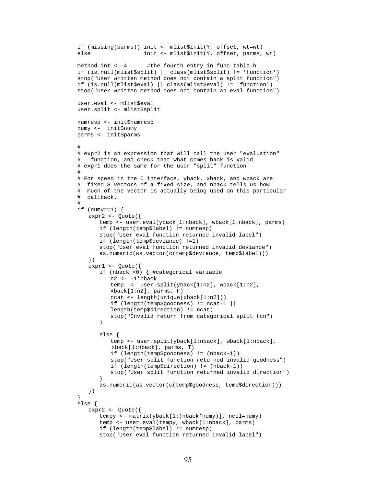```
 if (missing(parms)) init <- mlist$init(Y, offset, wt=wt) 
          else init <- mlist$init(Y, offset, parms, wt) 
         method.int <- 4 #the fourth entry in func_table.h
          if (is.null(mlist$split) || class(mlist$split) != 'function') 
          stop("User written method does not contain a split function") 
          if (is.null(mlist$eval) || class(mlist$eval) != 'function') 
          stop("User written method does not contain an eval function") 
          user.eval <- mlist$eval 
          user.split <- mlist$split 
          numresp <- init$numresp 
          numy <- init$numy 
          parms <- init$parms 
 # 
          # expr2 is an expression that will call the user "evaluation" 
          # function, and check that what comes back is valid 
          # expr1 does the same for the user "split" function 
 # 
          # For speed in the C interface, yback, xback, and wback are 
          # fixed S vectors of a fixed size, and nback tells us how 
           # much of the vector is actually being used on this particular 
          # callback. 
 # 
         if (numy==1) {
              expr2 <- Quote({ 
                 temp <- user.eval(yback[1:nback], wback[1:nback], parms) 
                 if (length(temp$label) != numresp) 
                 stop("User eval function returned invalid label") 
                 if (length(temp$deviance) !=1) 
                 stop("User eval function returned invalid deviance") 
                 as.numeric(as.vector(c(temp$deviance, temp$label))) 
              }) 
              expr1 <- Quote({ 
                 if (nback <0) { #categorical variable 
                     n2 <- -1*nback 
                     temp <- user.split(yback[1:n2], wback[1:n2], 
                    xback[1:n2], parms, F)
                     ncat <- length(unique(xback[1:n2])) 
                     if (length(temp$goodness) != ncat-1 || 
                     length(temp$direction) != ncat) 
                     stop("Invalid return from categorical split fcn") 
 } 
                 else { 
                     temp <- user.split(yback[1:nback], wback[1:nback], 
                     xback[1:nback], parms, T) 
                     if (length(temp$goodness) != (nback-1)) 
                     stop("User split function returned invalid goodness") 
                     if (length(temp$direction) != (nback-1)) 
                     stop("User split function returned invalid direction") 
 } 
                 as.numeric(as.vector(c(temp$goodness, temp$direction))) 
              }) 
          } 
          else { 
              expr2 <- Quote({ 
                 tempy <- matrix(yback[1:(nback*numy)], ncol=numy) 
                 temp <- user.eval(tempy, wback[1:nback], parms) 
                 if (length(temp$label) != numresp) 
                 stop("User eval function returned invalid label")
```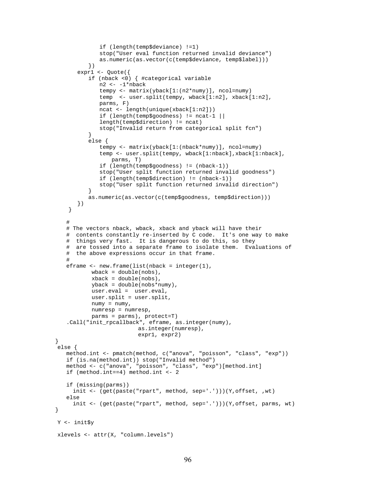```
 if (length(temp$deviance) !=1) 
                  stop("User eval function returned invalid deviance") 
                  as.numeric(as.vector(c(temp$deviance, temp$label))) 
              }) 
           expr1 <- Quote({ 
              if (nback <0) { #categorical variable 
                  n2 <- -1*nback 
                  tempy <- matrix(yback[1:(n2*numy)], ncol=numy) 
                  temp <- user.split(tempy, wback[1:n2], xback[1:n2], 
                  parms, F) 
                  ncat <- length(unique(xback[1:n2])) 
                  if (length(temp$goodness) != ncat-1 || 
                  length(temp$direction) != ncat) 
              stop("Invalid return from categorical split fcn") 
 } 
              else { 
                  tempy <- matrix(yback[1:(nback*numy)], ncol=numy) 
                  temp <- user.split(tempy, wback[1:nback],xback[1:nback], 
                     parms, T) 
                  if (length(temp$goodness) != (nback-1)) 
                  stop("User split function returned invalid goodness") 
                  if (length(temp$direction) != (nback-1)) 
                  stop("User split function returned invalid direction") 
 } 
              as.numeric(as.vector(c(temp$goodness, temp$direction))) 
           }) 
        } 
       # 
       # The vectors nback, wback, xback and yback will have their 
       # contents constantly re-inserted by C code. It's one way to make 
       # things very fast. It is dangerous to do this, so they 
       # are tossed into a separate frame to isolate them. Evaluations of 
       # the above expressions occur in that frame. 
 # 
       eframe <- new.frame(list(nback = integer(1), 
              wback = double(nobs),
              xback = double(nobs),
               yback = double(nobs*numy), 
               user.eval = user.eval, 
               user.split = user.split, 
              numy = numy,
               numresp = numresp, 
               parms = parms), protect=T) 
       .Call("init_rpcallback", eframe, as.integer(numy), 
                              as.integer(numresp), 
                              expr1, expr2) 
    else { 
       method.int <- pmatch(method, c("anova", "poisson", "class", "exp")) 
       if (is.na(method.int)) stop("Invalid method") 
       method <- c("anova", "poisson", "class", "exp")[method.int] 
       if (method.int==4) method.int <- 2 
       if (missing(parms)) 
         init <- (get(paste("rpart", method, sep='.')))(Y,offset, ,wt) 
       else 
         init <- (get(paste("rpart", method, sep='.')))(Y,offset, parms, wt) 
    Y <- init$y 
    xlevels <- attr(X, "column.levels")
```
}

}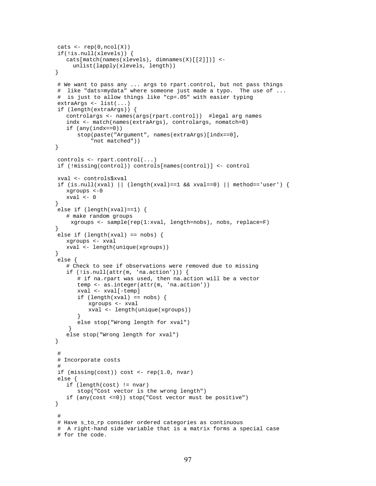```
\text{cats} \leftarrow \text{rep}(0,\text{ncol}(X)) if(!is.null(xlevels)) { 
       cats[match(names(xlevels), dimnames(X)[[2]])] <- 
          unlist(lapply(xlevels, length)) 
    } 
     # We want to pass any ... args to rpart.control, but not pass things 
     # like "dats=mydata" where someone just made a typo. The use of ... 
     # is just to allow things like "cp=.05" with easier typing 
     extraArgs <- list(...) 
     if (length(extraArgs)) { 
       controlargs <- names(args(rpart.control)) #legal arg names 
       indx <- match(names(extraArgs), controlargs, nomatch=0) 
       if (any(indx==0)) 
           stop(paste("Argument", names(extraArgs)[indx==0], 
                "not matched")) 
    } 
     controls <- rpart.control(...) 
    if (!missing(control)) controls[names(control)] <- control 
    xval <- controls$xval 
    if (is.null(xval) || (length(xval)==1 && xval==0) || method=='user') {
       xgroups <-0 
       xval <- 0 
    } 
     else if (length(xval)==1) { 
       # make random groups 
         xgroups <- sample(rep(1:xval, length=nobs), nobs, replace=F) 
    } 
    else if (lenqth(xval) == nobs) {
       xgroups <- xval 
       xval <- length(unique(xgroups)) 
    } 
     else { 
       # Check to see if observations were removed due to missing 
       if (!is.null(attr(m, 'na.action'))) { 
           # if na.rpart was used, then na.action will be a vector 
           temp <- as.integer(attr(m, 'na.action')) 
           xval <- xval[-temp] 
          if (length(xval) == nobs) {
               xgroups <- xval 
               xval <- length(unique(xgroups)) 
 } 
           else stop("Wrong length for xval") 
 } 
       else stop("Wrong length for xval") 
    } 
     # 
     # Incorporate costs 
 # 
     if (missing(cost)) cost <- rep(1.0, nvar) 
     else { 
       if (length(cost) != nvar) 
           stop("Cost vector is the wrong length") 
       if (any(cost <=0)) stop("Cost vector must be positive") 
    } 
 # 
     # Have s_to_rp consider ordered categories as continuous 
     # A right-hand side variable that is a matrix forms a special case 
     # for the code.
```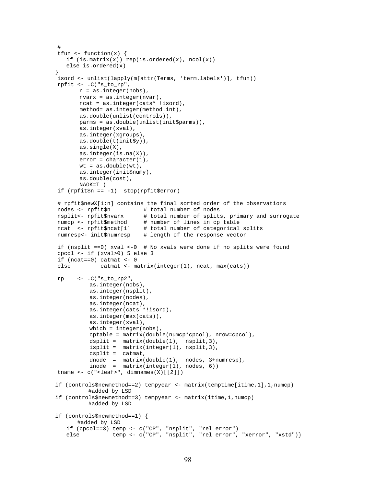```
 # 
   tfun \leftarrow function(x) {
      if (is.\text{matrix}(x)) rep(is.ordered(x), ncol(x))
       else is.ordered(x) 
    } 
    isord <- unlist(lapply(m[attr(Terms, 'term.labels')], tfun)) 
    rpfit <- .C("s_to_rp", 
           n = as.integer(nobs), 
           nvarx = as.integer(nvar), 
           ncat = as.integer(cats* !isord), 
           method= as.integer(method.int), 
           as.double(unlist(controls)), 
           parms = as.double(unlist(init$parms)), 
           as.integer(xval), 
           as.integer(xgroups), 
           as.double(t(init$y)), 
           as.single(X), 
           as.integer(is.na(X)), 
          error = character(1),
          wt = as.double(wt),
           as.integer(init$numy), 
           as.double(cost), 
           NAOK=T ) 
    if (rpfit$n == -1) stop(rpfit$error) 
    # rpfit$newX[1:n] contains the final sorted order of the observations 
    nodes <- rpfit$n # total number of nodes 
   nsplit<- rpfit$nvarx # total number of splits, primary and surrogate numcp <- rpfit$method # number of lines in cp table
                              # number of lines in cp table
    ncat <- rpfit$ncat[1] # total number of categorical splits 
    numresp<- init$numresp # length of the response vector 
    if (nsplit ==0) xval <-0 # No xvals were done if no splits were found 
    cpcol <- if (xval>0) 5 else 3 
   if (ncat==0) catmat <-0 else catmat <- matrix(integer(1), ncat, max(cats)) 
   rp \leq -.C("s_to_p2", as.integer(nobs), 
               as.integer(nsplit), 
               as.integer(nodes), 
               as.integer(ncat), 
               as.integer(cats *!isord), 
               as.integer(max(cats)), 
               as.integer(xval), 
              which = integer(nobs),
               cptable = matrix(double(numcp*cpcol), nrow=cpcol), 
              dsplit = matrix(double(1), nsplit,3),
               isplit = matrix(integer(1), nsplit,3), 
               csplit = catmat, 
 dnode = matrix(double(1), nodes, 3+numresp), 
 inode = matrix(integer(1), nodes, 6)) 
    tname \leq c("\leqleaf>", dimnames(X)[[2]])
    if (controls$newmethod==2) tempyear <- matrix(temptime[itime,1],1,numcp) 
               #added by LSD 
    if (controls$newmethod==3) tempyear <- matrix(itime,1,numcp) 
              #added by LSD 
    if (controls$newmethod==1) { 
           #added by LSD 
       if (cpcol==3) temp <- c("CP", "nsplit", "rel error") 
      else temp <- c("CP", "nsplit", "rel error", "xerror", "xstd")}
```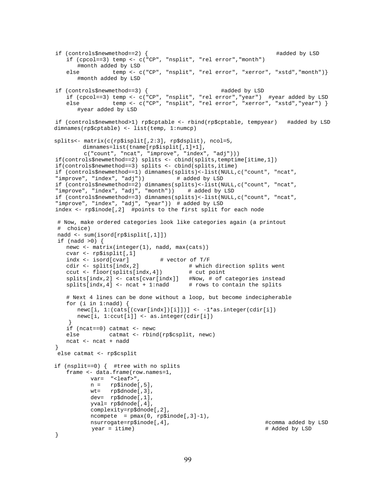```
if (controls$newmethod==2) { #added by LSD
       if (cpcol==3) temp <- c("CP", "nsplit", "rel error","month") 
          #month added by LSD 
      else temp <- c("CP", "nsplit", "rel error", "xerror", "xstd", "month") }
          #month added by LSD 
    if (controls$newmethod==3) { #added by LSD 
       if (cpcol==3) temp <- c("CP", "nsplit", "rel error","year") #year added by LSD 
      else temp <- c("CP", "nsplit", "rel error", "xerror", "xstd", "year") }
          #year added by LSD 
    if (controls$newmethod>1) rp$cptable <- rbind(rp$cptable, tempyear) #added by LSD 
   dimnames(rp$cptable) <- list(temp, 1:numcp) 
   splits<- matrix(c(rp$isplit[,2:3], rp$dsplit), ncol=5, 
           dimnames=list(tname[rp$isplit[,1]+1], 
            c("count", "ncat", "improve", "index", "adj"))) 
    if(controls$newmethod==2) splits <- cbind(splits,temptime[itime,1]) 
    if(controls$newmethod==3) splits <- cbind(splits,itime) 
    if (controls$newmethod==1) dimnames(splits)<-list(NULL,c("count", "ncat", 
   "improve", "index", "adj"))
    if (controls$newmethod==2) dimnames(splits)<-list(NULL,c("count", "ncat", 
   "improve", "index", "adj", "month")) # added by LSD 
 if (controls$newmethod==3) dimnames(splits)<-list(NULL,c("count", "ncat", 
   "improve", "index", "adj", "year")) # added by LSD 
    index <- rp$inode[,2] #points to the first split for each node 
    # Now, make ordered categories look like categories again (a printout 
    # choice) 
    nadd <- sum(isord[rp$isplit[,1]]) 
    if (nadd >0) { 
      newc <- matrix(integer(1), nadd, max(cats)) 
       cvar <- rp$isplit[,1] 
      indx <- isord[cvar] # vector of T/F<br>cdir <- splits[indx,2] # which
                                     # which direction splits went<br># cut point
      ccut <- floor(splits[indx, 4]) splits[indx,2] <- cats[cvar[indx]] #Now, # of categories instead 
      splits[indx,4] <- ncat + 1:nadd \# rows to contain the splits
       # Next 4 lines can be done without a loop, but become indecipherable 
      for (i in 1:nadd) \{ newc[i, 1:(cats[(cvar[indx])[i]])] <- -1*as.integer(cdir[i]) 
          newc[i, 1:ccut[i]] <- as.integer(cdir[i]) 
 } 
       if (ncat==0) catmat <- newc 
       else catmat <- rbind(rp$csplit, newc) 
       ncat <- ncat + nadd 
    } 
    else catmat <- rp$csplit 
   if (nsplit==0) { #tree with no splits 
       frame <- data.frame(row.names=1, 
              var= "<leaf>", 
              n = rp$inode[,5], 
              wt= rp$dnode[,3], 
              dev= rp$dnode[,1], 
              yval= rp$dnode[,4], 
              complexity=rp$dnode[,2], 
             ncompete = pmax(0, rp$inode[, 3]-1), nsurrogate=rp$inode[,4], #comma added by LSD 
              year = itime) # Added by LSD
```

```
 }
```

```
99
```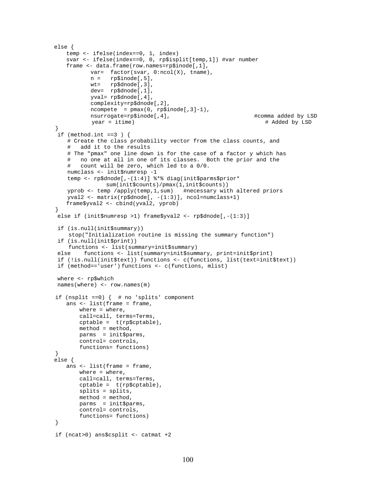```
 else { 
       temp <- ifelse(index==0, 1, index) 
       svar <- ifelse(index==0, 0, rp$isplit[temp,1]) #var number 
       frame <- data.frame(row.names=rp$inode[,1], 
              var= factor(svar, 0:ncol(X), tname),
              n = rp$inode[,5],<br>wt= rp$dnode[,3],
                    rp$dnode[,3],
               dev= rp$dnode[,1], 
               yval= rp$dnode[,4], 
               complexity=rp$dnode[,2], 
              ncompete = pmax(0, rp$inode[, 3]-1), nsurrogate=rp$inode[,4], #comma added by LSD 
                                                                      # Added by LSD
    } 
   if (method.int ==3 ) {
        # Create the class probability vector from the class counts, and 
        # add it to the results 
        # The "pmax" one line down is for the case of a factor y which has 
        # no one at all in one of its classes. Both the prior and the 
        # count will be zero, which led to a 0/0. 
        numclass <- init$numresp -1 
        temp <- rp$dnode[,-(1:4)] %*% diag(init$parms$prior* 
                    sum(init$counts)/pmax(1,init$counts)) 
 yprob <- temp /apply(temp,1,sum) #necessary with altered priors 
 yval2 <- matrix(rp$dnode[, -(1:3)], ncol=numclass+1) 
       frame$yval2 <- cbind(yval2, yprob) 
    } 
    else if (init$numresp >1) frame$yval2 <- rp$dnode[,-(1:3)] 
    if (is.null(init$summary)) 
        stop("Initialization routine is missing the summary function") 
    if (is.null(init$print)) 
        functions <- list(summary=init$summary) 
    else functions <- list(summary=init$summary, print=init$print) 
    if (!is.null(init$text)) functions <- c(functions, list(text=init$text)) 
    if (method=='user') functions <- c(functions, mlist) 
    where <- rp$which 
    names(where) <- row.names(m) 
    if (nsplit ==0) { # no 'splits' component 
       ans <- list(frame = frame, 
          where = where,
           call=call, terms=Terms, 
           cptable = t(rp$cptable), 
           method = method, 
           parms = init$parms, 
           control= controls, 
           functions= functions) 
    } 
   else { 
       ans <- list(frame = frame, 
           where = where, 
            call=call, terms=Terms, 
           cptable = t(rp$cptable), 
           splits = splits, 
           method = method, 
           parms = init$parms, 
           control= controls, 
           functions= functions) 
    } 
    if (ncat>0) ans$csplit <- catmat +2
```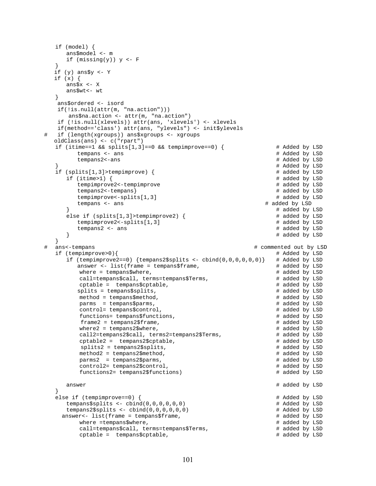```
 if (model) { 
      ans$model <- m 
     if (missing(y)) y <- F
 } 
   if (y) ans$y <- Y 
   if (x) { 
      ans$x <- X 
      ans$wt<- wt 
    } 
    ans$ordered <- isord 
    if(!is.null(attr(m, "na.action"))) 
       ans$na.action <- attr(m, "na.action") 
    if (!is.null(xlevels)) attr(ans, 'xlevels') <- xlevels 
    if(method=='class') attr(ans, "ylevels") <- init$ylevels 
  if (length(xgroups)) ans$xgroups <- xgroups
   oldClass(ans) <- c("rpart") 
   if (itime==1 && splits[1,3]==0 && tempimprove==0) { # Added by LSD
        tempans <- ans # Added by LSD
         tempans2<-ans # Added by LSD 
                                                                } # Added by LSD 
   if (splits[1,3]>tempimprove) { # added by LSD if (itime>1) { # added by LSD
     if (time>1) {
        tempimprove2<-tempimprove \qquad # added by LSD
         tempans2<-tempans} # added by LSD 
        tempimprove<-splits[1,3] # added by LSD
         tempans <- ans # added by LSD 
                                                               # added by LSD<br># added by LSD
     else if (splits[1,3]>tempimprove2) { # added by LSD<br>tempimprove2<-splits[1,3] # added by LSD
        tempimprove2<-splits[1,3]tempans2 <- ans # added by LSD
     \} \uparrow \uparrow \uparrow \uparrow \uparrow \uparrow \uparrow \uparrow \uparrow \uparrow \uparrow \uparrow \uparrow \uparrow \uparrow \uparrow \uparrow \uparrow \uparrow \uparrow \uparrow \uparrow \uparrow \uparrow \uparrow \uparrow \uparrow \uparrow \uparrow \uparrow \uparrow \uparrow \uparrow \uparrow \uparrow \uparrow 
   } 
# ans<-tempans # commented out by LSD 
  if (tempimprove>0){ # Added by LSD<br>if (tempimprove2==0) {tempans2$splits <- cbind(0,0,0,0,0,0)} # Added by LSD
     if (tempimprove2==0) {tempans2$splits <- cbind(0,0,0,0,0,0)} # Added by LSD answer <- list(frame = tempans$frame, \qquad # added by LSD
        answer <- list(frame = tempans$frame,<br>where = tempans$where,<br># added by LSD
         where = tempans$where,
          call=tempans$call, terms=tempans$Terms, # added by LSD 
          cptable = tempans$cptable, # added by LSD 
         splits = tempans$splits,<br>method = tempans$method,<br># added by LSD
         method = tempans$method,<br>
parms = tempans$parms,<br>
# added by LSD
          parms = tempans$parms, # added by LSD 
         control= tempans$control,
          functions= tempans$functions, # added by LSD 
         frame2 = tempans2$frame, \qquad # added by LSD
         where2 = tempans2$where, \qquad # added by LSD
         call2=tempans2$call, terms2=tempans2$Terms, \# added by LSD cptable2 = tempans2$cptable,
          cptable2 = tempans2$cptable, # added by LSD 
         splits2 = tempans2$splits,<br>method2 = tempans2$method,<br># added by LSD # # added by LSD
         method2 = tempans2$ method, parms2 = tempans2$parms, # added by LSD 
          control2= tempans2$control, # added by LSD 
          functions2= tempans2$functions) # added by LSD 
      answer # added by LSD 
 } 
   else if (tempimprove==0) { # Added by LSD 
      tempans$splits <- cbind(0,0,0,0,0,0) # Added by LSD 
     tempans2$splits < - child(0,0,0,0,0,0)answer<- list(frame = tempans$frame, \qquad # added by LSD
         where =tempans$where, \qquad # added by LSD
         call=tempans$call, terms=tempans$Terms, \uparrow # added by LSD cptable = tempans$cptable,
         cptcptable = tempans$cptable,
```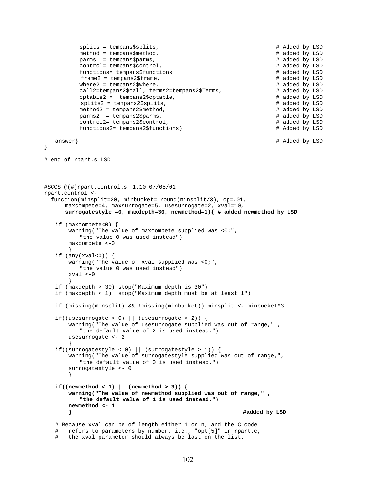```
splits = tempans$splits,<br>method = tempans$method,<br># added by LSD<br># added by LSD
          method = tempans$method,<br>
parms = tempans$parms,<br>
# added by LSD
          params = tempans$params, control= tempans$control, # added by LSD 
           functions= tempans$functions # added by LSD 
          frame2 = tempans2$frame,<br>where2 = tempans2$where,<br># added by LSD<br># added by LSD
          where2 = tempans2$where,<br>call2=tempans2$call, terms2=tempans2$Terms, \qquad# added by LSD
          call2=tempans2$call, terms2=tempans2$Terms, \qquad # added by LSD cptable2 = tempans2$cptable,
          cptcptable2 = tempans2$cptable,
          splits2 = tempans2$splits, \qquad # added by LSD
          method2 = tempans2$method, \qquad # added by LSD
           parms2 = tempans2$parms, # added by LSD 
          control2= tempans2$control,<br>
functions2= tempans2$functions) # Added by LSD<br>
# Added by LSD
          functions2= tempans2$functions)
    answer} # Added by LSD 
} 
# end of rpart.s LSD 
#SCCS @(#)rpart.control.s 1.10 07/05/01 
rpart.control <- 
   function(minsplit=20, minbucket= round(minsplit/3), cp=.01, 
       maxcompete=4, maxsurrogate=5, usesurrogate=2, xval=10, 
       surrogatestyle =0, maxdepth=30, newmethod=1){ # added newmethod by LSD 
    if (maxcompete<0) { 
       warning("The value of maxcompete supplied was <0;", 
           "the value 0 was used instead") 
       maxcompete <-0 
 } 
   if (\text{any}(xval<0)) {
        warning("The value of xval supplied was <0;", 
           "the value 0 was used instead") 
       xval <-0 
 } 
    if (maxdepth > 30) stop("Maximum depth is 30") 
    if (maxdepth < 1) stop("Maximum depth must be at least 1") 
    if (missing(minsplit) && !missing(minbucket)) minsplit <- minbucket*3 
   if((usesurrogate < 0) \vert\vert (usesurrogate > 2)) {
       warning("The value of usesurrogate supplied was out of range," , 
           "the default value of 2 is used instead.") 
       usesurrogate <- 2 
 } 
    if((surrogatestyle < 0) || (surrogatestyle > 1)) { 
       warning("The value of surrogatestyle supplied was out of range,", 
          "the default value of 0 is used instead.") 
        surrogatestyle <- 0 
 } 
   if((newmethod < 1) || (newmethod > 3)) warning("The value of newmethod supplied was out of range," , 
           "the default value of 1 is used instead.") 
       newmethod <- 1 
        } #added by LSD
    # Because xval can be of length either 1 or n, and the C code 
    # refers to parameters by number, i.e., "opt[5]" in rpart.c,
```

```
 # the xval parameter should always be last on the list.
```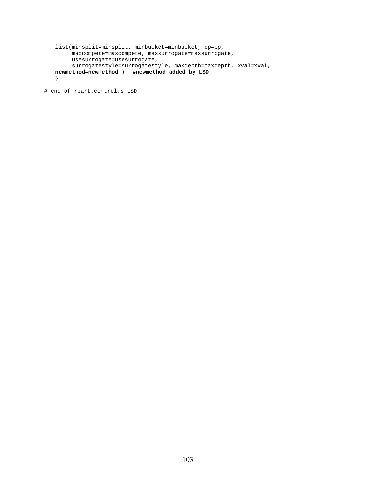```
 list(minsplit=minsplit, minbucket=minbucket, cp=cp, 
      maxcompete=maxcompete, maxsurrogate=maxsurrogate, 
      usesurrogate=usesurrogate, 
      surrogatestyle=surrogatestyle, maxdepth=maxdepth, xval=xval, 
newmethod=newmethod ) #newmethod added by LSD
 }
```

```
# end of rpart.control.s LSD
```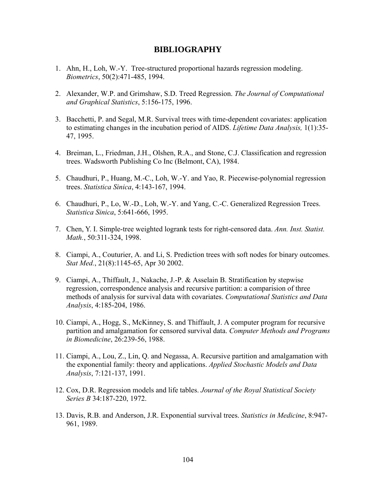## **BIBLIOGRAPHY**

- 1. Ahn, H., Loh, W.-Y. Tree-structured proportional hazards regression modeling. *Biometrics*, 50(2):471-485, 1994.
- 2. Alexander, W.P. and Grimshaw, S.D. Treed Regression. *The Journal of Computational and Graphical Statistics*, 5:156-175, 1996.
- 3. Bacchetti, P. and Segal, M.R. Survival trees with time-dependent covariates: application to estimating changes in the incubation period of AIDS. *Lifetime Data Analysis,* 1(1):35- 47, 1995.
- 4. Breiman, L., Friedman, J.H., Olshen, R.A., and Stone, C.J. Classification and regression trees. Wadsworth Publishing Co Inc (Belmont, CA), 1984.
- 5. Chaudhuri, P., Huang, M.-C., Loh, W.-Y. and Yao, R. Piecewise-polynomial regression trees. *Statistica Sinica*, 4:143-167, 1994.
- 6. Chaudhuri, P., Lo, W.-D., Loh, W.-Y. and Yang, C.-C. Generalized Regression Trees. *Statistica Sinica*, 5:641-666, 1995.
- 7. Chen, Y. I. Simple-tree weighted logrank tests for right-censored data. *Ann. Inst. Statist. Math.*, 50:311-324, 1998.
- 8. Ciampi, A., Couturier, A. and Li, S. Prediction trees with soft nodes for binary outcomes. *Stat Med.*, 21(8):1145-65, Apr 30 2002.
- 9. Ciampi, A., Thiffault, J., Nakache, J.-P. & Asselain B. Stratification by stepwise regression, correspondence analysis and recursive partition: a comparision of three methods of analysis for survival data with covariates. *Computational Statistics and Data Analysis*, 4:185-204, 1986.
- 10. Ciampi, A., Hogg, S., McKinney, S. and Thiffault, J. A computer program for recursive partition and amalgamation for censored survival data. *Computer Methods and Programs in Biomedicine*, 26:239-56, 1988.
- 11. Ciampi, A., Lou, Z., Lin, Q. and Negassa, A. Recursive partition and amalgamation with the exponential family: theory and applications. *Applied Stochastic Models and Data Analysis*, 7:121-137, 1991.
- 12. Cox, D.R. Regression models and life tables. *Journal of the Royal Statistical Society Series B* 34:187-220, 1972.
- 13. Davis, R.B. and Anderson, J.R. Exponential survival trees. *Statistics in Medicine*, 8:947- 961, 1989.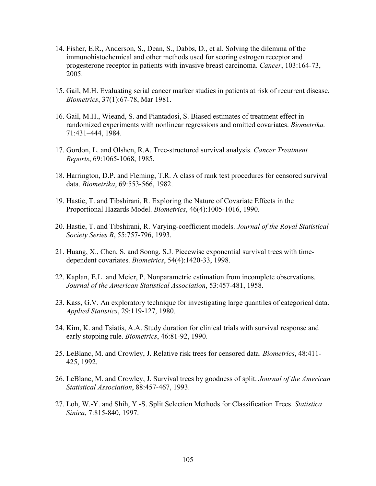- 14. Fisher, E.R., Anderson, S., Dean, S., Dabbs, D., et al. Solving the dilemma of the immunohistochemical and other methods used for scoring estrogen receptor and progesterone receptor in patients with invasive breast carcinoma. *Cancer*, 103:164-73, 2005.
- 15. Gail, M.H. Evaluating serial cancer marker studies in patients at risk of recurrent disease. *Biometrics*, 37(1):67-78, Mar 1981.
- 16. Gail, M.H., Wieand, S. and Piantadosi, S. Biased estimates of treatment effect in randomized experiments with nonlinear regressions and omitted covariates. *Biometrika.* 71:431–444, 1984.
- 17. Gordon, L. and Olshen, R.A. Tree-structured survival analysis. *Cancer Treatment Reports*, 69:1065-1068, 1985.
- 18. Harrington, D.P. and Fleming, T.R. A class of rank test procedures for censored survival data. *Biometrika*, 69:553-566, 1982.
- 19. Hastie, T. and Tibshirani, R. Exploring the Nature of Covariate Effects in the Proportional Hazards Model. *Biometrics*, 46(4):1005-1016, 1990.
- 20. Hastie, T. and Tibshirani, R. Varying-coefficient models. *Journal of the Royal Statistical Society Series B*, 55:757-796, 1993.
- 21. Huang, X., Chen, S. and Soong, S.J. Piecewise exponential survival trees with timedependent covariates. *Biometrics*, 54(4):1420-33, 1998.
- 22. Kaplan, E.L. and Meier, P. Nonparametric estimation from incomplete observations. *Journal of the American Statistical Association*, 53:457-481, 1958.
- 23. Kass, G.V. An exploratory technique for investigating large quantiles of categorical data. *Applied Statistics*, 29:119-127, 1980.
- 24. Kim, K. and Tsiatis, A.A. Study duration for clinical trials with survival response and early stopping rule. *Biometrics*, [46](http://www.statindex.org/CIS/query/searcher?journalcode=783&volnum=67&Order=asc&LineNum=50&Format=html&MaxMatch=200):81-92, 1990.
- 25. LeBlanc, M. and Crowley, J. Relative risk trees for censored data. *Biometrics*, 48:411- 425, 1992.
- 26. LeBlanc, M. and Crowley, J. Survival trees by goodness of split. *Journal of the American Statistical Association*, 88:457-467, 1993.
- 27. Loh, W.-Y. and Shih, Y.-S. Split Selection Methods for Classification Trees. *Statistica Sinica*, 7:815-840, 1997.